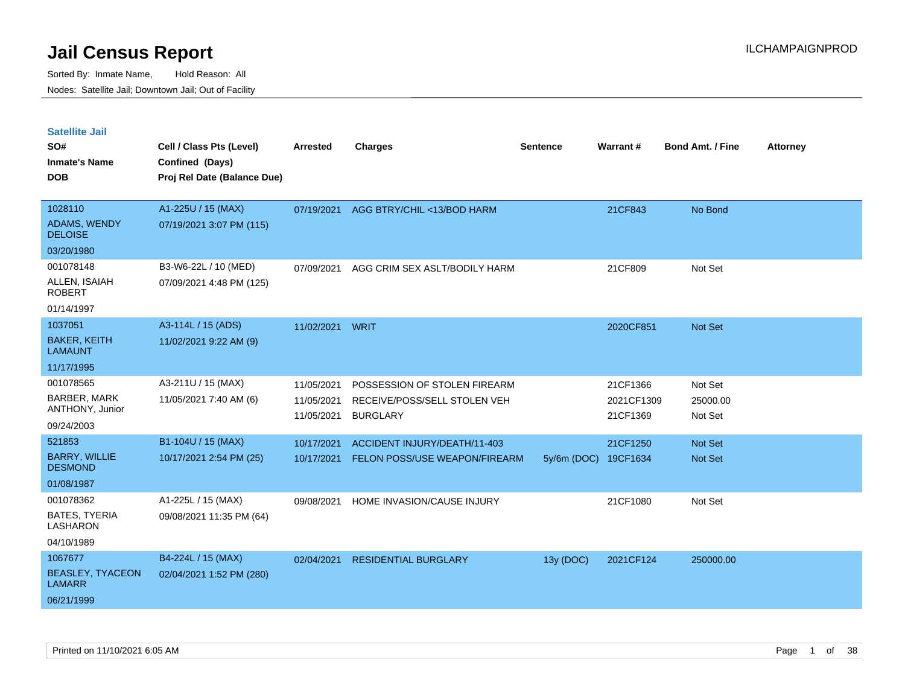| <b>Satellite Jail</b>                    |                             |                          |                                                 |                 |                        |                         |                 |
|------------------------------------------|-----------------------------|--------------------------|-------------------------------------------------|-----------------|------------------------|-------------------------|-----------------|
| SO#                                      | Cell / Class Pts (Level)    | Arrested                 | <b>Charges</b>                                  | <b>Sentence</b> | Warrant#               | <b>Bond Amt. / Fine</b> | <b>Attorney</b> |
| <b>Inmate's Name</b>                     | Confined (Days)             |                          |                                                 |                 |                        |                         |                 |
| <b>DOB</b>                               | Proj Rel Date (Balance Due) |                          |                                                 |                 |                        |                         |                 |
|                                          |                             |                          |                                                 |                 |                        |                         |                 |
| 1028110                                  | A1-225U / 15 (MAX)          | 07/19/2021               | AGG BTRY/CHIL <13/BOD HARM                      |                 | 21CF843                | No Bond                 |                 |
| ADAMS, WENDY<br><b>DELOISE</b>           | 07/19/2021 3:07 PM (115)    |                          |                                                 |                 |                        |                         |                 |
| 03/20/1980                               |                             |                          |                                                 |                 |                        |                         |                 |
| 001078148                                | B3-W6-22L / 10 (MED)        | 07/09/2021               | AGG CRIM SEX ASLT/BODILY HARM                   |                 | 21CF809                | Not Set                 |                 |
| ALLEN, ISAIAH<br><b>ROBERT</b>           | 07/09/2021 4:48 PM (125)    |                          |                                                 |                 |                        |                         |                 |
| 01/14/1997                               |                             |                          |                                                 |                 |                        |                         |                 |
| 1037051                                  | A3-114L / 15 (ADS)          | 11/02/2021               | WRIT                                            |                 | 2020CF851              | <b>Not Set</b>          |                 |
| <b>BAKER, KEITH</b><br><b>LAMAUNT</b>    | 11/02/2021 9:22 AM (9)      |                          |                                                 |                 |                        |                         |                 |
| 11/17/1995                               |                             |                          |                                                 |                 |                        |                         |                 |
| 001078565                                | A3-211U / 15 (MAX)          | 11/05/2021               | POSSESSION OF STOLEN FIREARM                    |                 | 21CF1366               | Not Set                 |                 |
| BARBER, MARK<br>ANTHONY, Junior          | 11/05/2021 7:40 AM (6)      | 11/05/2021<br>11/05/2021 | RECEIVE/POSS/SELL STOLEN VEH<br><b>BURGLARY</b> |                 | 2021CF1309<br>21CF1369 | 25000.00<br>Not Set     |                 |
| 09/24/2003                               |                             |                          |                                                 |                 |                        |                         |                 |
| 521853                                   | B1-104U / 15 (MAX)          | 10/17/2021               | <b>ACCIDENT INJURY/DEATH/11-403</b>             |                 | 21CF1250               | <b>Not Set</b>          |                 |
| <b>BARRY, WILLIE</b><br><b>DESMOND</b>   | 10/17/2021 2:54 PM (25)     | 10/17/2021               | FELON POSS/USE WEAPON/FIREARM                   | $5y/6m$ (DOC)   | 19CF1634               | <b>Not Set</b>          |                 |
| 01/08/1987                               |                             |                          |                                                 |                 |                        |                         |                 |
| 001078362                                | A1-225L / 15 (MAX)          | 09/08/2021               | HOME INVASION/CAUSE INJURY                      |                 | 21CF1080               | Not Set                 |                 |
| <b>BATES, TYERIA</b><br><b>LASHARON</b>  | 09/08/2021 11:35 PM (64)    |                          |                                                 |                 |                        |                         |                 |
| 04/10/1989                               |                             |                          |                                                 |                 |                        |                         |                 |
| 1067677                                  | B4-224L / 15 (MAX)          | 02/04/2021               | <b>RESIDENTIAL BURGLARY</b>                     | 13y (DOC)       | 2021CF124              | 250000.00               |                 |
| <b>BEASLEY, TYACEON</b><br><b>LAMARR</b> | 02/04/2021 1:52 PM (280)    |                          |                                                 |                 |                        |                         |                 |
| 06/21/1999                               |                             |                          |                                                 |                 |                        |                         |                 |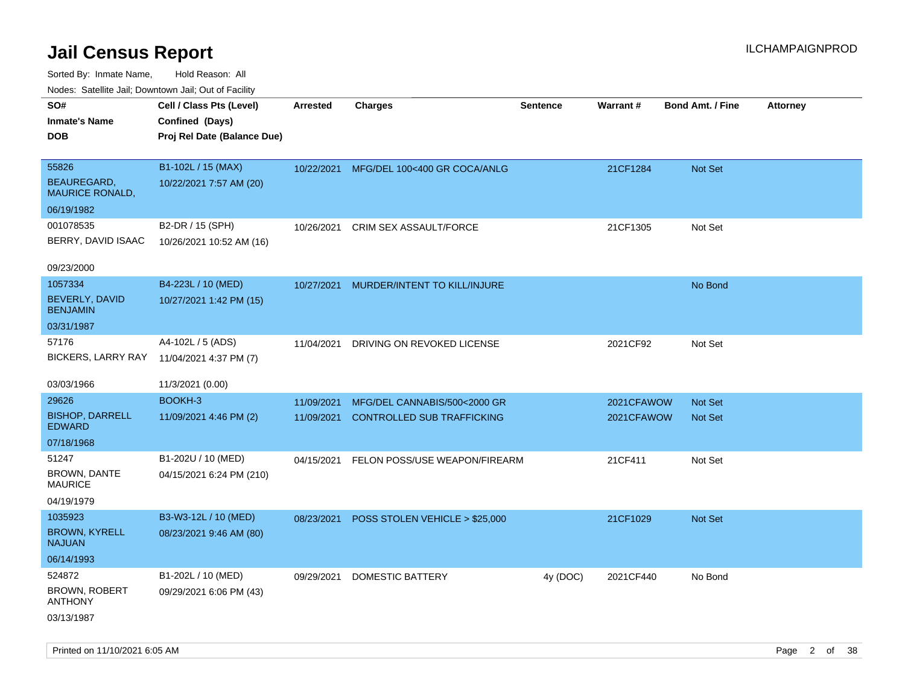| ivouss. Satellite Jali, Downtown Jali, Out of Facility |                             |            |                                   |                 |                 |                         |                 |
|--------------------------------------------------------|-----------------------------|------------|-----------------------------------|-----------------|-----------------|-------------------------|-----------------|
| SO#                                                    | Cell / Class Pts (Level)    | Arrested   | <b>Charges</b>                    | <b>Sentence</b> | <b>Warrant#</b> | <b>Bond Amt. / Fine</b> | <b>Attorney</b> |
| Inmate's Name                                          | Confined (Days)             |            |                                   |                 |                 |                         |                 |
| DOB                                                    | Proj Rel Date (Balance Due) |            |                                   |                 |                 |                         |                 |
|                                                        |                             |            |                                   |                 |                 |                         |                 |
| 55826                                                  | B1-102L / 15 (MAX)          | 10/22/2021 | MFG/DEL 100<400 GR COCA/ANLG      |                 | 21CF1284        | Not Set                 |                 |
| <b>BEAUREGARD,</b><br><b>MAURICE RONALD,</b>           | 10/22/2021 7:57 AM (20)     |            |                                   |                 |                 |                         |                 |
| 06/19/1982                                             |                             |            |                                   |                 |                 |                         |                 |
| 001078535                                              | B2-DR / 15 (SPH)            | 10/26/2021 | CRIM SEX ASSAULT/FORCE            |                 | 21CF1305        | Not Set                 |                 |
| BERRY, DAVID ISAAC                                     | 10/26/2021 10:52 AM (16)    |            |                                   |                 |                 |                         |                 |
|                                                        |                             |            |                                   |                 |                 |                         |                 |
| 09/23/2000                                             |                             |            |                                   |                 |                 |                         |                 |
| 1057334                                                | B4-223L / 10 (MED)          | 10/27/2021 | MURDER/INTENT TO KILL/INJURE      |                 |                 | No Bond                 |                 |
| BEVERLY, DAVID<br><b>BENJAMIN</b>                      | 10/27/2021 1:42 PM (15)     |            |                                   |                 |                 |                         |                 |
| 03/31/1987                                             |                             |            |                                   |                 |                 |                         |                 |
| 57176                                                  | A4-102L / 5 (ADS)           | 11/04/2021 | DRIVING ON REVOKED LICENSE        |                 | 2021CF92        | Not Set                 |                 |
| <b>BICKERS, LARRY RAY</b>                              | 11/04/2021 4:37 PM (7)      |            |                                   |                 |                 |                         |                 |
|                                                        |                             |            |                                   |                 |                 |                         |                 |
| 03/03/1966                                             | 11/3/2021 (0.00)            |            |                                   |                 |                 |                         |                 |
| 29626                                                  | BOOKH-3                     | 11/09/2021 | MFG/DEL CANNABIS/500<2000 GR      |                 | 2021CFAWOW      | Not Set                 |                 |
| <b>BISHOP, DARRELL</b><br>EDWARD                       | 11/09/2021 4:46 PM (2)      | 11/09/2021 | <b>CONTROLLED SUB TRAFFICKING</b> |                 | 2021CFAWOW      | <b>Not Set</b>          |                 |
| 07/18/1968                                             |                             |            |                                   |                 |                 |                         |                 |
| 51247                                                  | B1-202U / 10 (MED)          | 04/15/2021 | FELON POSS/USE WEAPON/FIREARM     |                 | 21CF411         | Not Set                 |                 |
| <b>BROWN, DANTE</b><br>MAURICE                         | 04/15/2021 6:24 PM (210)    |            |                                   |                 |                 |                         |                 |
| 04/19/1979                                             |                             |            |                                   |                 |                 |                         |                 |
| 1035923                                                | B3-W3-12L / 10 (MED)        | 08/23/2021 | POSS STOLEN VEHICLE > \$25,000    |                 | 21CF1029        | <b>Not Set</b>          |                 |
| <b>BROWN, KYRELL</b><br>NAJUAN                         | 08/23/2021 9:46 AM (80)     |            |                                   |                 |                 |                         |                 |
| 06/14/1993                                             |                             |            |                                   |                 |                 |                         |                 |
| 524872                                                 | B1-202L / 10 (MED)          | 09/29/2021 | DOMESTIC BATTERY                  | 4y (DOC)        | 2021CF440       | No Bond                 |                 |
| BROWN, ROBERT<br><b>ANTHONY</b>                        | 09/29/2021 6:06 PM (43)     |            |                                   |                 |                 |                         |                 |
| 03/13/1987                                             |                             |            |                                   |                 |                 |                         |                 |
|                                                        |                             |            |                                   |                 |                 |                         |                 |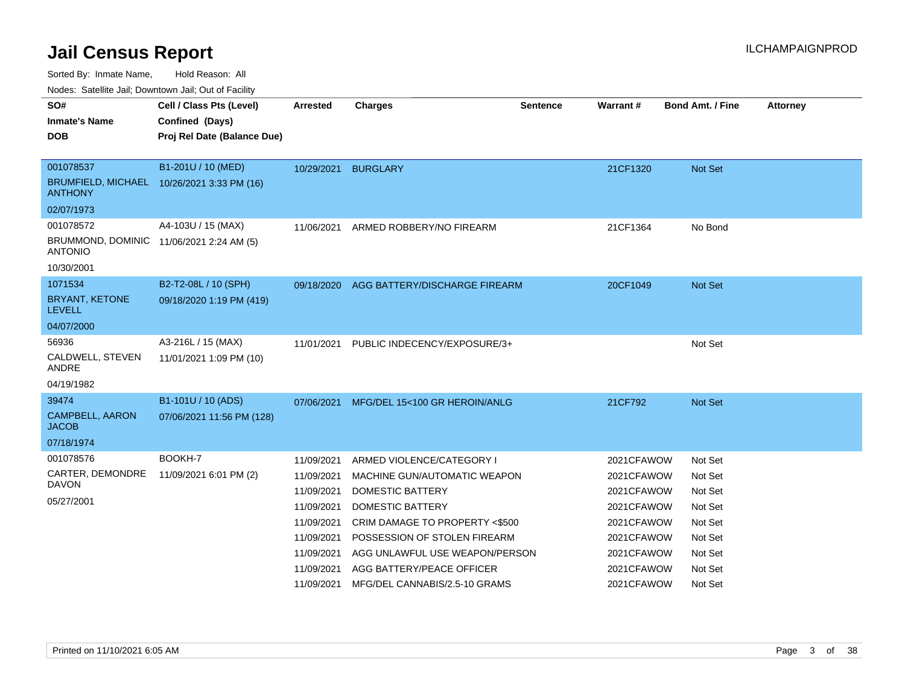Sorted By: Inmate Name, Hold Reason: All

Nodes: Satellite Jail; Downtown Jail; Out of Facility

| SO#                                                        | Cell / Class Pts (Level)                   | <b>Arrested</b> | <b>Charges</b>                           | <b>Sentence</b> | Warrant#   | <b>Bond Amt. / Fine</b> | <b>Attorney</b> |
|------------------------------------------------------------|--------------------------------------------|-----------------|------------------------------------------|-----------------|------------|-------------------------|-----------------|
| <b>Inmate's Name</b>                                       | Confined (Days)                            |                 |                                          |                 |            |                         |                 |
| <b>DOB</b>                                                 | Proj Rel Date (Balance Due)                |                 |                                          |                 |            |                         |                 |
|                                                            |                                            |                 |                                          |                 |            |                         |                 |
| 001078537                                                  | B1-201U / 10 (MED)                         | 10/29/2021      | <b>BURGLARY</b>                          |                 | 21CF1320   | Not Set                 |                 |
| <b>ANTHONY</b>                                             | BRUMFIELD, MICHAEL 10/26/2021 3:33 PM (16) |                 |                                          |                 |            |                         |                 |
| 02/07/1973                                                 |                                            |                 |                                          |                 |            |                         |                 |
| 001078572                                                  | A4-103U / 15 (MAX)                         | 11/06/2021      | ARMED ROBBERY/NO FIREARM                 |                 | 21CF1364   | No Bond                 |                 |
| BRUMMOND, DOMINIC 11/06/2021 2:24 AM (5)<br><b>ANTONIO</b> |                                            |                 |                                          |                 |            |                         |                 |
| 10/30/2001                                                 |                                            |                 |                                          |                 |            |                         |                 |
| 1071534                                                    | B2-T2-08L / 10 (SPH)                       |                 | 09/18/2020 AGG BATTERY/DISCHARGE FIREARM |                 | 20CF1049   | Not Set                 |                 |
| <b>BRYANT, KETONE</b><br><b>LEVELL</b>                     | 09/18/2020 1:19 PM (419)                   |                 |                                          |                 |            |                         |                 |
| 04/07/2000                                                 |                                            |                 |                                          |                 |            |                         |                 |
| 56936                                                      | A3-216L / 15 (MAX)                         | 11/01/2021      | PUBLIC INDECENCY/EXPOSURE/3+             |                 |            | Not Set                 |                 |
| CALDWELL, STEVEN<br><b>ANDRE</b>                           | 11/01/2021 1:09 PM (10)                    |                 |                                          |                 |            |                         |                 |
| 04/19/1982                                                 |                                            |                 |                                          |                 |            |                         |                 |
| 39474                                                      | B1-101U / 10 (ADS)                         | 07/06/2021      | MFG/DEL 15<100 GR HEROIN/ANLG            |                 | 21CF792    | Not Set                 |                 |
| <b>CAMPBELL, AARON</b><br><b>JACOB</b>                     | 07/06/2021 11:56 PM (128)                  |                 |                                          |                 |            |                         |                 |
| 07/18/1974                                                 |                                            |                 |                                          |                 |            |                         |                 |
| 001078576                                                  | BOOKH-7                                    | 11/09/2021      | ARMED VIOLENCE/CATEGORY I                |                 | 2021CFAWOW | Not Set                 |                 |
| CARTER, DEMONDRE                                           | 11/09/2021 6:01 PM (2)                     | 11/09/2021      | MACHINE GUN/AUTOMATIC WEAPON             |                 | 2021CFAWOW | Not Set                 |                 |
| <b>DAVON</b>                                               |                                            | 11/09/2021      | <b>DOMESTIC BATTERY</b>                  |                 | 2021CFAWOW | Not Set                 |                 |
| 05/27/2001                                                 |                                            | 11/09/2021      | <b>DOMESTIC BATTERY</b>                  |                 | 2021CFAWOW | Not Set                 |                 |
|                                                            |                                            | 11/09/2021      | CRIM DAMAGE TO PROPERTY <\$500           |                 | 2021CFAWOW | Not Set                 |                 |
|                                                            |                                            | 11/09/2021      | POSSESSION OF STOLEN FIREARM             |                 | 2021CFAWOW | Not Set                 |                 |
|                                                            |                                            | 11/09/2021      | AGG UNLAWFUL USE WEAPON/PERSON           |                 | 2021CFAWOW | Not Set                 |                 |
|                                                            |                                            | 11/09/2021      | AGG BATTERY/PEACE OFFICER                |                 | 2021CFAWOW | Not Set                 |                 |
|                                                            |                                            | 11/09/2021      | MFG/DEL CANNABIS/2.5-10 GRAMS            |                 | 2021CFAWOW | Not Set                 |                 |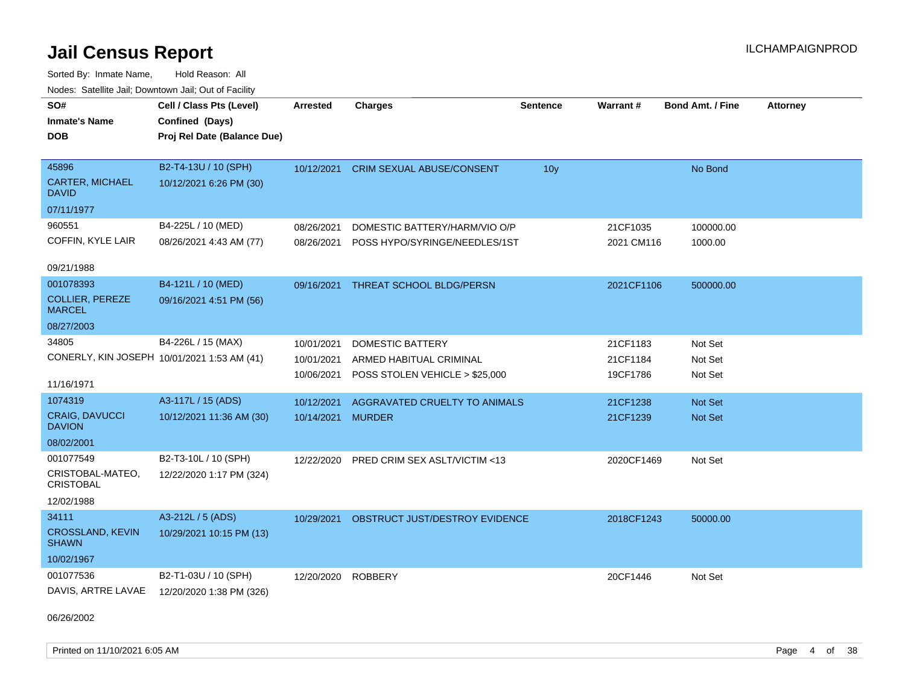Sorted By: Inmate Name, Hold Reason: All Nodes: Satellite Jail; Downtown Jail; Out of Facility

| SO#<br><b>Inmate's Name</b><br><b>DOB</b>                          | Cell / Class Pts (Level)<br>Confined (Days)<br>Proj Rel Date (Balance Due) | <b>Arrested</b>                        | <b>Charges</b>                                                                       | <b>Sentence</b> | Warrant#                         | <b>Bond Amt. / Fine</b>       | <b>Attorney</b> |
|--------------------------------------------------------------------|----------------------------------------------------------------------------|----------------------------------------|--------------------------------------------------------------------------------------|-----------------|----------------------------------|-------------------------------|-----------------|
| 45896<br><b>CARTER, MICHAEL</b><br>DAVID                           | B2-T4-13U / 10 (SPH)<br>10/12/2021 6:26 PM (30)                            | 10/12/2021                             | <b>CRIM SEXUAL ABUSE/CONSENT</b>                                                     | 10 <sub>y</sub> |                                  | No Bond                       |                 |
| 07/11/1977                                                         |                                                                            |                                        |                                                                                      |                 |                                  |                               |                 |
| 960551<br>COFFIN, KYLE LAIR                                        | B4-225L / 10 (MED)<br>08/26/2021 4:43 AM (77)                              | 08/26/2021<br>08/26/2021               | DOMESTIC BATTERY/HARM/VIO O/P<br>POSS HYPO/SYRINGE/NEEDLES/1ST                       |                 | 21CF1035<br>2021 CM116           | 100000.00<br>1000.00          |                 |
| 09/21/1988                                                         |                                                                            |                                        |                                                                                      |                 |                                  |                               |                 |
| 001078393<br><b>COLLIER, PEREZE</b><br><b>MARCEL</b>               | B4-121L / 10 (MED)<br>09/16/2021 4:51 PM (56)                              | 09/16/2021                             | THREAT SCHOOL BLDG/PERSN                                                             |                 | 2021CF1106                       | 500000.00                     |                 |
| 08/27/2003                                                         |                                                                            |                                        |                                                                                      |                 |                                  |                               |                 |
| 34805<br>CONERLY, KIN JOSEPH 10/01/2021 1:53 AM (41)<br>11/16/1971 | B4-226L / 15 (MAX)                                                         | 10/01/2021<br>10/01/2021<br>10/06/2021 | <b>DOMESTIC BATTERY</b><br>ARMED HABITUAL CRIMINAL<br>POSS STOLEN VEHICLE > \$25,000 |                 | 21CF1183<br>21CF1184<br>19CF1786 | Not Set<br>Not Set<br>Not Set |                 |
| 1074319                                                            | A3-117L / 15 (ADS)                                                         | 10/12/2021                             | AGGRAVATED CRUELTY TO ANIMALS                                                        |                 | 21CF1238                         | <b>Not Set</b>                |                 |
| CRAIG, DAVUCCI<br><b>DAVION</b>                                    | 10/12/2021 11:36 AM (30)                                                   | 10/14/2021                             | <b>MURDER</b>                                                                        |                 | 21CF1239                         | Not Set                       |                 |
| 08/02/2001                                                         |                                                                            |                                        |                                                                                      |                 |                                  |                               |                 |
| 001077549<br>CRISTOBAL-MATEO,<br><b>CRISTOBAL</b><br>12/02/1988    | B2-T3-10L / 10 (SPH)<br>12/22/2020 1:17 PM (324)                           | 12/22/2020                             | PRED CRIM SEX ASLT/VICTIM <13                                                        |                 | 2020CF1469                       | Not Set                       |                 |
| 34111<br><b>CROSSLAND, KEVIN</b><br><b>SHAWN</b><br>10/02/1967     | A3-212L / 5 (ADS)<br>10/29/2021 10:15 PM (13)                              | 10/29/2021                             | OBSTRUCT JUST/DESTROY EVIDENCE                                                       |                 | 2018CF1243                       | 50000.00                      |                 |
| 001077536<br>DAVIS, ARTRE LAVAE                                    | B2-T1-03U / 10 (SPH)<br>12/20/2020 1:38 PM (326)                           | 12/20/2020                             | <b>ROBBERY</b>                                                                       |                 | 20CF1446                         | Not Set                       |                 |

06/26/2002

Printed on 11/10/2021 6:05 AM **Page 4 of 38**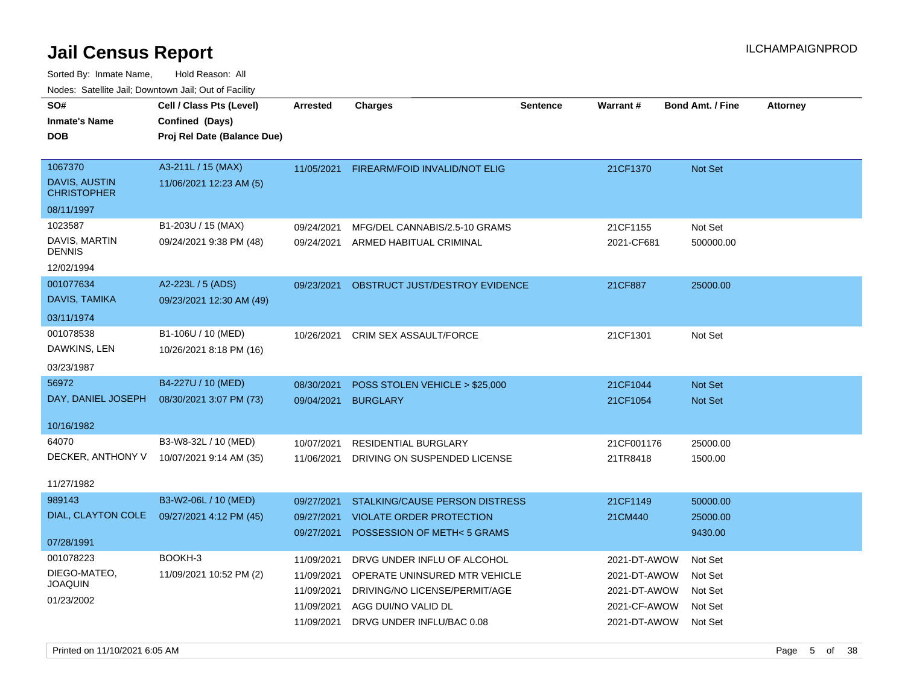| SO#<br><b>Inmate's Name</b><br><b>DOB</b>                           | Cell / Class Pts (Level)<br>Confined (Days)<br>Proj Rel Date (Balance Due) | Arrested                                                           | <b>Charges</b>                                                                                                                                    | <b>Sentence</b> | Warrant#                                                                     | <b>Bond Amt. / Fine</b>                             | <b>Attorney</b> |
|---------------------------------------------------------------------|----------------------------------------------------------------------------|--------------------------------------------------------------------|---------------------------------------------------------------------------------------------------------------------------------------------------|-----------------|------------------------------------------------------------------------------|-----------------------------------------------------|-----------------|
| 1067370<br><b>DAVIS, AUSTIN</b><br><b>CHRISTOPHER</b><br>08/11/1997 | A3-211L / 15 (MAX)<br>11/06/2021 12:23 AM (5)                              | 11/05/2021                                                         | FIREARM/FOID INVALID/NOT ELIG                                                                                                                     |                 | 21CF1370                                                                     | <b>Not Set</b>                                      |                 |
| 1023587<br>DAVIS, MARTIN<br><b>DENNIS</b><br>12/02/1994             | B1-203U / 15 (MAX)<br>09/24/2021 9:38 PM (48)                              | 09/24/2021<br>09/24/2021                                           | MFG/DEL CANNABIS/2.5-10 GRAMS<br>ARMED HABITUAL CRIMINAL                                                                                          |                 | 21CF1155<br>2021-CF681                                                       | Not Set<br>500000.00                                |                 |
| 001077634<br>DAVIS, TAMIKA<br>03/11/1974                            | A2-223L / 5 (ADS)<br>09/23/2021 12:30 AM (49)                              | 09/23/2021                                                         | OBSTRUCT JUST/DESTROY EVIDENCE                                                                                                                    |                 | 21CF887                                                                      | 25000.00                                            |                 |
| 001078538<br>DAWKINS, LEN<br>03/23/1987                             | B1-106U / 10 (MED)<br>10/26/2021 8:18 PM (16)                              | 10/26/2021                                                         | <b>CRIM SEX ASSAULT/FORCE</b>                                                                                                                     |                 | 21CF1301                                                                     | Not Set                                             |                 |
| 56972<br>DAY, DANIEL JOSEPH<br>10/16/1982                           | B4-227U / 10 (MED)<br>08/30/2021 3:07 PM (73)                              | 08/30/2021<br>09/04/2021                                           | POSS STOLEN VEHICLE > \$25,000<br><b>BURGLARY</b>                                                                                                 |                 | 21CF1044<br>21CF1054                                                         | <b>Not Set</b><br>Not Set                           |                 |
| 64070<br>DECKER, ANTHONY V<br>11/27/1982                            | B3-W8-32L / 10 (MED)<br>10/07/2021 9:14 AM (35)                            | 10/07/2021<br>11/06/2021                                           | RESIDENTIAL BURGLARY<br>DRIVING ON SUSPENDED LICENSE                                                                                              |                 | 21CF001176<br>21TR8418                                                       | 25000.00<br>1500.00                                 |                 |
| 989143<br>DIAL, CLAYTON COLE<br>07/28/1991                          | B3-W2-06L / 10 (MED)<br>09/27/2021 4:12 PM (45)                            | 09/27/2021<br>09/27/2021<br>09/27/2021                             | <b>STALKING/CAUSE PERSON DISTRESS</b><br><b>VIOLATE ORDER PROTECTION</b><br>POSSESSION OF METH<5 GRAMS                                            |                 | 21CF1149<br>21CM440                                                          | 50000.00<br>25000.00<br>9430.00                     |                 |
| 001078223<br>DIEGO-MATEO,<br><b>JOAQUIN</b><br>01/23/2002           | BOOKH-3<br>11/09/2021 10:52 PM (2)                                         | 11/09/2021<br>11/09/2021<br>11/09/2021<br>11/09/2021<br>11/09/2021 | DRVG UNDER INFLU OF ALCOHOL<br>OPERATE UNINSURED MTR VEHICLE<br>DRIVING/NO LICENSE/PERMIT/AGE<br>AGG DUI/NO VALID DL<br>DRVG UNDER INFLU/BAC 0.08 |                 | 2021-DT-AWOW<br>2021-DT-AWOW<br>2021-DT-AWOW<br>2021-CF-AWOW<br>2021-DT-AWOW | Not Set<br>Not Set<br>Not Set<br>Not Set<br>Not Set |                 |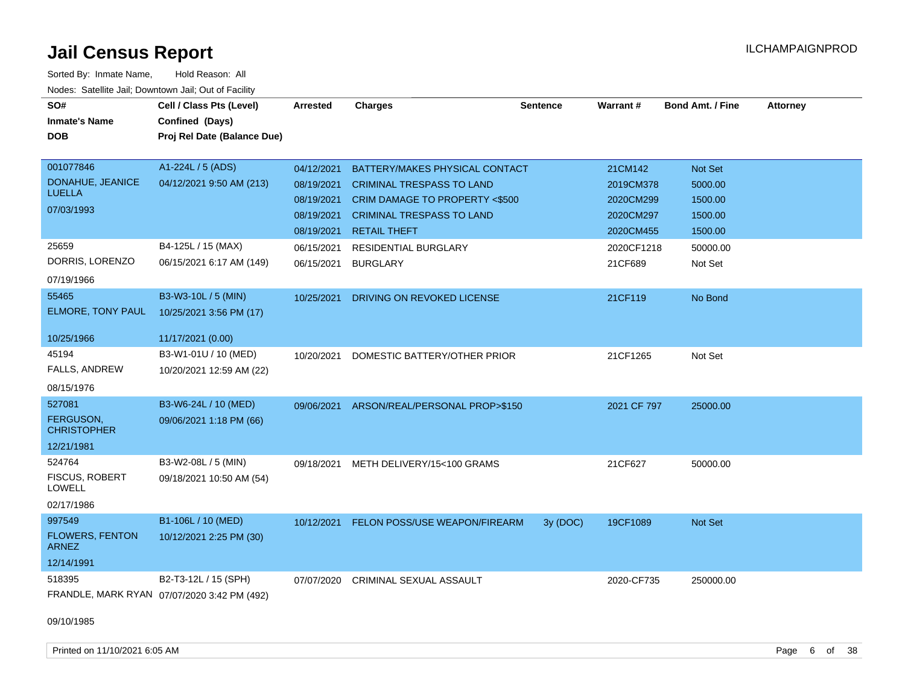| SO#<br><b>Inmate's Name</b><br><b>DOB</b> | Cell / Class Pts (Level)<br>Confined (Days)<br>Proj Rel Date (Balance Due) | <b>Arrested</b> | <b>Charges</b>                   | <b>Sentence</b> | <b>Warrant#</b> | <b>Bond Amt. / Fine</b> | <b>Attorney</b> |
|-------------------------------------------|----------------------------------------------------------------------------|-----------------|----------------------------------|-----------------|-----------------|-------------------------|-----------------|
| 001077846                                 | A1-224L / 5 (ADS)                                                          | 04/12/2021      | BATTERY/MAKES PHYSICAL CONTACT   |                 | 21CM142         | Not Set                 |                 |
| DONAHUE, JEANICE<br><b>LUELLA</b>         | 04/12/2021 9:50 AM (213)                                                   | 08/19/2021      | <b>CRIMINAL TRESPASS TO LAND</b> |                 | 2019CM378       | 5000.00                 |                 |
| 07/03/1993                                |                                                                            | 08/19/2021      | CRIM DAMAGE TO PROPERTY <\$500   |                 | 2020CM299       | 1500.00                 |                 |
|                                           |                                                                            | 08/19/2021      | <b>CRIMINAL TRESPASS TO LAND</b> |                 | 2020CM297       | 1500.00                 |                 |
|                                           |                                                                            | 08/19/2021      | <b>RETAIL THEFT</b>              |                 | 2020CM455       | 1500.00                 |                 |
| 25659                                     | B4-125L / 15 (MAX)                                                         | 06/15/2021      | RESIDENTIAL BURGLARY             |                 | 2020CF1218      | 50000.00                |                 |
| DORRIS, LORENZO                           | 06/15/2021 6:17 AM (149)                                                   | 06/15/2021      | <b>BURGLARY</b>                  |                 | 21CF689         | Not Set                 |                 |
| 07/19/1966                                |                                                                            |                 |                                  |                 |                 |                         |                 |
| 55465                                     | B3-W3-10L / 5 (MIN)                                                        | 10/25/2021      | DRIVING ON REVOKED LICENSE       |                 | 21CF119         | No Bond                 |                 |
| ELMORE, TONY PAUL                         | 10/25/2021 3:56 PM (17)                                                    |                 |                                  |                 |                 |                         |                 |
| 10/25/1966                                | 11/17/2021 (0.00)                                                          |                 |                                  |                 |                 |                         |                 |
| 45194                                     | B3-W1-01U / 10 (MED)                                                       | 10/20/2021      | DOMESTIC BATTERY/OTHER PRIOR     |                 | 21CF1265        | Not Set                 |                 |
| FALLS, ANDREW                             | 10/20/2021 12:59 AM (22)                                                   |                 |                                  |                 |                 |                         |                 |
| 08/15/1976                                |                                                                            |                 |                                  |                 |                 |                         |                 |
| 527081                                    | B3-W6-24L / 10 (MED)                                                       | 09/06/2021      | ARSON/REAL/PERSONAL PROP>\$150   |                 | 2021 CF 797     | 25000.00                |                 |
| FERGUSON,                                 | 09/06/2021 1:18 PM (66)                                                    |                 |                                  |                 |                 |                         |                 |
| <b>CHRISTOPHER</b>                        |                                                                            |                 |                                  |                 |                 |                         |                 |
| 12/21/1981                                |                                                                            |                 |                                  |                 |                 |                         |                 |
| 524764                                    | B3-W2-08L / 5 (MIN)                                                        | 09/18/2021      | METH DELIVERY/15<100 GRAMS       |                 | 21CF627         | 50000.00                |                 |
| <b>FISCUS, ROBERT</b><br>LOWELL           | 09/18/2021 10:50 AM (54)                                                   |                 |                                  |                 |                 |                         |                 |
| 02/17/1986                                |                                                                            |                 |                                  |                 |                 |                         |                 |
| 997549                                    | B1-106L / 10 (MED)                                                         | 10/12/2021      | FELON POSS/USE WEAPON/FIREARM    | 3y (DOC)        | 19CF1089        | Not Set                 |                 |
| <b>FLOWERS, FENTON</b><br><b>ARNEZ</b>    | 10/12/2021 2:25 PM (30)                                                    |                 |                                  |                 |                 |                         |                 |
| 12/14/1991                                |                                                                            |                 |                                  |                 |                 |                         |                 |
| 518395                                    | B2-T3-12L / 15 (SPH)                                                       | 07/07/2020      | CRIMINAL SEXUAL ASSAULT          |                 | 2020-CF735      | 250000.00               |                 |
|                                           | FRANDLE, MARK RYAN 07/07/2020 3:42 PM (492)                                |                 |                                  |                 |                 |                         |                 |
| 09/10/1985                                |                                                                            |                 |                                  |                 |                 |                         |                 |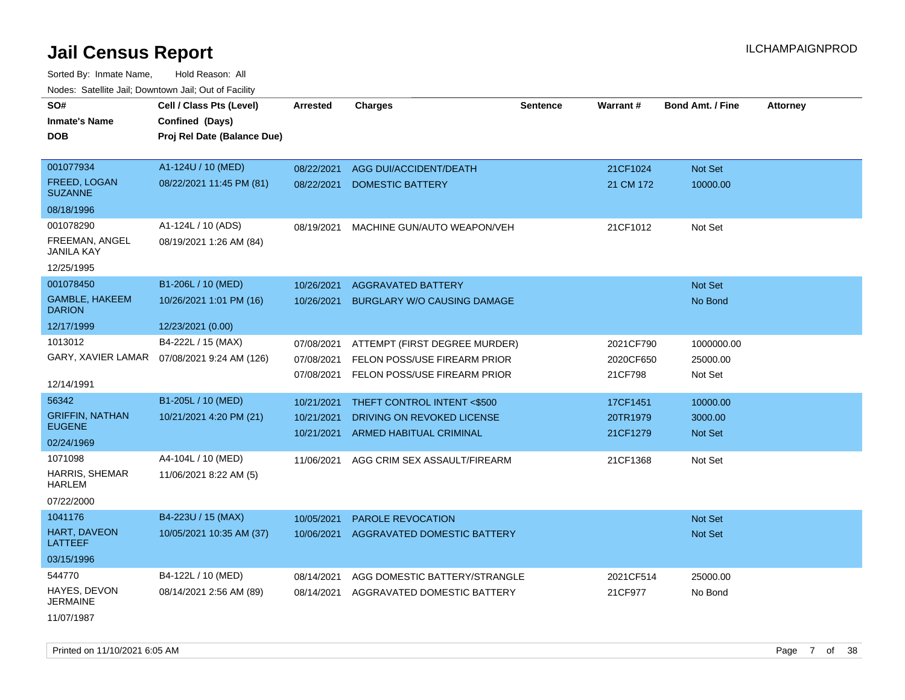| roaco. Catolino cali, Downtown cali, Out of Fabilit |                                              |                 |                                    |                 |           |                         |                 |
|-----------------------------------------------------|----------------------------------------------|-----------------|------------------------------------|-----------------|-----------|-------------------------|-----------------|
| SO#                                                 | Cell / Class Pts (Level)                     | <b>Arrested</b> | <b>Charges</b>                     | <b>Sentence</b> | Warrant#  | <b>Bond Amt. / Fine</b> | <b>Attorney</b> |
| <b>Inmate's Name</b>                                | Confined (Days)                              |                 |                                    |                 |           |                         |                 |
| <b>DOB</b>                                          | Proj Rel Date (Balance Due)                  |                 |                                    |                 |           |                         |                 |
|                                                     |                                              |                 |                                    |                 |           |                         |                 |
| 001077934                                           | A1-124U / 10 (MED)                           | 08/22/2021      | AGG DUI/ACCIDENT/DEATH             |                 | 21CF1024  | Not Set                 |                 |
| FREED, LOGAN<br><b>SUZANNE</b>                      | 08/22/2021 11:45 PM (81)                     | 08/22/2021      | DOMESTIC BATTERY                   |                 | 21 CM 172 | 10000.00                |                 |
| 08/18/1996                                          |                                              |                 |                                    |                 |           |                         |                 |
| 001078290                                           | A1-124L / 10 (ADS)                           | 08/19/2021      | MACHINE GUN/AUTO WEAPON/VEH        |                 | 21CF1012  | Not Set                 |                 |
| FREEMAN, ANGEL<br>JANILA KAY                        | 08/19/2021 1:26 AM (84)                      |                 |                                    |                 |           |                         |                 |
| 12/25/1995                                          |                                              |                 |                                    |                 |           |                         |                 |
| 001078450                                           | B1-206L / 10 (MED)                           | 10/26/2021      | <b>AGGRAVATED BATTERY</b>          |                 |           | Not Set                 |                 |
| GAMBLE, HAKEEM<br><b>DARION</b>                     | 10/26/2021 1:01 PM (16)                      | 10/26/2021      | <b>BURGLARY W/O CAUSING DAMAGE</b> |                 |           | No Bond                 |                 |
| 12/17/1999                                          | 12/23/2021 (0.00)                            |                 |                                    |                 |           |                         |                 |
| 1013012                                             | B4-222L / 15 (MAX)                           | 07/08/2021      | ATTEMPT (FIRST DEGREE MURDER)      |                 | 2021CF790 | 1000000.00              |                 |
|                                                     | GARY, XAVIER LAMAR  07/08/2021 9:24 AM (126) | 07/08/2021      | FELON POSS/USE FIREARM PRIOR       |                 | 2020CF650 | 25000.00                |                 |
|                                                     |                                              | 07/08/2021      | FELON POSS/USE FIREARM PRIOR       |                 | 21CF798   | Not Set                 |                 |
| 12/14/1991                                          |                                              |                 |                                    |                 |           |                         |                 |
| 56342                                               | B1-205L / 10 (MED)                           | 10/21/2021      | THEFT CONTROL INTENT <\$500        |                 | 17CF1451  | 10000.00                |                 |
| <b>GRIFFIN, NATHAN</b><br><b>EUGENE</b>             | 10/21/2021 4:20 PM (21)                      | 10/21/2021      | DRIVING ON REVOKED LICENSE         |                 | 20TR1979  | 3000.00                 |                 |
| 02/24/1969                                          |                                              | 10/21/2021      | ARMED HABITUAL CRIMINAL            |                 | 21CF1279  | Not Set                 |                 |
| 1071098                                             | A4-104L / 10 (MED)                           |                 |                                    |                 |           |                         |                 |
| <b>HARRIS, SHEMAR</b>                               |                                              | 11/06/2021      | AGG CRIM SEX ASSAULT/FIREARM       |                 | 21CF1368  | Not Set                 |                 |
| HARLEM                                              | 11/06/2021 8:22 AM (5)                       |                 |                                    |                 |           |                         |                 |
| 07/22/2000                                          |                                              |                 |                                    |                 |           |                         |                 |
| 1041176                                             | B4-223U / 15 (MAX)                           | 10/05/2021      | <b>PAROLE REVOCATION</b>           |                 |           | Not Set                 |                 |
| HART, DAVEON<br>LATTEEF                             | 10/05/2021 10:35 AM (37)                     | 10/06/2021      | AGGRAVATED DOMESTIC BATTERY        |                 |           | Not Set                 |                 |
| 03/15/1996                                          |                                              |                 |                                    |                 |           |                         |                 |
| 544770                                              | B4-122L / 10 (MED)                           | 08/14/2021      | AGG DOMESTIC BATTERY/STRANGLE      |                 | 2021CF514 | 25000.00                |                 |
| HAYES, DEVON<br>JERMAINE                            | 08/14/2021 2:56 AM (89)                      | 08/14/2021      | AGGRAVATED DOMESTIC BATTERY        |                 | 21CF977   | No Bond                 |                 |
| 11/07/1987                                          |                                              |                 |                                    |                 |           |                         |                 |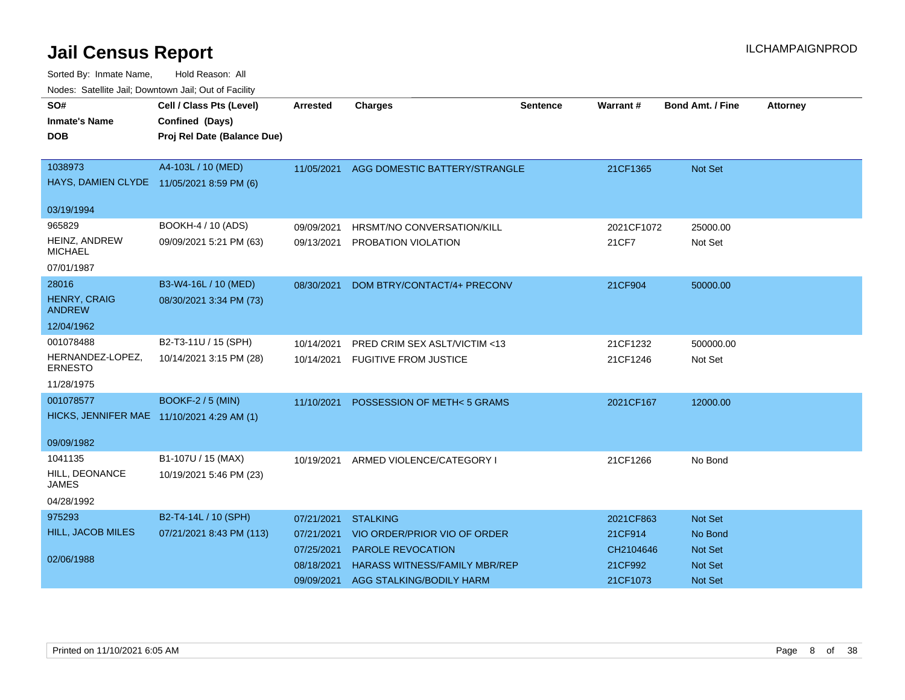| roucs. Oatchite sail, Downtown sail, Out of Facility |                             |                 |                                      |                 |            |                         |                 |
|------------------------------------------------------|-----------------------------|-----------------|--------------------------------------|-----------------|------------|-------------------------|-----------------|
| SO#                                                  | Cell / Class Pts (Level)    | <b>Arrested</b> | <b>Charges</b>                       | <b>Sentence</b> | Warrant#   | <b>Bond Amt. / Fine</b> | <b>Attorney</b> |
| <b>Inmate's Name</b>                                 | Confined (Days)             |                 |                                      |                 |            |                         |                 |
| DOB.                                                 | Proj Rel Date (Balance Due) |                 |                                      |                 |            |                         |                 |
|                                                      |                             |                 |                                      |                 |            |                         |                 |
| 1038973                                              | A4-103L / 10 (MED)          | 11/05/2021      | AGG DOMESTIC BATTERY/STRANGLE        |                 | 21CF1365   | Not Set                 |                 |
| HAYS, DAMIEN CLYDE 11/05/2021 8:59 PM (6)            |                             |                 |                                      |                 |            |                         |                 |
|                                                      |                             |                 |                                      |                 |            |                         |                 |
| 03/19/1994                                           |                             |                 |                                      |                 |            |                         |                 |
| 965829                                               | BOOKH-4 / 10 (ADS)          | 09/09/2021      | HRSMT/NO CONVERSATION/KILL           |                 | 2021CF1072 | 25000.00                |                 |
| HEINZ, ANDREW<br><b>MICHAEL</b>                      | 09/09/2021 5:21 PM (63)     | 09/13/2021      | PROBATION VIOLATION                  |                 | 21CF7      | Not Set                 |                 |
| 07/01/1987                                           |                             |                 |                                      |                 |            |                         |                 |
| 28016                                                | B3-W4-16L / 10 (MED)        | 08/30/2021      | DOM BTRY/CONTACT/4+ PRECONV          |                 | 21CF904    | 50000.00                |                 |
| <b>HENRY, CRAIG</b><br><b>ANDREW</b>                 | 08/30/2021 3:34 PM (73)     |                 |                                      |                 |            |                         |                 |
| 12/04/1962                                           |                             |                 |                                      |                 |            |                         |                 |
| 001078488                                            | B2-T3-11U / 15 (SPH)        | 10/14/2021      | PRED CRIM SEX ASLT/VICTIM <13        |                 | 21CF1232   | 500000.00               |                 |
| HERNANDEZ-LOPEZ,<br><b>ERNESTO</b>                   | 10/14/2021 3:15 PM (28)     | 10/14/2021      | <b>FUGITIVE FROM JUSTICE</b>         |                 | 21CF1246   | Not Set                 |                 |
| 11/28/1975                                           |                             |                 |                                      |                 |            |                         |                 |
| 001078577                                            | <b>BOOKF-2 / 5 (MIN)</b>    | 11/10/2021      | POSSESSION OF METH<5 GRAMS           |                 | 2021CF167  | 12000.00                |                 |
| HICKS, JENNIFER MAE 11/10/2021 4:29 AM (1)           |                             |                 |                                      |                 |            |                         |                 |
| 09/09/1982                                           |                             |                 |                                      |                 |            |                         |                 |
| 1041135                                              | B1-107U / 15 (MAX)          |                 | 10/19/2021 ARMED VIOLENCE/CATEGORY I |                 | 21CF1266   | No Bond                 |                 |
| HILL, DEONANCE<br><b>JAMES</b>                       | 10/19/2021 5:46 PM (23)     |                 |                                      |                 |            |                         |                 |
| 04/28/1992                                           |                             |                 |                                      |                 |            |                         |                 |
| 975293                                               | B2-T4-14L / 10 (SPH)        | 07/21/2021      | <b>STALKING</b>                      |                 | 2021CF863  | Not Set                 |                 |
| <b>HILL, JACOB MILES</b>                             | 07/21/2021 8:43 PM (113)    | 07/21/2021      | VIO ORDER/PRIOR VIO OF ORDER         |                 | 21CF914    | No Bond                 |                 |
|                                                      |                             | 07/25/2021      | <b>PAROLE REVOCATION</b>             |                 | CH2104646  | Not Set                 |                 |
| 02/06/1988                                           |                             | 08/18/2021      | <b>HARASS WITNESS/FAMILY MBR/REP</b> |                 | 21CF992    | <b>Not Set</b>          |                 |
|                                                      |                             | 09/09/2021      | AGG STALKING/BODILY HARM             |                 | 21CF1073   | <b>Not Set</b>          |                 |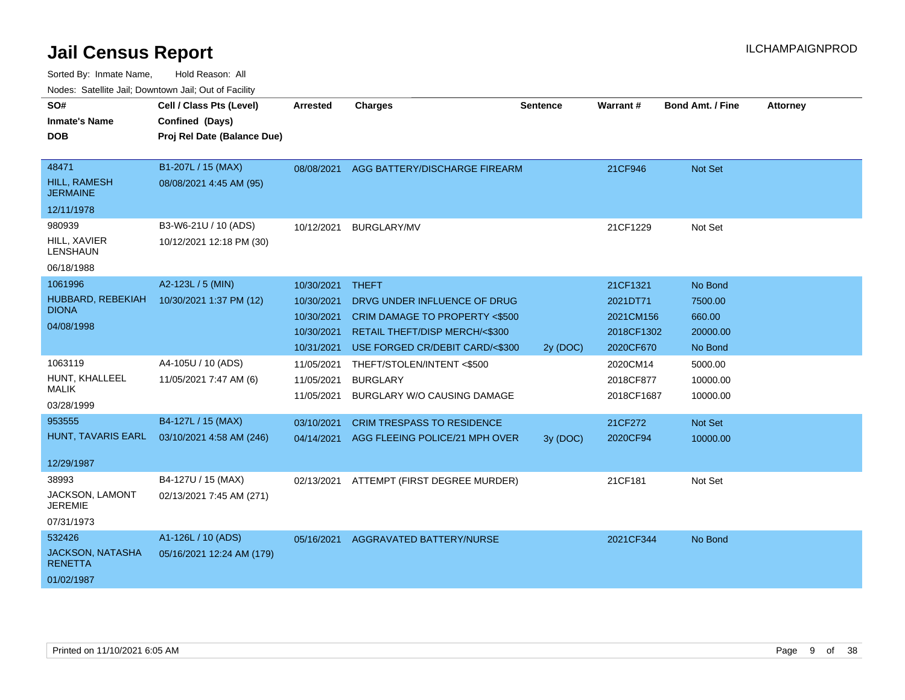| <u>Houce.</u> Catellite ball, Downtown ball, Out of Fabilit |                             |            |                                    |                 |                 |                         |                 |
|-------------------------------------------------------------|-----------------------------|------------|------------------------------------|-----------------|-----------------|-------------------------|-----------------|
| SO#                                                         | Cell / Class Pts (Level)    | Arrested   | <b>Charges</b>                     | <b>Sentence</b> | <b>Warrant#</b> | <b>Bond Amt. / Fine</b> | <b>Attorney</b> |
| <b>Inmate's Name</b>                                        | Confined (Days)             |            |                                    |                 |                 |                         |                 |
| <b>DOB</b>                                                  | Proj Rel Date (Balance Due) |            |                                    |                 |                 |                         |                 |
|                                                             |                             |            |                                    |                 |                 |                         |                 |
| 48471                                                       | B1-207L / 15 (MAX)          | 08/08/2021 | AGG BATTERY/DISCHARGE FIREARM      |                 | 21CF946         | Not Set                 |                 |
| HILL, RAMESH<br><b>JERMAINE</b>                             | 08/08/2021 4:45 AM (95)     |            |                                    |                 |                 |                         |                 |
| 12/11/1978                                                  |                             |            |                                    |                 |                 |                         |                 |
| 980939                                                      | B3-W6-21U / 10 (ADS)        | 10/12/2021 | <b>BURGLARY/MV</b>                 |                 | 21CF1229        | Not Set                 |                 |
| HILL, XAVIER<br>LENSHAUN                                    | 10/12/2021 12:18 PM (30)    |            |                                    |                 |                 |                         |                 |
| 06/18/1988                                                  |                             |            |                                    |                 |                 |                         |                 |
| 1061996                                                     | A2-123L / 5 (MIN)           | 10/30/2021 | <b>THEFT</b>                       |                 | 21CF1321        | No Bond                 |                 |
| HUBBARD, REBEKIAH                                           | 10/30/2021 1:37 PM (12)     | 10/30/2021 | DRVG UNDER INFLUENCE OF DRUG       |                 | 2021DT71        | 7500.00                 |                 |
| <b>DIONA</b>                                                |                             | 10/30/2021 | CRIM DAMAGE TO PROPERTY <\$500     |                 | 2021CM156       | 660.00                  |                 |
| 04/08/1998                                                  |                             | 10/30/2021 | RETAIL THEFT/DISP MERCH/<\$300     |                 | 2018CF1302      | 20000.00                |                 |
|                                                             |                             | 10/31/2021 | USE FORGED CR/DEBIT CARD/<\$300    | 2y (DOC)        | 2020CF670       | No Bond                 |                 |
| 1063119                                                     | A4-105U / 10 (ADS)          | 11/05/2021 | THEFT/STOLEN/INTENT <\$500         |                 | 2020CM14        | 5000.00                 |                 |
| HUNT, KHALLEEL                                              | 11/05/2021 7:47 AM (6)      | 11/05/2021 | <b>BURGLARY</b>                    |                 | 2018CF877       | 10000.00                |                 |
| <b>MALIK</b>                                                |                             | 11/05/2021 | <b>BURGLARY W/O CAUSING DAMAGE</b> |                 | 2018CF1687      | 10000.00                |                 |
| 03/28/1999                                                  |                             |            |                                    |                 |                 |                         |                 |
| 953555                                                      | B4-127L / 15 (MAX)          | 03/10/2021 | <b>CRIM TRESPASS TO RESIDENCE</b>  |                 | 21CF272         | Not Set                 |                 |
| HUNT, TAVARIS EARL                                          | 03/10/2021 4:58 AM (246)    | 04/14/2021 | AGG FLEEING POLICE/21 MPH OVER     | 3y (DOC)        | 2020CF94        | 10000.00                |                 |
|                                                             |                             |            |                                    |                 |                 |                         |                 |
| 12/29/1987                                                  |                             |            |                                    |                 |                 |                         |                 |
| 38993                                                       | B4-127U / 15 (MAX)          | 02/13/2021 | ATTEMPT (FIRST DEGREE MURDER)      |                 | 21CF181         | Not Set                 |                 |
| JACKSON, LAMONT<br><b>JEREMIE</b>                           | 02/13/2021 7:45 AM (271)    |            |                                    |                 |                 |                         |                 |
| 07/31/1973                                                  |                             |            |                                    |                 |                 |                         |                 |
| 532426                                                      | A1-126L / 10 (ADS)          | 05/16/2021 | AGGRAVATED BATTERY/NURSE           |                 | 2021CF344       | No Bond                 |                 |
| <b>JACKSON, NATASHA</b><br><b>RENETTA</b>                   | 05/16/2021 12:24 AM (179)   |            |                                    |                 |                 |                         |                 |
| 01/02/1987                                                  |                             |            |                                    |                 |                 |                         |                 |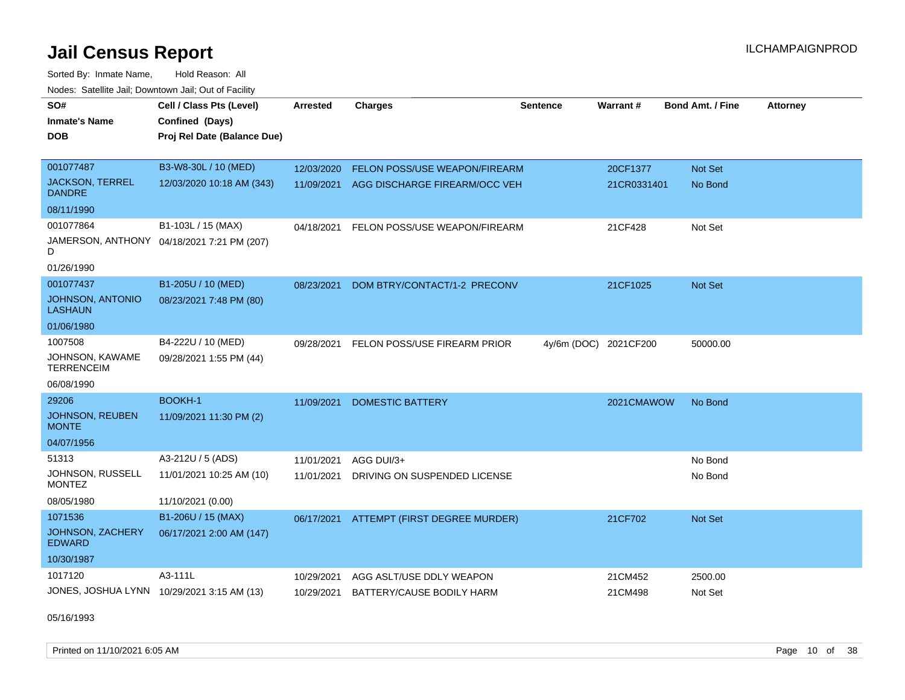Sorted By: Inmate Name, Hold Reason: All Nodes: Satellite Jail; Downtown Jail; Out of Facility

| SO#<br><b>Inmate's Name</b><br><b>DOB</b>  | Cell / Class Pts (Level)<br>Confined (Days)<br>Proj Rel Date (Balance Due) | <b>Arrested</b> | <b>Charges</b>                | <b>Sentence</b> | Warrant#    | <b>Bond Amt. / Fine</b> | Attorney |
|--------------------------------------------|----------------------------------------------------------------------------|-----------------|-------------------------------|-----------------|-------------|-------------------------|----------|
|                                            |                                                                            |                 |                               |                 |             |                         |          |
| 001077487                                  | B3-W8-30L / 10 (MED)                                                       | 12/03/2020      | FELON POSS/USE WEAPON/FIREARM |                 | 20CF1377    | Not Set                 |          |
| <b>JACKSON, TERREL</b><br><b>DANDRE</b>    | 12/03/2020 10:18 AM (343)                                                  | 11/09/2021      | AGG DISCHARGE FIREARM/OCC VEH |                 | 21CR0331401 | No Bond                 |          |
| 08/11/1990                                 |                                                                            |                 |                               |                 |             |                         |          |
| 001077864                                  | B1-103L / 15 (MAX)                                                         | 04/18/2021      | FELON POSS/USE WEAPON/FIREARM |                 | 21CF428     | Not Set                 |          |
| D                                          | JAMERSON, ANTHONY 04/18/2021 7:21 PM (207)                                 |                 |                               |                 |             |                         |          |
| 01/26/1990                                 |                                                                            |                 |                               |                 |             |                         |          |
| 001077437                                  | B1-205U / 10 (MED)                                                         | 08/23/2021      | DOM BTRY/CONTACT/1-2 PRECONV  |                 | 21CF1025    | Not Set                 |          |
| JOHNSON, ANTONIO<br><b>LASHAUN</b>         | 08/23/2021 7:48 PM (80)                                                    |                 |                               |                 |             |                         |          |
| 01/06/1980                                 |                                                                            |                 |                               |                 |             |                         |          |
| 1007508                                    | B4-222U / 10 (MED)                                                         | 09/28/2021      | FELON POSS/USE FIREARM PRIOR  | $4y/6m$ (DOC)   | 2021CF200   | 50000.00                |          |
| JOHNSON, KAWAME<br><b>TERRENCEIM</b>       | 09/28/2021 1:55 PM (44)                                                    |                 |                               |                 |             |                         |          |
| 06/08/1990                                 |                                                                            |                 |                               |                 |             |                         |          |
| 29206                                      | <b>BOOKH-1</b>                                                             | 11/09/2021      | <b>DOMESTIC BATTERY</b>       |                 | 2021CMAWOW  | No Bond                 |          |
| <b>JOHNSON, REUBEN</b><br><b>MONTE</b>     | 11/09/2021 11:30 PM (2)                                                    |                 |                               |                 |             |                         |          |
| 04/07/1956                                 |                                                                            |                 |                               |                 |             |                         |          |
| 51313                                      | A3-212U / 5 (ADS)                                                          | 11/01/2021      | AGG DUI/3+                    |                 |             | No Bond                 |          |
| JOHNSON, RUSSELL<br><b>MONTEZ</b>          | 11/01/2021 10:25 AM (10)                                                   | 11/01/2021      | DRIVING ON SUSPENDED LICENSE  |                 |             | No Bond                 |          |
| 08/05/1980                                 | 11/10/2021 (0.00)                                                          |                 |                               |                 |             |                         |          |
| 1071536                                    | B1-206U / 15 (MAX)                                                         | 06/17/2021      | ATTEMPT (FIRST DEGREE MURDER) |                 | 21CF702     | <b>Not Set</b>          |          |
| <b>JOHNSON, ZACHERY</b><br><b>EDWARD</b>   | 06/17/2021 2:00 AM (147)                                                   |                 |                               |                 |             |                         |          |
| 10/30/1987                                 |                                                                            |                 |                               |                 |             |                         |          |
| 1017120                                    | A3-111L                                                                    | 10/29/2021      | AGG ASLT/USE DDLY WEAPON      |                 | 21CM452     | 2500.00                 |          |
| JONES, JOSHUA LYNN 10/29/2021 3:15 AM (13) |                                                                            | 10/29/2021      | BATTERY/CAUSE BODILY HARM     |                 | 21CM498     | Not Set                 |          |

05/16/1993

Printed on 11/10/2021 6:05 AM **Page 10** of 38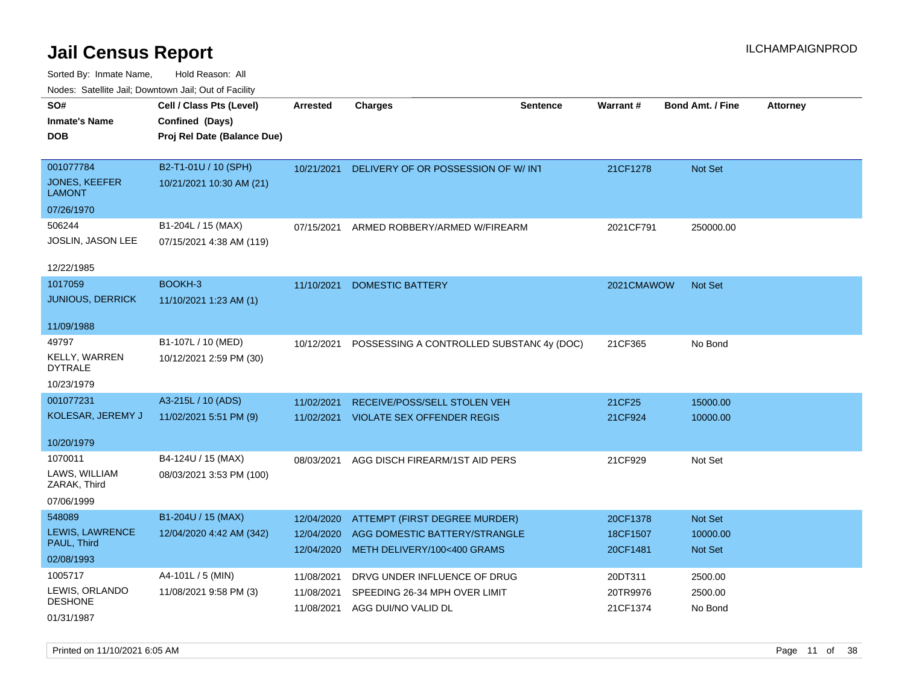| SO#                            | Cell / Class Pts (Level)    | <b>Arrested</b> | <b>Charges</b>                                                 | <b>Sentence</b> | <b>Warrant#</b> | <b>Bond Amt. / Fine</b> | <b>Attorney</b> |
|--------------------------------|-----------------------------|-----------------|----------------------------------------------------------------|-----------------|-----------------|-------------------------|-----------------|
| <b>Inmate's Name</b>           | Confined (Days)             |                 |                                                                |                 |                 |                         |                 |
| <b>DOB</b>                     | Proj Rel Date (Balance Due) |                 |                                                                |                 |                 |                         |                 |
|                                |                             |                 |                                                                |                 |                 |                         |                 |
| 001077784                      | B2-T1-01U / 10 (SPH)        | 10/21/2021      | DELIVERY OF OR POSSESSION OF W/IN1                             |                 | 21CF1278        | Not Set                 |                 |
| JONES, KEEFER<br><b>LAMONT</b> | 10/21/2021 10:30 AM (21)    |                 |                                                                |                 |                 |                         |                 |
| 07/26/1970                     |                             |                 |                                                                |                 |                 |                         |                 |
| 506244                         | B1-204L / 15 (MAX)          | 07/15/2021      | ARMED ROBBERY/ARMED W/FIREARM                                  |                 | 2021CF791       | 250000.00               |                 |
| JOSLIN, JASON LEE              | 07/15/2021 4:38 AM (119)    |                 |                                                                |                 |                 |                         |                 |
| 12/22/1985                     |                             |                 |                                                                |                 |                 |                         |                 |
| 1017059                        | BOOKH-3                     | 11/10/2021      | <b>DOMESTIC BATTERY</b>                                        |                 | 2021CMAWOW      | Not Set                 |                 |
| <b>JUNIOUS, DERRICK</b>        | 11/10/2021 1:23 AM (1)      |                 |                                                                |                 |                 |                         |                 |
| 11/09/1988                     |                             |                 |                                                                |                 |                 |                         |                 |
| 49797                          | B1-107L / 10 (MED)          |                 |                                                                |                 |                 |                         |                 |
| <b>KELLY, WARREN</b>           |                             | 10/12/2021      | POSSESSING A CONTROLLED SUBSTANC 4y (DOC)                      |                 | 21CF365         | No Bond                 |                 |
| <b>DYTRALE</b>                 | 10/12/2021 2:59 PM (30)     |                 |                                                                |                 |                 |                         |                 |
| 10/23/1979                     |                             |                 |                                                                |                 |                 |                         |                 |
| 001077231                      | A3-215L / 10 (ADS)          | 11/02/2021      | RECEIVE/POSS/SELL STOLEN VEH                                   |                 | 21CF25          | 15000.00                |                 |
| KOLESAR, JEREMY J              | 11/02/2021 5:51 PM (9)      |                 | 11/02/2021 VIOLATE SEX OFFENDER REGIS                          |                 | 21CF924         | 10000.00                |                 |
|                                |                             |                 |                                                                |                 |                 |                         |                 |
| 10/20/1979                     |                             |                 |                                                                |                 |                 |                         |                 |
| 1070011                        | B4-124U / 15 (MAX)          | 08/03/2021      | AGG DISCH FIREARM/1ST AID PERS                                 |                 | 21CF929         | Not Set                 |                 |
| LAWS, WILLIAM<br>ZARAK, Third  | 08/03/2021 3:53 PM (100)    |                 |                                                                |                 |                 |                         |                 |
| 07/06/1999                     |                             |                 |                                                                |                 |                 |                         |                 |
| 548089                         | B1-204U / 15 (MAX)          | 12/04/2020      |                                                                |                 | 20CF1378        | <b>Not Set</b>          |                 |
| <b>LEWIS, LAWRENCE</b>         | 12/04/2020 4:42 AM (342)    | 12/04/2020      | ATTEMPT (FIRST DEGREE MURDER)<br>AGG DOMESTIC BATTERY/STRANGLE |                 | 18CF1507        | 10000.00                |                 |
| PAUL, Third                    |                             | 12/04/2020      | METH DELIVERY/100<400 GRAMS                                    |                 | 20CF1481        | <b>Not Set</b>          |                 |
| 02/08/1993                     |                             |                 |                                                                |                 |                 |                         |                 |
| 1005717                        | A4-101L / 5 (MIN)           | 11/08/2021      | DRVG UNDER INFLUENCE OF DRUG                                   |                 | 20DT311         | 2500.00                 |                 |
| LEWIS, ORLANDO                 | 11/08/2021 9:58 PM (3)      | 11/08/2021      | SPEEDING 26-34 MPH OVER LIMIT                                  |                 | 20TR9976        | 2500.00                 |                 |
| <b>DESHONE</b>                 |                             | 11/08/2021      | AGG DUI/NO VALID DL                                            |                 | 21CF1374        | No Bond                 |                 |
| 01/31/1987                     |                             |                 |                                                                |                 |                 |                         |                 |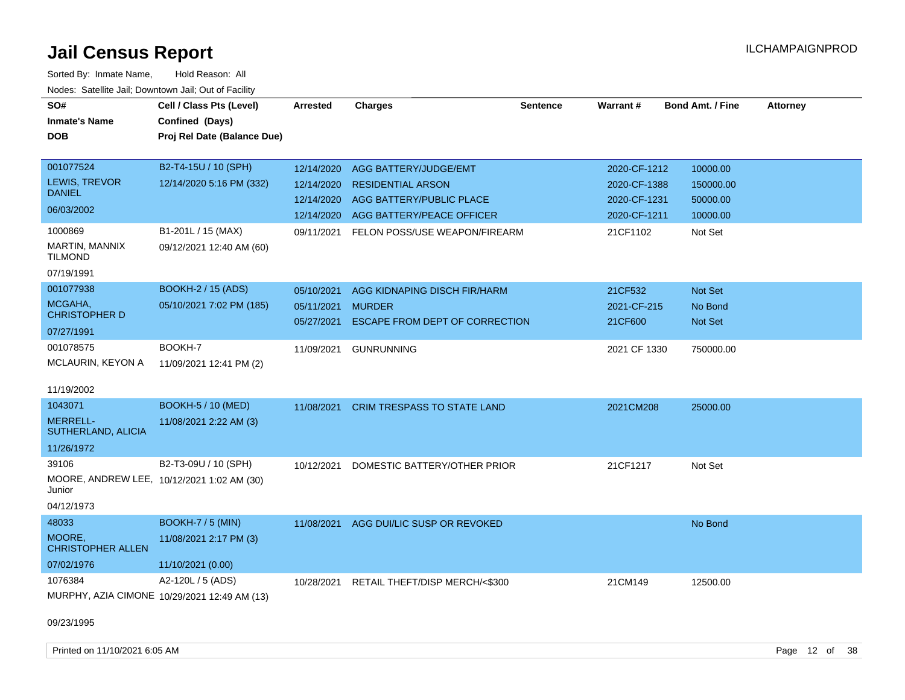| SO#<br><b>Inmate's Name</b><br><b>DOB</b>                                   | Cell / Class Pts (Level)<br>Confined (Days)<br>Proj Rel Date (Balance Due) | <b>Arrested</b>                                                    | <b>Charges</b>                                                                                                                              | <b>Sentence</b> | Warrant#                                                                 | <b>Bond Amt. / Fine</b>                                  | <b>Attorney</b> |
|-----------------------------------------------------------------------------|----------------------------------------------------------------------------|--------------------------------------------------------------------|---------------------------------------------------------------------------------------------------------------------------------------------|-----------------|--------------------------------------------------------------------------|----------------------------------------------------------|-----------------|
| 001077524<br>LEWIS, TREVOR<br><b>DANIEL</b><br>06/03/2002<br>1000869        | B2-T4-15U / 10 (SPH)<br>12/14/2020 5:16 PM (332)<br>B1-201L / 15 (MAX)     | 12/14/2020<br>12/14/2020<br>12/14/2020<br>12/14/2020<br>09/11/2021 | AGG BATTERY/JUDGE/EMT<br><b>RESIDENTIAL ARSON</b><br>AGG BATTERY/PUBLIC PLACE<br>AGG BATTERY/PEACE OFFICER<br>FELON POSS/USE WEAPON/FIREARM |                 | 2020-CF-1212<br>2020-CF-1388<br>2020-CF-1231<br>2020-CF-1211<br>21CF1102 | 10000.00<br>150000.00<br>50000.00<br>10000.00<br>Not Set |                 |
| MARTIN, MANNIX<br><b>TILMOND</b><br>07/19/1991                              | 09/12/2021 12:40 AM (60)                                                   |                                                                    |                                                                                                                                             |                 |                                                                          |                                                          |                 |
| 001077938<br>MCGAHA,<br><b>CHRISTOPHER D</b><br>07/27/1991                  | <b>BOOKH-2 / 15 (ADS)</b><br>05/10/2021 7:02 PM (185)                      | 05/10/2021<br>05/11/2021<br>05/27/2021                             | AGG KIDNAPING DISCH FIR/HARM<br><b>MURDER</b><br>ESCAPE FROM DEPT OF CORRECTION                                                             |                 | 21CF532<br>2021-CF-215<br>21CF600                                        | <b>Not Set</b><br>No Bond<br><b>Not Set</b>              |                 |
| 001078575<br>MCLAURIN, KEYON A<br>11/19/2002                                | BOOKH-7<br>11/09/2021 12:41 PM (2)                                         | 11/09/2021                                                         | <b>GUNRUNNING</b>                                                                                                                           |                 | 2021 CF 1330                                                             | 750000.00                                                |                 |
| 1043071<br><b>MERRELL-</b><br>SUTHERLAND, ALICIA<br>11/26/1972              | <b>BOOKH-5 / 10 (MED)</b><br>11/08/2021 2:22 AM (3)                        | 11/08/2021                                                         | CRIM TRESPASS TO STATE LAND                                                                                                                 |                 | 2021CM208                                                                | 25000.00                                                 |                 |
| 39106<br>MOORE, ANDREW LEE, 10/12/2021 1:02 AM (30)<br>Junior<br>04/12/1973 | B2-T3-09U / 10 (SPH)                                                       | 10/12/2021                                                         | DOMESTIC BATTERY/OTHER PRIOR                                                                                                                |                 | 21CF1217                                                                 | Not Set                                                  |                 |
| 48033<br>MOORE,<br><b>CHRISTOPHER ALLEN</b><br>07/02/1976                   | BOOKH-7 / 5 (MIN)<br>11/08/2021 2:17 PM (3)<br>11/10/2021 (0.00)           | 11/08/2021                                                         | AGG DUI/LIC SUSP OR REVOKED                                                                                                                 |                 |                                                                          | No Bond                                                  |                 |
| 1076384<br>09/23/1995                                                       | A2-120L / 5 (ADS)<br>MURPHY, AZIA CIMONE 10/29/2021 12:49 AM (13)          | 10/28/2021                                                         | RETAIL THEFT/DISP MERCH/<\$300                                                                                                              |                 | 21CM149                                                                  | 12500.00                                                 |                 |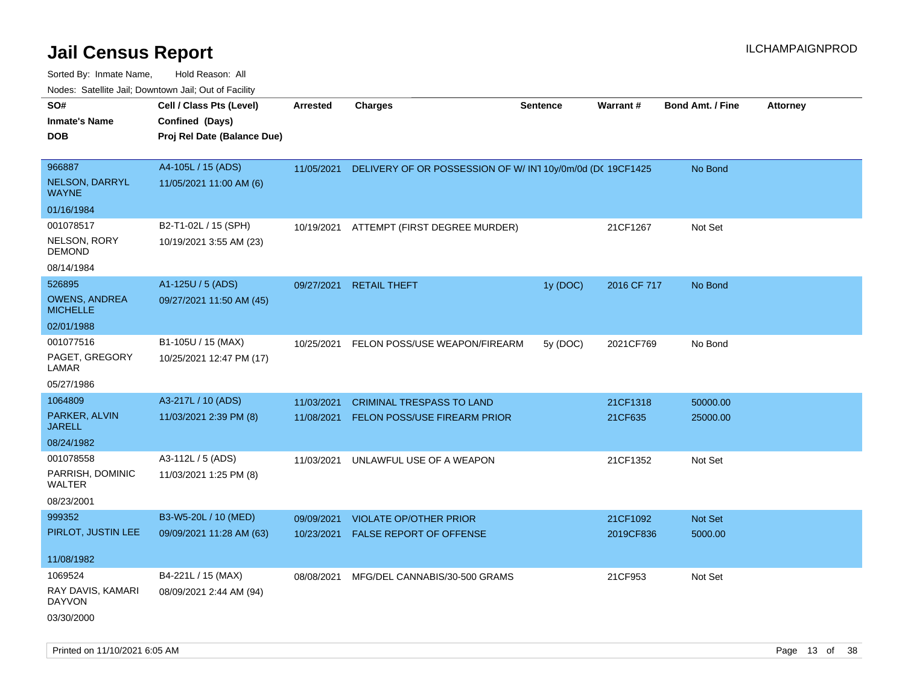Sorted By: Inmate Name, Hold Reason: All Nodes: Satellite Jail; Downtown Jail; Out of Facility

| Noues. Salenne Jan, Downtown Jan, Out of Facility |                             |            |                                                            |                 |             |                         |                 |
|---------------------------------------------------|-----------------------------|------------|------------------------------------------------------------|-----------------|-------------|-------------------------|-----------------|
| SO#                                               | Cell / Class Pts (Level)    | Arrested   | <b>Charges</b>                                             | <b>Sentence</b> | Warrant#    | <b>Bond Amt. / Fine</b> | <b>Attorney</b> |
| <b>Inmate's Name</b>                              | Confined (Days)             |            |                                                            |                 |             |                         |                 |
| <b>DOB</b>                                        | Proj Rel Date (Balance Due) |            |                                                            |                 |             |                         |                 |
|                                                   |                             |            |                                                            |                 |             |                         |                 |
| 966887                                            | A4-105L / 15 (ADS)          | 11/05/2021 | DELIVERY OF OR POSSESSION OF W/ IN1 10y/0m/0d (DC 19CF1425 |                 |             | No Bond                 |                 |
| <b>NELSON, DARRYL</b><br>WAYNE                    | 11/05/2021 11:00 AM (6)     |            |                                                            |                 |             |                         |                 |
| 01/16/1984                                        |                             |            |                                                            |                 |             |                         |                 |
| 001078517                                         | B2-T1-02L / 15 (SPH)        | 10/19/2021 | ATTEMPT (FIRST DEGREE MURDER)                              |                 | 21CF1267    | Not Set                 |                 |
| NELSON, RORY<br><b>DEMOND</b>                     | 10/19/2021 3:55 AM (23)     |            |                                                            |                 |             |                         |                 |
| 08/14/1984                                        |                             |            |                                                            |                 |             |                         |                 |
| 526895                                            | A1-125U / 5 (ADS)           | 09/27/2021 | <b>RETAIL THEFT</b>                                        | 1y (DOC)        | 2016 CF 717 | No Bond                 |                 |
| <b>OWENS, ANDREA</b><br><b>MICHELLE</b>           | 09/27/2021 11:50 AM (45)    |            |                                                            |                 |             |                         |                 |
| 02/01/1988                                        |                             |            |                                                            |                 |             |                         |                 |
| 001077516                                         | B1-105U / 15 (MAX)          | 10/25/2021 | FELON POSS/USE WEAPON/FIREARM                              | 5y (DOC)        | 2021CF769   | No Bond                 |                 |
| PAGET, GREGORY<br>LAMAR                           | 10/25/2021 12:47 PM (17)    |            |                                                            |                 |             |                         |                 |
| 05/27/1986                                        |                             |            |                                                            |                 |             |                         |                 |
| 1064809                                           | A3-217L / 10 (ADS)          | 11/03/2021 | <b>CRIMINAL TRESPASS TO LAND</b>                           |                 | 21CF1318    | 50000.00                |                 |
| PARKER, ALVIN<br><b>JARELL</b>                    | 11/03/2021 2:39 PM (8)      | 11/08/2021 | FELON POSS/USE FIREARM PRIOR                               |                 | 21CF635     | 25000.00                |                 |
| 08/24/1982                                        |                             |            |                                                            |                 |             |                         |                 |
| 001078558                                         | A3-112L / 5 (ADS)           | 11/03/2021 | UNLAWFUL USE OF A WEAPON                                   |                 | 21CF1352    | Not Set                 |                 |
| PARRISH, DOMINIC<br>WALTER                        | 11/03/2021 1:25 PM (8)      |            |                                                            |                 |             |                         |                 |
| 08/23/2001                                        |                             |            |                                                            |                 |             |                         |                 |
| 999352                                            | B3-W5-20L / 10 (MED)        | 09/09/2021 | <b>VIOLATE OP/OTHER PRIOR</b>                              |                 | 21CF1092    | <b>Not Set</b>          |                 |
| PIRLOT, JUSTIN LEE                                | 09/09/2021 11:28 AM (63)    | 10/23/2021 | <b>FALSE REPORT OF OFFENSE</b>                             |                 | 2019CF836   | 5000.00                 |                 |
| 11/08/1982                                        |                             |            |                                                            |                 |             |                         |                 |
| 1069524                                           | B4-221L / 15 (MAX)          | 08/08/2021 | MFG/DEL CANNABIS/30-500 GRAMS                              |                 | 21CF953     | Not Set                 |                 |
| RAY DAVIS, KAMARI<br><b>DAYVON</b>                | 08/09/2021 2:44 AM (94)     |            |                                                            |                 |             |                         |                 |
| 03/30/2000                                        |                             |            |                                                            |                 |             |                         |                 |

Printed on 11/10/2021 6:05 AM **Page 13** of 38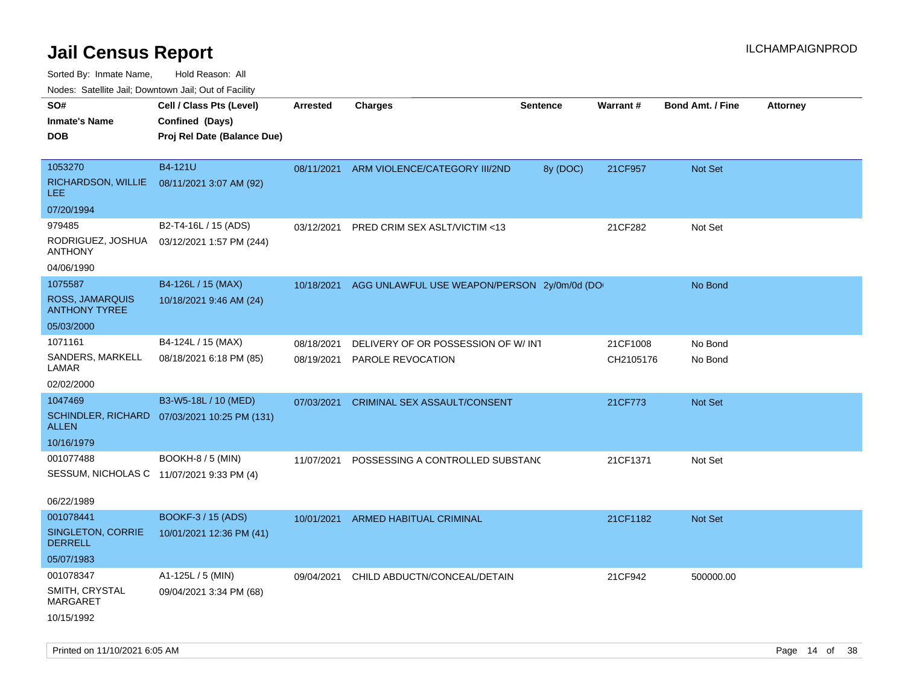Sorted By: Inmate Name, Hold Reason: All

Nodes: Satellite Jail; Downtown Jail; Out of Facility

| SO#<br><b>Inmate's Name</b><br><b>DOB</b>                   | Cell / Class Pts (Level)<br>Confined (Days)<br>Proj Rel Date (Balance Due) | Arrested   | <b>Charges</b>                              | <b>Sentence</b> | <b>Warrant#</b> | <b>Bond Amt. / Fine</b> | <b>Attorney</b> |
|-------------------------------------------------------------|----------------------------------------------------------------------------|------------|---------------------------------------------|-----------------|-----------------|-------------------------|-----------------|
| 1053270<br>RICHARDSON, WILLIE<br>LEE.                       | B4-121U<br>08/11/2021 3:07 AM (92)                                         | 08/11/2021 | ARM VIOLENCE/CATEGORY III/2ND               | 8y (DOC)        | 21CF957         | <b>Not Set</b>          |                 |
| 07/20/1994                                                  |                                                                            |            |                                             |                 |                 |                         |                 |
| 979485<br>RODRIGUEZ, JOSHUA<br><b>ANTHONY</b><br>04/06/1990 | B2-T4-16L / 15 (ADS)<br>03/12/2021 1:57 PM (244)                           | 03/12/2021 | PRED CRIM SEX ASLT/VICTIM <13               |                 | 21CF282         | Not Set                 |                 |
| 1075587                                                     | B4-126L / 15 (MAX)                                                         | 10/18/2021 | AGG UNLAWFUL USE WEAPON/PERSON 2y/0m/0d (DO |                 |                 | No Bond                 |                 |
| ROSS, JAMARQUIS<br><b>ANTHONY TYREE</b>                     | 10/18/2021 9:46 AM (24)                                                    |            |                                             |                 |                 |                         |                 |
| 05/03/2000                                                  |                                                                            |            |                                             |                 |                 |                         |                 |
| 1071161                                                     | B4-124L / 15 (MAX)                                                         | 08/18/2021 | DELIVERY OF OR POSSESSION OF W/ INT         |                 | 21CF1008        | No Bond                 |                 |
| SANDERS, MARKELL<br>LAMAR                                   | 08/18/2021 6:18 PM (85)                                                    | 08/19/2021 | PAROLE REVOCATION                           |                 | CH2105176       | No Bond                 |                 |
| 02/02/2000                                                  |                                                                            |            |                                             |                 |                 |                         |                 |
| 1047469                                                     | B3-W5-18L / 10 (MED)                                                       | 07/03/2021 | CRIMINAL SEX ASSAULT/CONSENT                |                 | 21CF773         | <b>Not Set</b>          |                 |
| ALLEN                                                       | SCHINDLER, RICHARD 07/03/2021 10:25 PM (131)                               |            |                                             |                 |                 |                         |                 |
| 10/16/1979                                                  |                                                                            |            |                                             |                 |                 |                         |                 |
| 001077488                                                   | BOOKH-8 / 5 (MIN)                                                          | 11/07/2021 | POSSESSING A CONTROLLED SUBSTANC            |                 | 21CF1371        | Not Set                 |                 |
| SESSUM, NICHOLAS C 11/07/2021 9:33 PM (4)                   |                                                                            |            |                                             |                 |                 |                         |                 |
| 06/22/1989                                                  |                                                                            |            |                                             |                 |                 |                         |                 |
| 001078441                                                   | BOOKF-3 / 15 (ADS)                                                         | 10/01/2021 | ARMED HABITUAL CRIMINAL                     |                 | 21CF1182        | Not Set                 |                 |
| SINGLETON, CORRIE<br><b>DERRELL</b>                         | 10/01/2021 12:36 PM (41)                                                   |            |                                             |                 |                 |                         |                 |
| 05/07/1983                                                  |                                                                            |            |                                             |                 |                 |                         |                 |
| 001078347                                                   | A1-125L / 5 (MIN)                                                          | 09/04/2021 | CHILD ABDUCTN/CONCEAL/DETAIN                |                 | 21CF942         | 500000.00               |                 |
| SMITH, CRYSTAL<br>MARGARET                                  | 09/04/2021 3:34 PM (68)                                                    |            |                                             |                 |                 |                         |                 |
| 10/15/1992                                                  |                                                                            |            |                                             |                 |                 |                         |                 |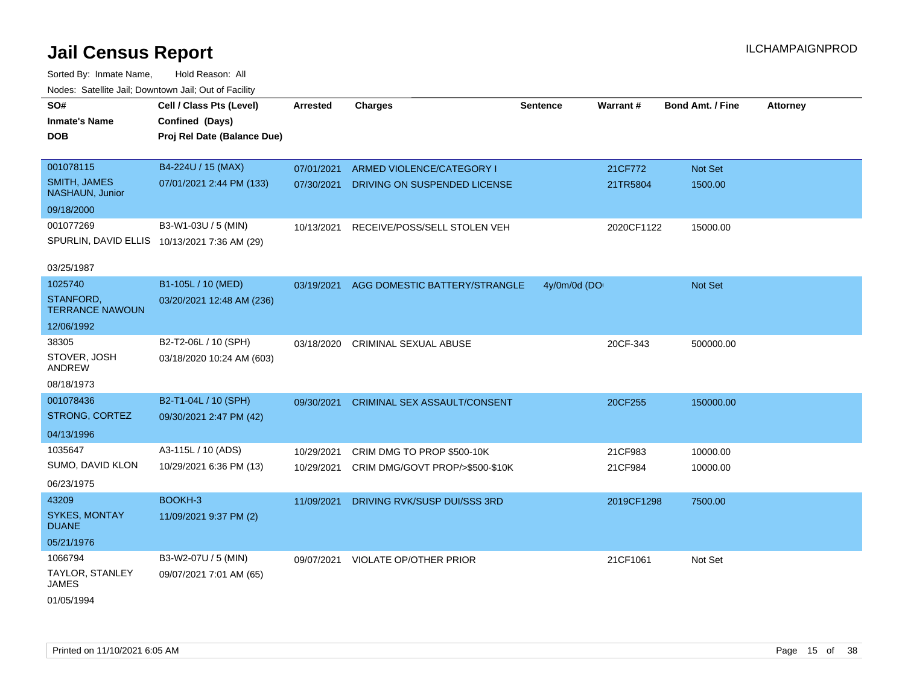| SO#                                    | Cell / Class Pts (Level)                     | <b>Arrested</b> | <b>Charges</b>                           | <b>Sentence</b> | Warrant#   | <b>Bond Amt. / Fine</b> | <b>Attorney</b> |
|----------------------------------------|----------------------------------------------|-----------------|------------------------------------------|-----------------|------------|-------------------------|-----------------|
| <b>Inmate's Name</b>                   | Confined (Days)                              |                 |                                          |                 |            |                         |                 |
| <b>DOB</b>                             | Proj Rel Date (Balance Due)                  |                 |                                          |                 |            |                         |                 |
|                                        |                                              |                 |                                          |                 |            |                         |                 |
| 001078115                              | B4-224U / 15 (MAX)                           | 07/01/2021      | ARMED VIOLENCE/CATEGORY I                |                 | 21CF772    | Not Set                 |                 |
| <b>SMITH, JAMES</b><br>NASHAUN, Junior | 07/01/2021 2:44 PM (133)                     | 07/30/2021      | DRIVING ON SUSPENDED LICENSE             |                 | 21TR5804   | 1500.00                 |                 |
| 09/18/2000                             |                                              |                 |                                          |                 |            |                         |                 |
| 001077269                              | B3-W1-03U / 5 (MIN)                          | 10/13/2021      | RECEIVE/POSS/SELL STOLEN VEH             |                 | 2020CF1122 | 15000.00                |                 |
|                                        | SPURLIN, DAVID ELLIS 10/13/2021 7:36 AM (29) |                 |                                          |                 |            |                         |                 |
|                                        |                                              |                 |                                          |                 |            |                         |                 |
| 03/25/1987                             |                                              |                 |                                          |                 |            |                         |                 |
| 1025740                                | B1-105L / 10 (MED)                           |                 | 03/19/2021 AGG DOMESTIC BATTERY/STRANGLE | 4y/0m/0d (DO    |            | Not Set                 |                 |
| STANFORD,<br><b>TERRANCE NAWOUN</b>    | 03/20/2021 12:48 AM (236)                    |                 |                                          |                 |            |                         |                 |
| 12/06/1992                             |                                              |                 |                                          |                 |            |                         |                 |
| 38305                                  | B2-T2-06L / 10 (SPH)                         | 03/18/2020      | <b>CRIMINAL SEXUAL ABUSE</b>             |                 | 20CF-343   | 500000.00               |                 |
| STOVER, JOSH<br>ANDREW                 | 03/18/2020 10:24 AM (603)                    |                 |                                          |                 |            |                         |                 |
| 08/18/1973                             |                                              |                 |                                          |                 |            |                         |                 |
| 001078436                              | B2-T1-04L / 10 (SPH)                         | 09/30/2021      | <b>CRIMINAL SEX ASSAULT/CONSENT</b>      |                 | 20CF255    | 150000.00               |                 |
| STRONG, CORTEZ                         | 09/30/2021 2:47 PM (42)                      |                 |                                          |                 |            |                         |                 |
| 04/13/1996                             |                                              |                 |                                          |                 |            |                         |                 |
| 1035647                                | A3-115L / 10 (ADS)                           | 10/29/2021      | CRIM DMG TO PROP \$500-10K               |                 | 21CF983    | 10000.00                |                 |
| SUMO, DAVID KLON                       | 10/29/2021 6:36 PM (13)                      | 10/29/2021      | CRIM DMG/GOVT PROP/>\$500-\$10K          |                 | 21CF984    | 10000.00                |                 |
| 06/23/1975                             |                                              |                 |                                          |                 |            |                         |                 |
| 43209                                  | BOOKH-3                                      | 11/09/2021      | DRIVING RVK/SUSP DUI/SSS 3RD             |                 | 2019CF1298 | 7500.00                 |                 |
| <b>SYKES, MONTAY</b><br><b>DUANE</b>   | 11/09/2021 9:37 PM (2)                       |                 |                                          |                 |            |                         |                 |
| 05/21/1976                             |                                              |                 |                                          |                 |            |                         |                 |
| 1066794                                | B3-W2-07U / 5 (MIN)                          |                 | 09/07/2021 VIOLATE OP/OTHER PRIOR        |                 | 21CF1061   | Not Set                 |                 |
| TAYLOR, STANLEY<br><b>JAMES</b>        | 09/07/2021 7:01 AM (65)                      |                 |                                          |                 |            |                         |                 |
| 01/05/1994                             |                                              |                 |                                          |                 |            |                         |                 |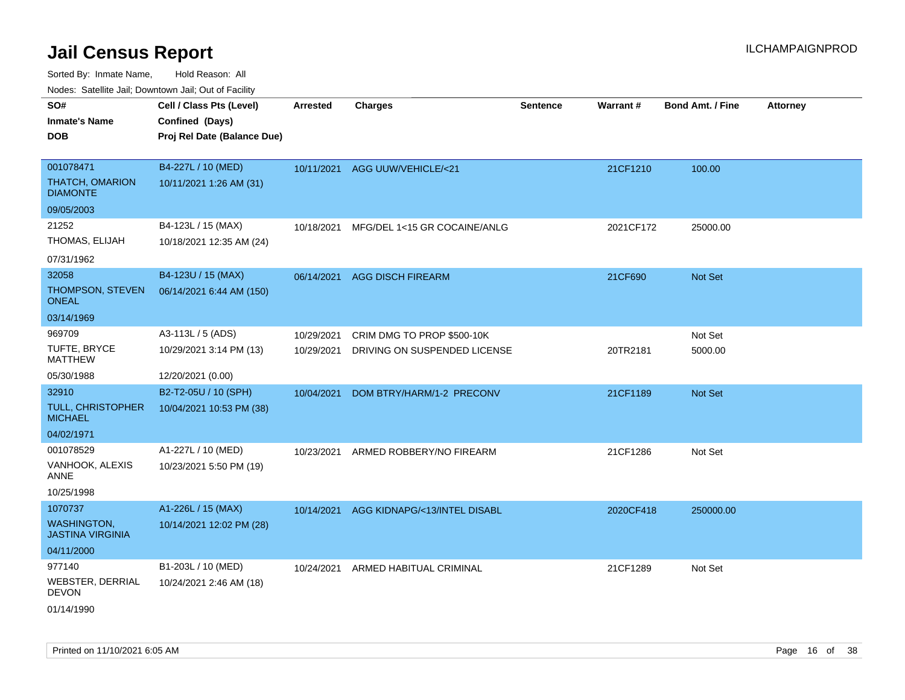Sorted By: Inmate Name, Hold Reason: All

| Nodes: Satellite Jail; Downtown Jail; Out of Facility |                             |                 |                               |                 |           |                         |                 |  |  |  |
|-------------------------------------------------------|-----------------------------|-----------------|-------------------------------|-----------------|-----------|-------------------------|-----------------|--|--|--|
| SO#                                                   | Cell / Class Pts (Level)    | <b>Arrested</b> | <b>Charges</b>                | <b>Sentence</b> | Warrant#  | <b>Bond Amt. / Fine</b> | <b>Attorney</b> |  |  |  |
| <b>Inmate's Name</b>                                  | Confined (Days)             |                 |                               |                 |           |                         |                 |  |  |  |
| <b>DOB</b>                                            | Proj Rel Date (Balance Due) |                 |                               |                 |           |                         |                 |  |  |  |
|                                                       |                             |                 |                               |                 |           |                         |                 |  |  |  |
| 001078471                                             | B4-227L / 10 (MED)          | 10/11/2021      | <b>AGG UUW/VEHICLE/&lt;21</b> |                 | 21CF1210  | 100.00                  |                 |  |  |  |
| <b>THATCH, OMARION</b><br><b>DIAMONTE</b>             | 10/11/2021 1:26 AM (31)     |                 |                               |                 |           |                         |                 |  |  |  |
| 09/05/2003                                            |                             |                 |                               |                 |           |                         |                 |  |  |  |
| 21252                                                 | B4-123L / 15 (MAX)          | 10/18/2021      | MFG/DEL 1<15 GR COCAINE/ANLG  |                 | 2021CF172 | 25000.00                |                 |  |  |  |
| THOMAS, ELIJAH                                        | 10/18/2021 12:35 AM (24)    |                 |                               |                 |           |                         |                 |  |  |  |
| 07/31/1962                                            |                             |                 |                               |                 |           |                         |                 |  |  |  |
| 32058                                                 | B4-123U / 15 (MAX)          | 06/14/2021      | <b>AGG DISCH FIREARM</b>      |                 | 21CF690   | Not Set                 |                 |  |  |  |
| THOMPSON, STEVEN<br><b>ONEAL</b>                      | 06/14/2021 6:44 AM (150)    |                 |                               |                 |           |                         |                 |  |  |  |
| 03/14/1969                                            |                             |                 |                               |                 |           |                         |                 |  |  |  |
| 969709                                                | A3-113L / 5 (ADS)           | 10/29/2021      | CRIM DMG TO PROP \$500-10K    |                 |           | Not Set                 |                 |  |  |  |
| TUFTE, BRYCE<br><b>MATTHEW</b>                        | 10/29/2021 3:14 PM (13)     | 10/29/2021      | DRIVING ON SUSPENDED LICENSE  |                 | 20TR2181  | 5000.00                 |                 |  |  |  |
| 05/30/1988                                            | 12/20/2021 (0.00)           |                 |                               |                 |           |                         |                 |  |  |  |
| 32910                                                 | B2-T2-05U / 10 (SPH)        | 10/04/2021      | DOM BTRY/HARM/1-2 PRECONV     |                 | 21CF1189  | Not Set                 |                 |  |  |  |
| <b>TULL, CHRISTOPHER</b><br><b>MICHAEL</b>            | 10/04/2021 10:53 PM (38)    |                 |                               |                 |           |                         |                 |  |  |  |
| 04/02/1971                                            |                             |                 |                               |                 |           |                         |                 |  |  |  |
| 001078529                                             | A1-227L / 10 (MED)          | 10/23/2021      | ARMED ROBBERY/NO FIREARM      |                 | 21CF1286  | Not Set                 |                 |  |  |  |
| VANHOOK, ALEXIS<br><b>ANNE</b>                        | 10/23/2021 5:50 PM (19)     |                 |                               |                 |           |                         |                 |  |  |  |
| 10/25/1998                                            |                             |                 |                               |                 |           |                         |                 |  |  |  |
| 1070737                                               | A1-226L / 15 (MAX)          | 10/14/2021      | AGG KIDNAPG/<13/INTEL DISABL  |                 | 2020CF418 | 250000.00               |                 |  |  |  |
| <b>WASHINGTON,</b><br><b>JASTINA VIRGINIA</b>         | 10/14/2021 12:02 PM (28)    |                 |                               |                 |           |                         |                 |  |  |  |
| 04/11/2000                                            |                             |                 |                               |                 |           |                         |                 |  |  |  |
| 977140                                                | B1-203L / 10 (MED)          | 10/24/2021      | ARMED HABITUAL CRIMINAL       |                 | 21CF1289  | Not Set                 |                 |  |  |  |
| WEBSTER, DERRIAL<br><b>DEVON</b>                      | 10/24/2021 2:46 AM (18)     |                 |                               |                 |           |                         |                 |  |  |  |
| 01/14/1990                                            |                             |                 |                               |                 |           |                         |                 |  |  |  |

Printed on 11/10/2021 6:05 AM **Page 16** of 38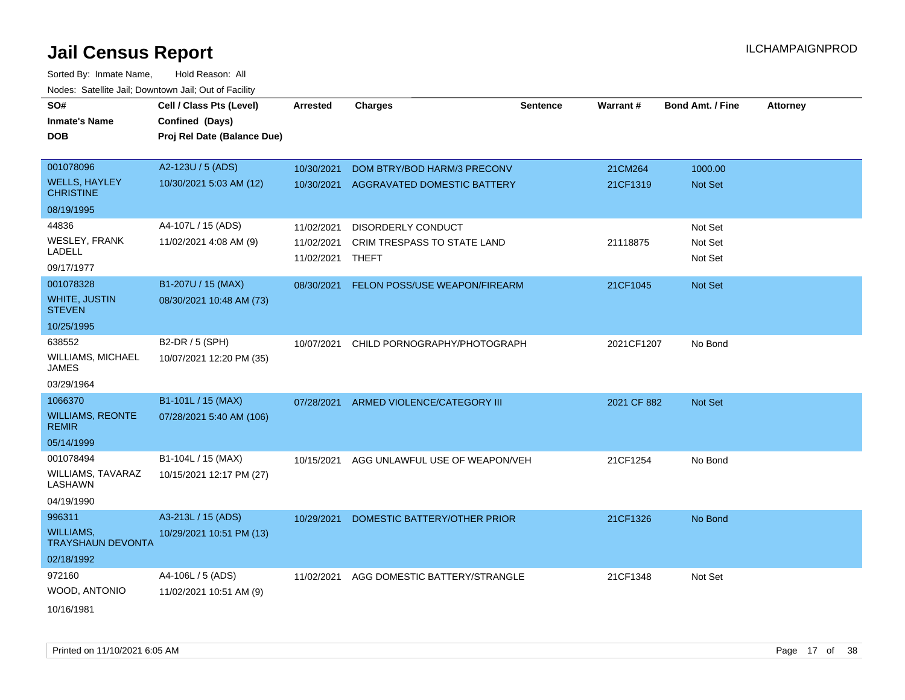| SO#<br><b>Inmate's Name</b><br><b>DOB</b> | Cell / Class Pts (Level)<br>Confined (Days)<br>Proj Rel Date (Balance Due) | <b>Arrested</b>          | <b>Charges</b>                     | <b>Sentence</b> | Warrant#    | <b>Bond Amt. / Fine</b> | <b>Attorney</b> |
|-------------------------------------------|----------------------------------------------------------------------------|--------------------------|------------------------------------|-----------------|-------------|-------------------------|-----------------|
| 001078096                                 | A2-123U / 5 (ADS)                                                          | 10/30/2021               | DOM BTRY/BOD HARM/3 PRECONV        |                 | 21CM264     | 1000.00                 |                 |
| <b>WELLS, HAYLEY</b><br><b>CHRISTINE</b>  | 10/30/2021 5:03 AM (12)                                                    | 10/30/2021               | <b>AGGRAVATED DOMESTIC BATTERY</b> |                 | 21CF1319    | Not Set                 |                 |
| 08/19/1995                                |                                                                            |                          |                                    |                 |             |                         |                 |
| 44836                                     | A4-107L / 15 (ADS)                                                         | 11/02/2021               | DISORDERLY CONDUCT                 |                 |             | Not Set                 |                 |
| <b>WESLEY, FRANK</b><br>LADELL            | 11/02/2021 4:08 AM (9)                                                     | 11/02/2021<br>11/02/2021 | CRIM TRESPASS TO STATE LAND        |                 | 21118875    | Not Set<br>Not Set      |                 |
| 09/17/1977                                |                                                                            |                          | THEFT                              |                 |             |                         |                 |
| 001078328                                 | B1-207U / 15 (MAX)                                                         | 08/30/2021               | FELON POSS/USE WEAPON/FIREARM      |                 | 21CF1045    | Not Set                 |                 |
| <b>WHITE, JUSTIN</b><br><b>STEVEN</b>     | 08/30/2021 10:48 AM (73)                                                   |                          |                                    |                 |             |                         |                 |
| 10/25/1995                                |                                                                            |                          |                                    |                 |             |                         |                 |
| 638552                                    | B2-DR / 5 (SPH)                                                            | 10/07/2021               | CHILD PORNOGRAPHY/PHOTOGRAPH       |                 | 2021CF1207  | No Bond                 |                 |
| WILLIAMS, MICHAEL<br>JAMES                | 10/07/2021 12:20 PM (35)                                                   |                          |                                    |                 |             |                         |                 |
| 03/29/1964                                |                                                                            |                          |                                    |                 |             |                         |                 |
| 1066370                                   | B1-101L / 15 (MAX)                                                         | 07/28/2021               | ARMED VIOLENCE/CATEGORY III        |                 | 2021 CF 882 | Not Set                 |                 |
| <b>WILLIAMS, REONTE</b><br><b>REMIR</b>   | 07/28/2021 5:40 AM (106)                                                   |                          |                                    |                 |             |                         |                 |
| 05/14/1999                                |                                                                            |                          |                                    |                 |             |                         |                 |
| 001078494                                 | B1-104L / 15 (MAX)                                                         | 10/15/2021               | AGG UNLAWFUL USE OF WEAPON/VEH     |                 | 21CF1254    | No Bond                 |                 |
| WILLIAMS, TAVARAZ<br>LASHAWN              | 10/15/2021 12:17 PM (27)                                                   |                          |                                    |                 |             |                         |                 |
| 04/19/1990                                |                                                                            |                          |                                    |                 |             |                         |                 |
| 996311                                    | A3-213L / 15 (ADS)                                                         | 10/29/2021               | DOMESTIC BATTERY/OTHER PRIOR       |                 | 21CF1326    | No Bond                 |                 |
| WILLIAMS,<br><b>TRAYSHAUN DEVONTA</b>     | 10/29/2021 10:51 PM (13)                                                   |                          |                                    |                 |             |                         |                 |
| 02/18/1992                                |                                                                            |                          |                                    |                 |             |                         |                 |
| 972160                                    | A4-106L / 5 (ADS)                                                          | 11/02/2021               | AGG DOMESTIC BATTERY/STRANGLE      |                 | 21CF1348    | Not Set                 |                 |
| WOOD, ANTONIO                             | 11/02/2021 10:51 AM (9)                                                    |                          |                                    |                 |             |                         |                 |
| 10/16/1981                                |                                                                            |                          |                                    |                 |             |                         |                 |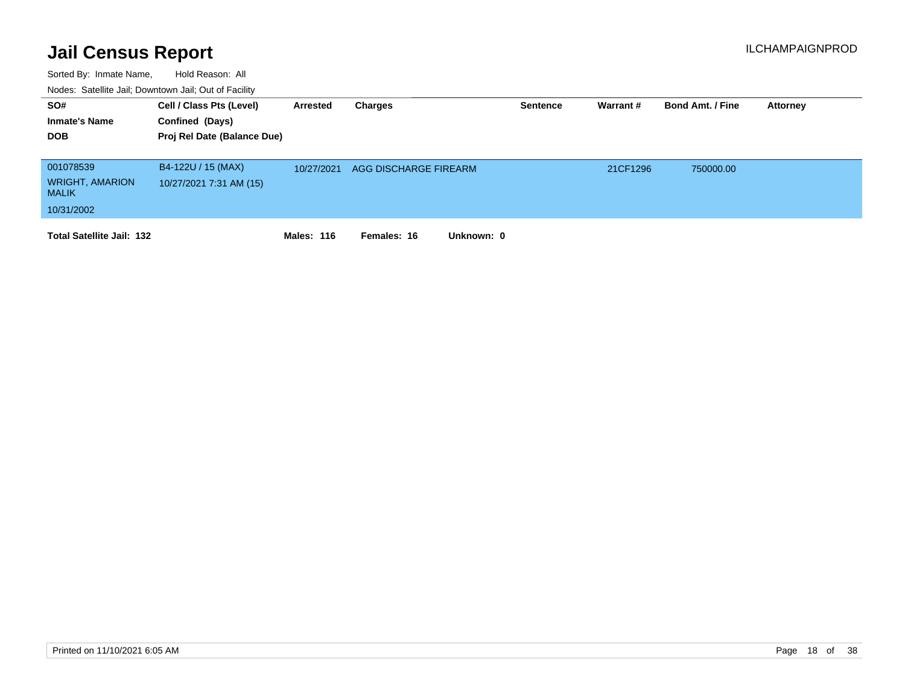| SO#<br><b>Inmate's Name</b><br><b>DOB</b>                         | Cell / Class Pts (Level)<br>Confined (Days)<br>Proj Rel Date (Balance Due) | Arrested          | Charges                   | <b>Sentence</b> | Warrant # | <b>Bond Amt. / Fine</b> | <b>Attorney</b> |
|-------------------------------------------------------------------|----------------------------------------------------------------------------|-------------------|---------------------------|-----------------|-----------|-------------------------|-----------------|
| 001078539<br><b>WRIGHT, AMARION</b><br><b>MALIK</b><br>10/31/2002 | B4-122U / 15 (MAX)<br>10/27/2021 7:31 AM (15)                              | 10/27/2021        | AGG DISCHARGE FIREARM     |                 | 21CF1296  | 750000.00               |                 |
| <b>Total Satellite Jail: 132</b>                                  |                                                                            | <b>Males: 116</b> | Females: 16<br>Unknown: 0 |                 |           |                         |                 |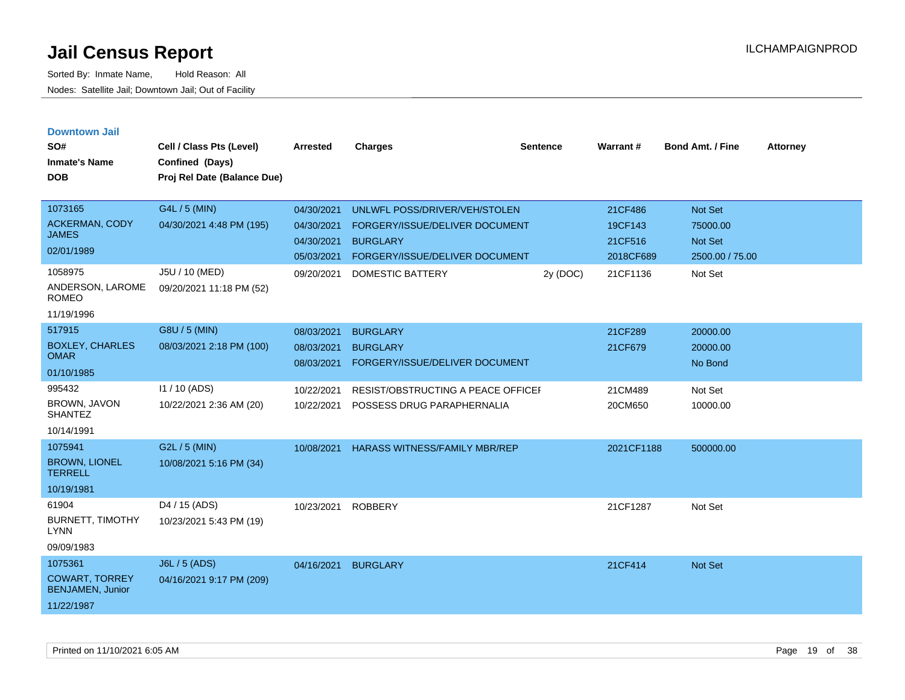| <b>Downtown Jail</b> |  |
|----------------------|--|
|                      |  |

| SO#<br><b>Inmate's Name</b><br><b>DOB</b>                                 | Cell / Class Pts (Level)<br>Confined (Days)<br>Proj Rel Date (Balance Due) | <b>Arrested</b>                                      | <b>Charges</b>                                                                                                                                             | <b>Sentence</b> | Warrant#                                               | <b>Bond Amt. / Fine</b>                                             | <b>Attorney</b> |
|---------------------------------------------------------------------------|----------------------------------------------------------------------------|------------------------------------------------------|------------------------------------------------------------------------------------------------------------------------------------------------------------|-----------------|--------------------------------------------------------|---------------------------------------------------------------------|-----------------|
| 1073165<br><b>ACKERMAN, CODY</b><br><b>JAMES</b><br>02/01/1989<br>1058975 | G4L / 5 (MIN)<br>04/30/2021 4:48 PM (195)<br>J5U / 10 (MED)                | 04/30/2021<br>04/30/2021<br>04/30/2021<br>09/20/2021 | UNLWFL POSS/DRIVER/VEH/STOLEN<br>FORGERY/ISSUE/DELIVER DOCUMENT<br><b>BURGLARY</b><br>05/03/2021 FORGERY/ISSUE/DELIVER DOCUMENT<br><b>DOMESTIC BATTERY</b> | 2y (DOC)        | 21CF486<br>19CF143<br>21CF516<br>2018CF689<br>21CF1136 | <b>Not Set</b><br>75000.00<br>Not Set<br>2500.00 / 75.00<br>Not Set |                 |
| ANDERSON, LAROME<br><b>ROMEO</b><br>11/19/1996                            | 09/20/2021 11:18 PM (52)                                                   |                                                      |                                                                                                                                                            |                 |                                                        |                                                                     |                 |
| 517915<br><b>BOXLEY, CHARLES</b><br><b>OMAR</b><br>01/10/1985             | G8U / 5 (MIN)<br>08/03/2021 2:18 PM (100)                                  | 08/03/2021<br>08/03/2021<br>08/03/2021               | <b>BURGLARY</b><br><b>BURGLARY</b><br>FORGERY/ISSUE/DELIVER DOCUMENT                                                                                       |                 | 21CF289<br>21CF679                                     | 20000.00<br>20000.00<br>No Bond                                     |                 |
| 995432<br>BROWN, JAVON<br><b>SHANTEZ</b><br>10/14/1991                    | $11/10$ (ADS)<br>10/22/2021 2:36 AM (20)                                   | 10/22/2021<br>10/22/2021                             | RESIST/OBSTRUCTING A PEACE OFFICEF<br>POSSESS DRUG PARAPHERNALIA                                                                                           |                 | 21CM489<br>20CM650                                     | Not Set<br>10000.00                                                 |                 |
| 1075941<br><b>BROWN, LIONEL</b><br><b>TERRELL</b><br>10/19/1981           | G2L / 5 (MIN)<br>10/08/2021 5:16 PM (34)                                   | 10/08/2021                                           | HARASS WITNESS/FAMILY MBR/REP                                                                                                                              |                 | 2021CF1188                                             | 500000.00                                                           |                 |
| 61904<br><b>BURNETT, TIMOTHY</b><br><b>LYNN</b><br>09/09/1983             | D4 / 15 (ADS)<br>10/23/2021 5:43 PM (19)                                   | 10/23/2021                                           | <b>ROBBERY</b>                                                                                                                                             |                 | 21CF1287                                               | Not Set                                                             |                 |
| 1075361<br><b>COWART, TORREY</b><br><b>BENJAMEN, Junior</b><br>11/22/1987 | <b>J6L / 5 (ADS)</b><br>04/16/2021 9:17 PM (209)                           | 04/16/2021                                           | <b>BURGLARY</b>                                                                                                                                            |                 | 21CF414                                                | Not Set                                                             |                 |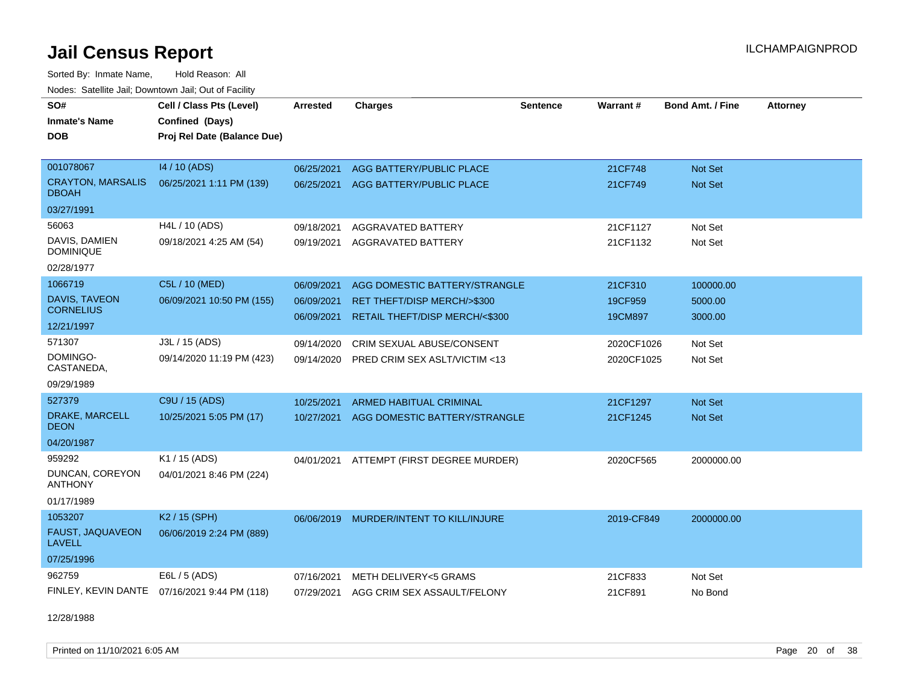Sorted By: Inmate Name, Hold Reason: All

| Nodes: Satellite Jail; Downtown Jail; Out of Facility |                                              |                 |                                        |                 |            |                         |                 |  |  |  |
|-------------------------------------------------------|----------------------------------------------|-----------------|----------------------------------------|-----------------|------------|-------------------------|-----------------|--|--|--|
| SO#                                                   | Cell / Class Pts (Level)                     | <b>Arrested</b> | <b>Charges</b>                         | <b>Sentence</b> | Warrant#   | <b>Bond Amt. / Fine</b> | <b>Attorney</b> |  |  |  |
| <b>Inmate's Name</b>                                  | Confined (Days)                              |                 |                                        |                 |            |                         |                 |  |  |  |
| <b>DOB</b>                                            | Proj Rel Date (Balance Due)                  |                 |                                        |                 |            |                         |                 |  |  |  |
|                                                       |                                              |                 |                                        |                 |            |                         |                 |  |  |  |
| 001078067                                             | 14 / 10 (ADS)                                | 06/25/2021      | AGG BATTERY/PUBLIC PLACE               |                 | 21CF748    | <b>Not Set</b>          |                 |  |  |  |
| <b>CRAYTON, MARSALIS</b><br><b>DBOAH</b>              | 06/25/2021 1:11 PM (139)                     | 06/25/2021      | AGG BATTERY/PUBLIC PLACE               |                 | 21CF749    | Not Set                 |                 |  |  |  |
| 03/27/1991                                            |                                              |                 |                                        |                 |            |                         |                 |  |  |  |
| 56063                                                 | H4L / 10 (ADS)                               | 09/18/2021      | AGGRAVATED BATTERY                     |                 | 21CF1127   | Not Set                 |                 |  |  |  |
| DAVIS, DAMIEN<br><b>DOMINIQUE</b>                     | 09/18/2021 4:25 AM (54)                      | 09/19/2021      | AGGRAVATED BATTERY                     |                 | 21CF1132   | Not Set                 |                 |  |  |  |
| 02/28/1977                                            |                                              |                 |                                        |                 |            |                         |                 |  |  |  |
| 1066719                                               | C5L / 10 (MED)                               | 06/09/2021      | AGG DOMESTIC BATTERY/STRANGLE          |                 | 21CF310    | 100000.00               |                 |  |  |  |
| <b>DAVIS, TAVEON</b>                                  | 06/09/2021 10:50 PM (155)                    | 06/09/2021      | RET THEFT/DISP MERCH/>\$300            |                 | 19CF959    | 5000.00                 |                 |  |  |  |
| <b>CORNELIUS</b>                                      |                                              | 06/09/2021      | RETAIL THEFT/DISP MERCH/<\$300         |                 | 19CM897    | 3000.00                 |                 |  |  |  |
| 12/21/1997                                            |                                              |                 |                                        |                 |            |                         |                 |  |  |  |
| 571307                                                | J3L / 15 (ADS)                               | 09/14/2020      | CRIM SEXUAL ABUSE/CONSENT              |                 | 2020CF1026 | Not Set                 |                 |  |  |  |
| DOMINGO-<br>CASTANEDA,                                | 09/14/2020 11:19 PM (423)                    | 09/14/2020      | PRED CRIM SEX ASLT/VICTIM <13          |                 | 2020CF1025 | Not Set                 |                 |  |  |  |
| 09/29/1989                                            |                                              |                 |                                        |                 |            |                         |                 |  |  |  |
| 527379                                                | C9U / 15 (ADS)                               | 10/25/2021      | <b>ARMED HABITUAL CRIMINAL</b>         |                 | 21CF1297   | <b>Not Set</b>          |                 |  |  |  |
| DRAKE, MARCELL<br><b>DEON</b>                         | 10/25/2021 5:05 PM (17)                      | 10/27/2021      | AGG DOMESTIC BATTERY/STRANGLE          |                 | 21CF1245   | <b>Not Set</b>          |                 |  |  |  |
| 04/20/1987                                            |                                              |                 |                                        |                 |            |                         |                 |  |  |  |
| 959292                                                | K1 / 15 (ADS)                                | 04/01/2021      | ATTEMPT (FIRST DEGREE MURDER)          |                 | 2020CF565  | 2000000.00              |                 |  |  |  |
| DUNCAN, COREYON<br><b>ANTHONY</b>                     | 04/01/2021 8:46 PM (224)                     |                 |                                        |                 |            |                         |                 |  |  |  |
| 01/17/1989                                            |                                              |                 |                                        |                 |            |                         |                 |  |  |  |
| 1053207                                               | K2 / 15 (SPH)                                | 06/06/2019      | MURDER/INTENT TO KILL/INJURE           |                 | 2019-CF849 | 2000000.00              |                 |  |  |  |
| FAUST, JAQUAVEON<br><b>LAVELL</b>                     | 06/06/2019 2:24 PM (889)                     |                 |                                        |                 |            |                         |                 |  |  |  |
| 07/25/1996                                            |                                              |                 |                                        |                 |            |                         |                 |  |  |  |
| 962759                                                | E6L / 5 (ADS)                                | 07/16/2021      | METH DELIVERY<5 GRAMS                  |                 | 21CF833    | Not Set                 |                 |  |  |  |
|                                                       | FINLEY, KEVIN DANTE 07/16/2021 9:44 PM (118) |                 | 07/29/2021 AGG CRIM SEX ASSAULT/FELONY |                 | 21CF891    | No Bond                 |                 |  |  |  |

12/28/1988

Printed on 11/10/2021 6:05 AM **Page 20 of 38**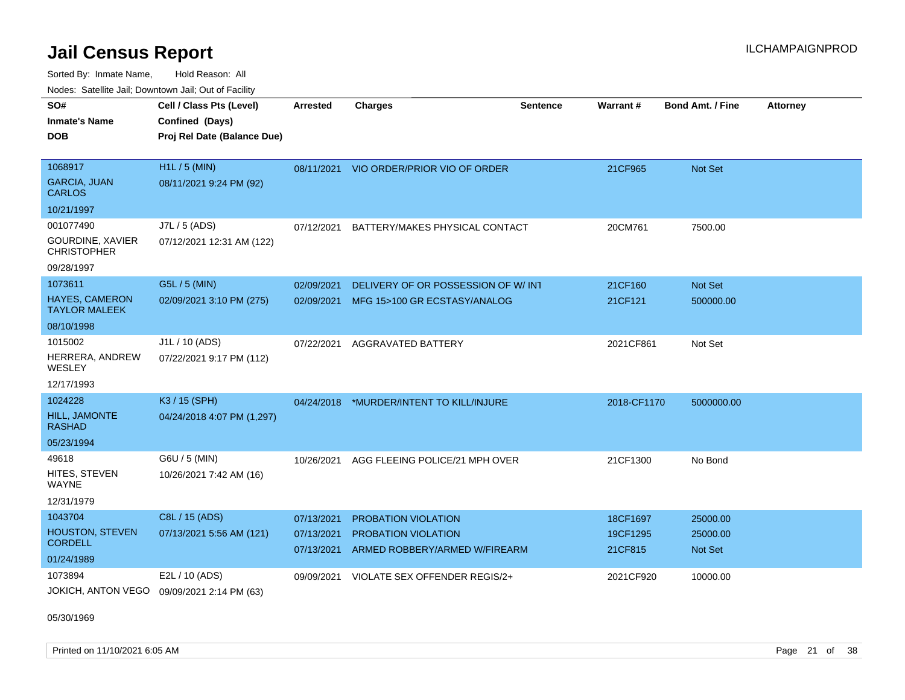Sorted By: Inmate Name, Hold Reason: All

| Nodes: Satellite Jail; Downtown Jail; Out of Facility |                             |                          |                                                             |                 |                     |                            |                 |  |  |
|-------------------------------------------------------|-----------------------------|--------------------------|-------------------------------------------------------------|-----------------|---------------------|----------------------------|-----------------|--|--|
| SO#                                                   | Cell / Class Pts (Level)    | <b>Arrested</b>          | <b>Charges</b>                                              | <b>Sentence</b> | Warrant#            | <b>Bond Amt. / Fine</b>    | <b>Attorney</b> |  |  |
| <b>Inmate's Name</b>                                  | Confined (Days)             |                          |                                                             |                 |                     |                            |                 |  |  |
| <b>DOB</b>                                            | Proj Rel Date (Balance Due) |                          |                                                             |                 |                     |                            |                 |  |  |
|                                                       |                             |                          |                                                             |                 |                     |                            |                 |  |  |
| 1068917                                               | H1L / 5 (MIN)               | 08/11/2021               | VIO ORDER/PRIOR VIO OF ORDER                                |                 | 21CF965             | <b>Not Set</b>             |                 |  |  |
| <b>GARCIA, JUAN</b><br><b>CARLOS</b>                  | 08/11/2021 9:24 PM (92)     |                          |                                                             |                 |                     |                            |                 |  |  |
| 10/21/1997                                            |                             |                          |                                                             |                 |                     |                            |                 |  |  |
| 001077490                                             | J7L / 5 (ADS)               | 07/12/2021               | BATTERY/MAKES PHYSICAL CONTACT                              |                 | 20CM761             | 7500.00                    |                 |  |  |
| <b>GOURDINE, XAVIER</b><br><b>CHRISTOPHER</b>         | 07/12/2021 12:31 AM (122)   |                          |                                                             |                 |                     |                            |                 |  |  |
| 09/28/1997                                            |                             |                          |                                                             |                 |                     |                            |                 |  |  |
| 1073611                                               | G5L / 5 (MIN)               | 02/09/2021               | DELIVERY OF OR POSSESSION OF W/INT                          |                 | 21CF160             | Not Set                    |                 |  |  |
| <b>HAYES, CAMERON</b><br><b>TAYLOR MALEEK</b>         | 02/09/2021 3:10 PM (275)    | 02/09/2021               | MFG 15>100 GR ECSTASY/ANALOG                                |                 | 21CF121             | 500000.00                  |                 |  |  |
| 08/10/1998                                            |                             |                          |                                                             |                 |                     |                            |                 |  |  |
| 1015002                                               | J1L / 10 (ADS)              | 07/22/2021               | AGGRAVATED BATTERY                                          |                 | 2021CF861           | Not Set                    |                 |  |  |
| HERRERA, ANDREW<br>WESLEY                             | 07/22/2021 9:17 PM (112)    |                          |                                                             |                 |                     |                            |                 |  |  |
| 12/17/1993                                            |                             |                          |                                                             |                 |                     |                            |                 |  |  |
| 1024228                                               | K3 / 15 (SPH)               |                          | 04/24/2018 *MURDER/INTENT TO KILL/INJURE                    |                 | 2018-CF1170         | 5000000.00                 |                 |  |  |
| HILL, JAMONTE<br><b>RASHAD</b>                        | 04/24/2018 4:07 PM (1,297)  |                          |                                                             |                 |                     |                            |                 |  |  |
| 05/23/1994                                            |                             |                          |                                                             |                 |                     |                            |                 |  |  |
| 49618                                                 | G6U / 5 (MIN)               | 10/26/2021               | AGG FLEEING POLICE/21 MPH OVER                              |                 | 21CF1300            | No Bond                    |                 |  |  |
| HITES, STEVEN<br><b>WAYNE</b>                         | 10/26/2021 7:42 AM (16)     |                          |                                                             |                 |                     |                            |                 |  |  |
| 12/31/1979                                            |                             |                          |                                                             |                 |                     |                            |                 |  |  |
| 1043704                                               | C8L / 15 (ADS)              | 07/13/2021               | PROBATION VIOLATION                                         |                 | 18CF1697            | 25000.00                   |                 |  |  |
| HOUSTON, STEVEN<br><b>CORDELL</b>                     | 07/13/2021 5:56 AM (121)    | 07/13/2021<br>07/13/2021 | <b>PROBATION VIOLATION</b><br>ARMED ROBBERY/ARMED W/FIREARM |                 | 19CF1295<br>21CF815 | 25000.00<br><b>Not Set</b> |                 |  |  |
| 01/24/1989                                            |                             |                          |                                                             |                 |                     |                            |                 |  |  |
| 1073894                                               | E2L / 10 (ADS)              | 09/09/2021               | VIOLATE SEX OFFENDER REGIS/2+                               |                 | 2021CF920           | 10000.00                   |                 |  |  |
| JOKICH, ANTON VEGO                                    | 09/09/2021 2:14 PM (63)     |                          |                                                             |                 |                     |                            |                 |  |  |

05/30/1969

Printed on 11/10/2021 6:05 AM **Page 21 of 38** Page 21 of 38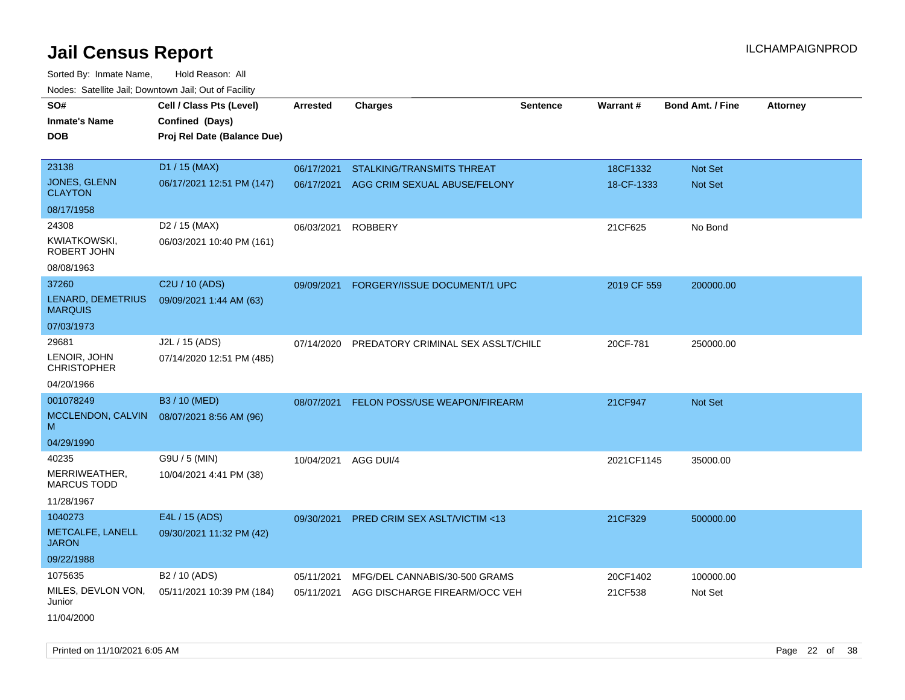Sorted By: Inmate Name, Hold Reason: All Nodes: Satellite Jail; Downtown Jail; Out of Facility

| <b>NOULD:</b> Catoline bail, Downtown bail, Out of I dollty |                             |                 |                                         |                 |             |                         |                 |
|-------------------------------------------------------------|-----------------------------|-----------------|-----------------------------------------|-----------------|-------------|-------------------------|-----------------|
| SO#                                                         | Cell / Class Pts (Level)    | <b>Arrested</b> | <b>Charges</b>                          | <b>Sentence</b> | Warrant#    | <b>Bond Amt. / Fine</b> | <b>Attorney</b> |
| <b>Inmate's Name</b>                                        | Confined (Days)             |                 |                                         |                 |             |                         |                 |
| <b>DOB</b>                                                  | Proj Rel Date (Balance Due) |                 |                                         |                 |             |                         |                 |
|                                                             |                             |                 |                                         |                 |             |                         |                 |
| 23138                                                       | D1 / 15 (MAX)               | 06/17/2021      | STALKING/TRANSMITS THREAT               |                 | 18CF1332    | Not Set                 |                 |
| <b>JONES, GLENN</b><br><b>CLAYTON</b>                       | 06/17/2021 12:51 PM (147)   | 06/17/2021      | AGG CRIM SEXUAL ABUSE/FELONY            |                 | 18-CF-1333  | <b>Not Set</b>          |                 |
| 08/17/1958                                                  |                             |                 |                                         |                 |             |                         |                 |
| 24308                                                       | D <sub>2</sub> / 15 (MAX)   | 06/03/2021      | <b>ROBBERY</b>                          |                 | 21CF625     | No Bond                 |                 |
| KWIATKOWSKI,<br>ROBERT JOHN                                 | 06/03/2021 10:40 PM (161)   |                 |                                         |                 |             |                         |                 |
| 08/08/1963                                                  |                             |                 |                                         |                 |             |                         |                 |
| 37260                                                       | C <sub>2</sub> U / 10 (ADS) | 09/09/2021      | FORGERY/ISSUE DOCUMENT/1 UPC            |                 | 2019 CF 559 | 200000.00               |                 |
| LENARD, DEMETRIUS<br><b>MARQUIS</b>                         | 09/09/2021 1:44 AM (63)     |                 |                                         |                 |             |                         |                 |
| 07/03/1973                                                  |                             |                 |                                         |                 |             |                         |                 |
| 29681                                                       | J2L / 15 (ADS)              | 07/14/2020      | PREDATORY CRIMINAL SEX ASSLT/CHILE      |                 | 20CF-781    | 250000.00               |                 |
| LENOIR, JOHN<br><b>CHRISTOPHER</b>                          | 07/14/2020 12:51 PM (485)   |                 |                                         |                 |             |                         |                 |
| 04/20/1966                                                  |                             |                 |                                         |                 |             |                         |                 |
| 001078249                                                   | B3 / 10 (MED)               | 08/07/2021      | <b>FELON POSS/USE WEAPON/FIREARM</b>    |                 | 21CF947     | Not Set                 |                 |
| MCCLENDON, CALVIN<br>M                                      | 08/07/2021 8:56 AM (96)     |                 |                                         |                 |             |                         |                 |
| 04/29/1990                                                  |                             |                 |                                         |                 |             |                         |                 |
| 40235                                                       | G9U / 5 (MIN)               | 10/04/2021      | AGG DUI/4                               |                 | 2021CF1145  | 35000.00                |                 |
| MERRIWEATHER,<br><b>MARCUS TODD</b>                         | 10/04/2021 4:41 PM (38)     |                 |                                         |                 |             |                         |                 |
| 11/28/1967                                                  |                             |                 |                                         |                 |             |                         |                 |
| 1040273                                                     | E4L / 15 (ADS)              | 09/30/2021      | <b>PRED CRIM SEX ASLT/VICTIM &lt;13</b> |                 | 21CF329     | 500000.00               |                 |
| METCALFE, LANELL<br><b>JARON</b>                            | 09/30/2021 11:32 PM (42)    |                 |                                         |                 |             |                         |                 |
| 09/22/1988                                                  |                             |                 |                                         |                 |             |                         |                 |
| 1075635                                                     | B <sub>2</sub> / 10 (ADS)   | 05/11/2021      | MFG/DEL CANNABIS/30-500 GRAMS           |                 | 20CF1402    | 100000.00               |                 |
| MILES, DEVLON VON,<br>Junior                                | 05/11/2021 10:39 PM (184)   | 05/11/2021      | AGG DISCHARGE FIREARM/OCC VEH           |                 | 21CF538     | Not Set                 |                 |
| 11/04/2000                                                  |                             |                 |                                         |                 |             |                         |                 |

Printed on 11/10/2021 6:05 AM Page 22 of 38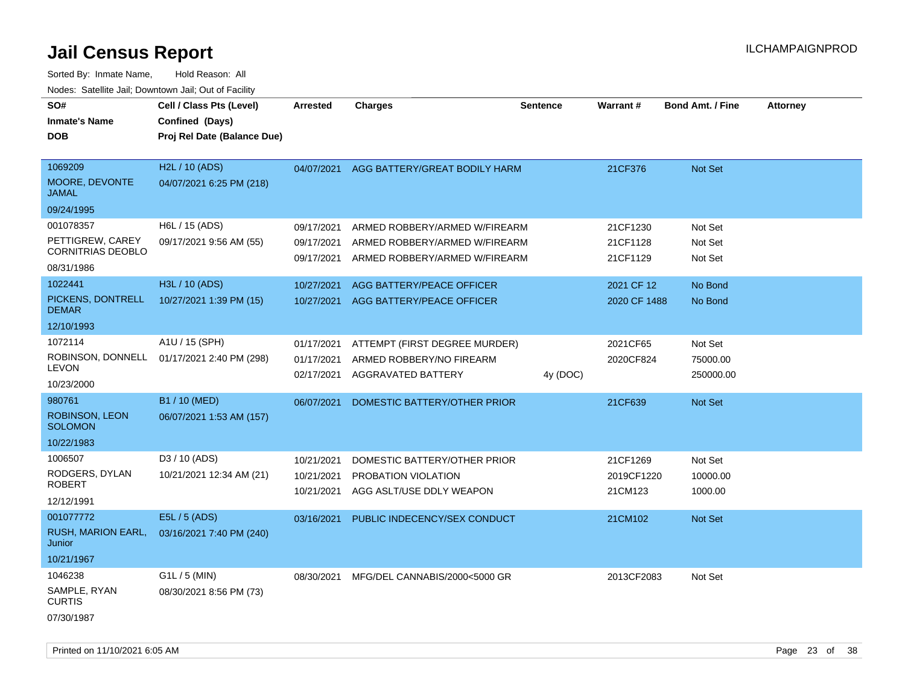| SO#<br><b>Inmate's Name</b><br><b>DOB</b>                               | Cell / Class Pts (Level)<br>Confined (Days)<br>Proj Rel Date (Balance Due) | <b>Arrested</b>                        | <b>Charges</b>                                                                                  | <b>Sentence</b> | Warrant#                          | <b>Bond Amt. / Fine</b>          | <b>Attorney</b> |
|-------------------------------------------------------------------------|----------------------------------------------------------------------------|----------------------------------------|-------------------------------------------------------------------------------------------------|-----------------|-----------------------------------|----------------------------------|-----------------|
| 1069209<br>MOORE, DEVONTE<br><b>JAMAL</b><br>09/24/1995                 | H2L / 10 (ADS)<br>04/07/2021 6:25 PM (218)                                 | 04/07/2021                             | AGG BATTERY/GREAT BODILY HARM                                                                   |                 | 21CF376                           | Not Set                          |                 |
| 001078357<br>PETTIGREW, CAREY<br><b>CORNITRIAS DEOBLO</b><br>08/31/1986 | H6L / 15 (ADS)<br>09/17/2021 9:56 AM (55)                                  | 09/17/2021<br>09/17/2021<br>09/17/2021 | ARMED ROBBERY/ARMED W/FIREARM<br>ARMED ROBBERY/ARMED W/FIREARM<br>ARMED ROBBERY/ARMED W/FIREARM |                 | 21CF1230<br>21CF1128<br>21CF1129  | Not Set<br>Not Set<br>Not Set    |                 |
| 1022441<br>PICKENS, DONTRELL<br><b>DEMAR</b><br>12/10/1993              | H3L / 10 (ADS)<br>10/27/2021 1:39 PM (15)                                  | 10/27/2021<br>10/27/2021               | AGG BATTERY/PEACE OFFICER<br>AGG BATTERY/PEACE OFFICER                                          |                 | 2021 CF 12<br>2020 CF 1488        | No Bond<br>No Bond               |                 |
| 1072114<br>ROBINSON, DONNELL<br><b>LEVON</b><br>10/23/2000              | A1U / 15 (SPH)<br>01/17/2021 2:40 PM (298)                                 | 01/17/2021<br>01/17/2021<br>02/17/2021 | ATTEMPT (FIRST DEGREE MURDER)<br>ARMED ROBBERY/NO FIREARM<br>AGGRAVATED BATTERY                 | 4y (DOC)        | 2021CF65<br>2020CF824             | Not Set<br>75000.00<br>250000.00 |                 |
| 980761<br><b>ROBINSON, LEON</b><br><b>SOLOMON</b><br>10/22/1983         | B1 / 10 (MED)<br>06/07/2021 1:53 AM (157)                                  | 06/07/2021                             | DOMESTIC BATTERY/OTHER PRIOR                                                                    |                 | 21CF639                           | Not Set                          |                 |
| 1006507<br>RODGERS, DYLAN<br><b>ROBERT</b><br>12/12/1991                | D3 / 10 (ADS)<br>10/21/2021 12:34 AM (21)                                  | 10/21/2021<br>10/21/2021<br>10/21/2021 | DOMESTIC BATTERY/OTHER PRIOR<br>PROBATION VIOLATION<br>AGG ASLT/USE DDLY WEAPON                 |                 | 21CF1269<br>2019CF1220<br>21CM123 | Not Set<br>10000.00<br>1000.00   |                 |
| 001077772<br><b>RUSH, MARION EARL,</b><br>Junior<br>10/21/1967          | E5L / 5 (ADS)<br>03/16/2021 7:40 PM (240)                                  | 03/16/2021                             | PUBLIC INDECENCY/SEX CONDUCT                                                                    |                 | 21CM102                           | Not Set                          |                 |
| 1046238<br>SAMPLE, RYAN<br><b>CURTIS</b><br>07/30/1987                  | $G1L / 5$ (MIN)<br>08/30/2021 8:56 PM (73)                                 | 08/30/2021                             | MFG/DEL CANNABIS/2000<5000 GR                                                                   |                 | 2013CF2083                        | Not Set                          |                 |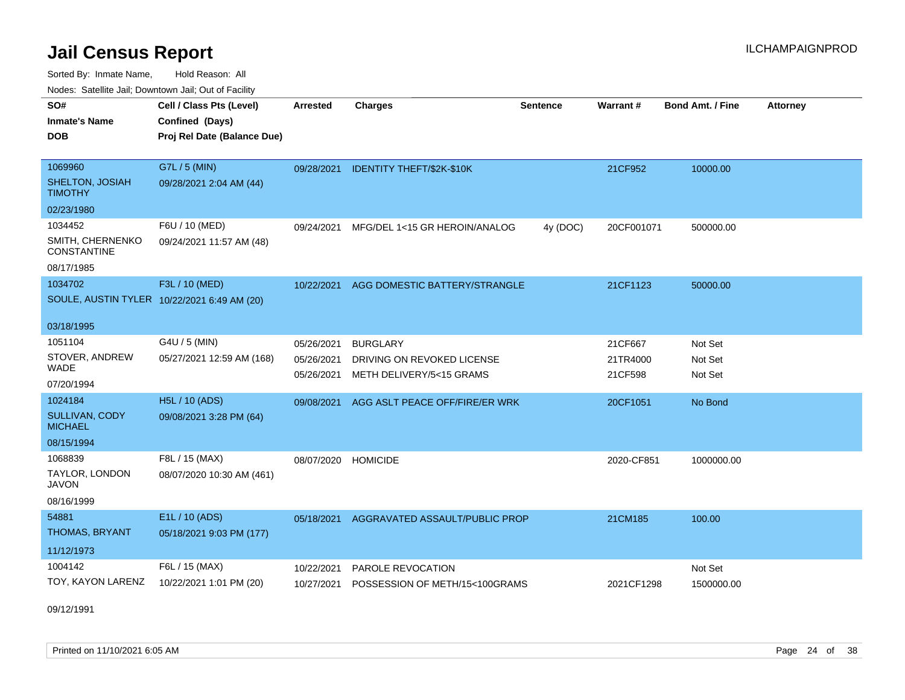Sorted By: Inmate Name, Hold Reason: All

Nodes: Satellite Jail; Downtown Jail; Out of Facility

| SO#<br><b>Inmate's Name</b><br><b>DOB</b>    | Cell / Class Pts (Level)<br>Confined (Days)<br>Proj Rel Date (Balance Due) | <b>Arrested</b>          | <b>Charges</b>                                         | <b>Sentence</b> | Warrant#            | <b>Bond Amt. / Fine</b> | <b>Attorney</b> |
|----------------------------------------------|----------------------------------------------------------------------------|--------------------------|--------------------------------------------------------|-----------------|---------------------|-------------------------|-----------------|
| 1069960<br>SHELTON, JOSIAH<br><b>TIMOTHY</b> | G7L / 5 (MIN)<br>09/28/2021 2:04 AM (44)                                   | 09/28/2021               | IDENTITY THEFT/\$2K-\$10K                              |                 | 21CF952             | 10000.00                |                 |
| 02/23/1980                                   |                                                                            |                          |                                                        |                 |                     |                         |                 |
| 1034452                                      | F6U / 10 (MED)                                                             | 09/24/2021               | MFG/DEL 1<15 GR HEROIN/ANALOG                          | 4y (DOC)        | 20CF001071          | 500000.00               |                 |
| SMITH, CHERNENKO<br><b>CONSTANTINE</b>       | 09/24/2021 11:57 AM (48)                                                   |                          |                                                        |                 |                     |                         |                 |
| 08/17/1985                                   |                                                                            |                          |                                                        |                 |                     |                         |                 |
| 1034702                                      | F3L / 10 (MED)                                                             | 10/22/2021               | AGG DOMESTIC BATTERY/STRANGLE                          |                 | 21CF1123            | 50000.00                |                 |
| SOULE, AUSTIN TYLER 10/22/2021 6:49 AM (20)  |                                                                            |                          |                                                        |                 |                     |                         |                 |
| 03/18/1995                                   |                                                                            |                          |                                                        |                 |                     |                         |                 |
| 1051104                                      | G4U / 5 (MIN)                                                              | 05/26/2021               | <b>BURGLARY</b>                                        |                 | 21CF667             | Not Set                 |                 |
| STOVER, ANDREW<br><b>WADE</b>                | 05/27/2021 12:59 AM (168)                                                  | 05/26/2021<br>05/26/2021 | DRIVING ON REVOKED LICENSE<br>METH DELIVERY/5<15 GRAMS |                 | 21TR4000<br>21CF598 | Not Set<br>Not Set      |                 |
| 07/20/1994                                   |                                                                            |                          |                                                        |                 |                     |                         |                 |
| 1024184                                      | <b>H5L / 10 (ADS)</b>                                                      | 09/08/2021               | AGG ASLT PEACE OFF/FIRE/ER WRK                         |                 | 20CF1051            | No Bond                 |                 |
| SULLIVAN, CODY<br><b>MICHAEL</b>             | 09/08/2021 3:28 PM (64)                                                    |                          |                                                        |                 |                     |                         |                 |
| 08/15/1994                                   |                                                                            |                          |                                                        |                 |                     |                         |                 |
| 1068839                                      | F8L / 15 (MAX)                                                             | 08/07/2020               | <b>HOMICIDE</b>                                        |                 | 2020-CF851          | 1000000.00              |                 |
| TAYLOR, LONDON<br><b>JAVON</b>               | 08/07/2020 10:30 AM (461)                                                  |                          |                                                        |                 |                     |                         |                 |
| 08/16/1999                                   |                                                                            |                          |                                                        |                 |                     |                         |                 |
| 54881                                        | E1L / 10 (ADS)                                                             | 05/18/2021               | AGGRAVATED ASSAULT/PUBLIC PROP                         |                 | 21CM185             | 100.00                  |                 |
| THOMAS, BRYANT                               | 05/18/2021 9:03 PM (177)                                                   |                          |                                                        |                 |                     |                         |                 |
| 11/12/1973                                   |                                                                            |                          |                                                        |                 |                     |                         |                 |
| 1004142                                      | F6L / 15 (MAX)                                                             | 10/22/2021               | PAROLE REVOCATION                                      |                 |                     | Not Set                 |                 |
| TOY, KAYON LARENZ                            | 10/22/2021 1:01 PM (20)                                                    | 10/27/2021               | POSSESSION OF METH/15<100GRAMS                         |                 | 2021CF1298          | 1500000.00              |                 |

09/12/1991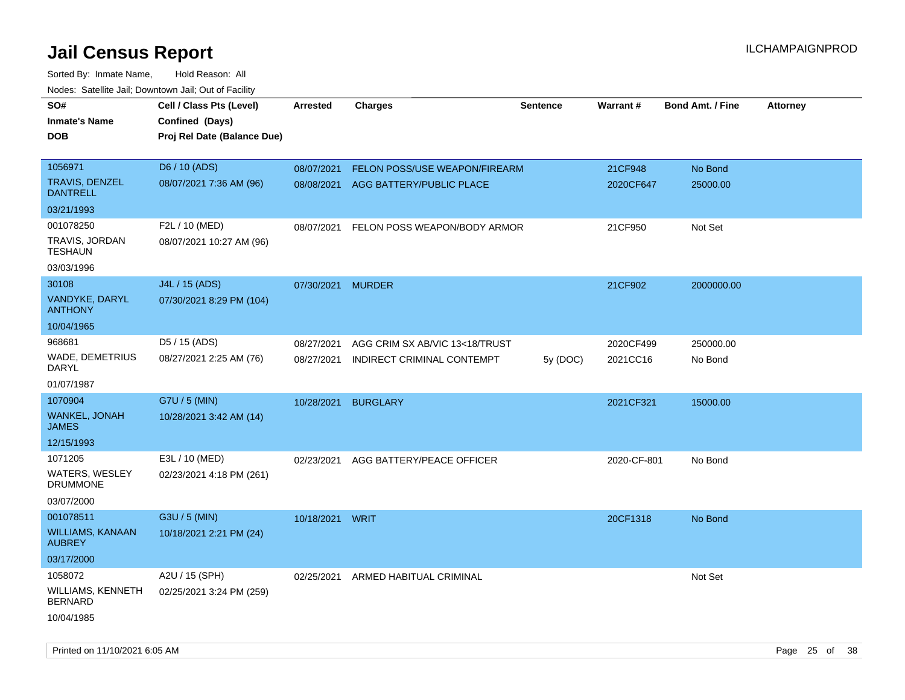| 10000. Catolino can, Domntonn can, Cat or I doint<br>SO# |                                             |                 |                                |                 |             |                         |                 |
|----------------------------------------------------------|---------------------------------------------|-----------------|--------------------------------|-----------------|-------------|-------------------------|-----------------|
| Inmate's Name                                            | Cell / Class Pts (Level)<br>Confined (Days) | <b>Arrested</b> | <b>Charges</b>                 | <b>Sentence</b> | Warrant#    | <b>Bond Amt. / Fine</b> | <b>Attorney</b> |
| DOB                                                      | Proj Rel Date (Balance Due)                 |                 |                                |                 |             |                         |                 |
|                                                          |                                             |                 |                                |                 |             |                         |                 |
| 1056971                                                  | D6 / 10 (ADS)                               | 08/07/2021      | FELON POSS/USE WEAPON/FIREARM  |                 | 21CF948     | No Bond                 |                 |
| TRAVIS, DENZEL<br><b>DANTRELL</b>                        | 08/07/2021 7:36 AM (96)                     | 08/08/2021      | AGG BATTERY/PUBLIC PLACE       |                 | 2020CF647   | 25000.00                |                 |
| 03/21/1993                                               |                                             |                 |                                |                 |             |                         |                 |
| 001078250                                                | F2L / 10 (MED)                              | 08/07/2021      | FELON POSS WEAPON/BODY ARMOR   |                 | 21CF950     | Not Set                 |                 |
| TRAVIS, JORDAN<br>TESHAUN                                | 08/07/2021 10:27 AM (96)                    |                 |                                |                 |             |                         |                 |
| 03/03/1996                                               |                                             |                 |                                |                 |             |                         |                 |
| 30108                                                    | J4L / 15 (ADS)                              | 07/30/2021      | <b>MURDER</b>                  |                 | 21CF902     | 2000000.00              |                 |
| VANDYKE, DARYL<br>ANTHONY                                | 07/30/2021 8:29 PM (104)                    |                 |                                |                 |             |                         |                 |
| 10/04/1965                                               |                                             |                 |                                |                 |             |                         |                 |
| 968681                                                   | D5 / 15 (ADS)                               | 08/27/2021      | AGG CRIM SX AB/VIC 13<18/TRUST |                 | 2020CF499   | 250000.00               |                 |
| WADE, DEMETRIUS<br>DARYL                                 | 08/27/2021 2:25 AM (76)                     | 08/27/2021      | INDIRECT CRIMINAL CONTEMPT     | 5y (DOC)        | 2021CC16    | No Bond                 |                 |
| 01/07/1987                                               |                                             |                 |                                |                 |             |                         |                 |
| 1070904                                                  | G7U / 5 (MIN)                               | 10/28/2021      | <b>BURGLARY</b>                |                 | 2021CF321   | 15000.00                |                 |
| WANKEL, JONAH<br>JAMES                                   | 10/28/2021 3:42 AM (14)                     |                 |                                |                 |             |                         |                 |
| 12/15/1993                                               |                                             |                 |                                |                 |             |                         |                 |
| 1071205                                                  | E3L / 10 (MED)                              | 02/23/2021      | AGG BATTERY/PEACE OFFICER      |                 | 2020-CF-801 | No Bond                 |                 |
| WATERS, WESLEY<br><b>DRUMMONE</b>                        | 02/23/2021 4:18 PM (261)                    |                 |                                |                 |             |                         |                 |
| 03/07/2000                                               |                                             |                 |                                |                 |             |                         |                 |
| 001078511                                                | G3U / 5 (MIN)                               | 10/18/2021 WRIT |                                |                 | 20CF1318    | No Bond                 |                 |
| <b>WILLIAMS, KANAAN</b><br><b>AUBREY</b>                 | 10/18/2021 2:21 PM (24)                     |                 |                                |                 |             |                         |                 |
| 03/17/2000                                               |                                             |                 |                                |                 |             |                         |                 |
| 1058072                                                  | A2U / 15 (SPH)                              | 02/25/2021      | ARMED HABITUAL CRIMINAL        |                 |             | Not Set                 |                 |
| WILLIAMS, KENNETH<br><b>BERNARD</b>                      | 02/25/2021 3:24 PM (259)                    |                 |                                |                 |             |                         |                 |
| 10/04/1985                                               |                                             |                 |                                |                 |             |                         |                 |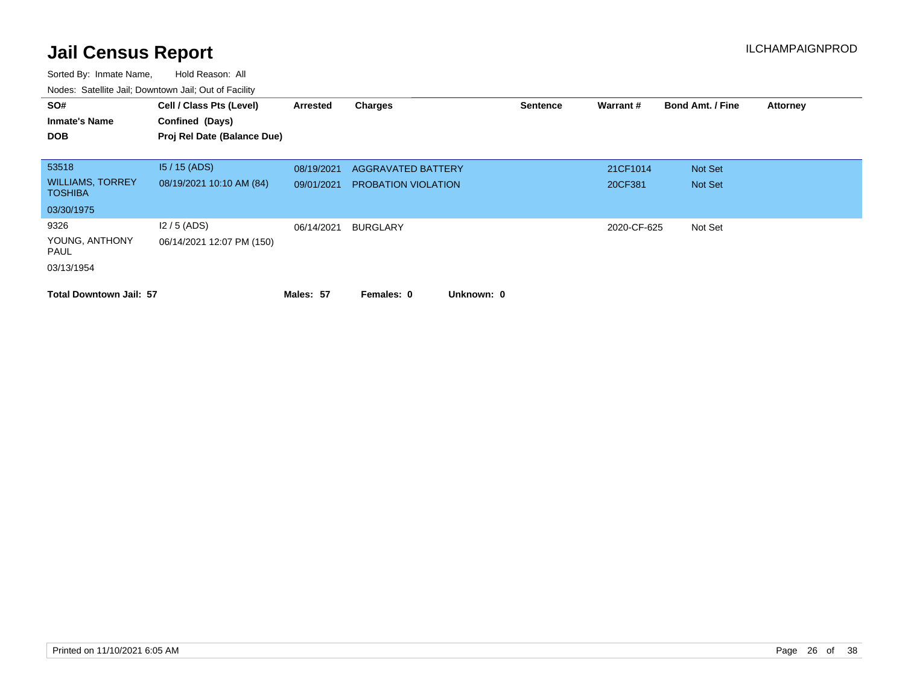| SO#<br><b>Inmate's Name</b><br><b>DOB</b>          | Cell / Class Pts (Level)<br>Confined (Days)<br>Proj Rel Date (Balance Due) | <b>Arrested</b>          | <b>Charges</b>                                          | <b>Sentence</b> | Warrant#            | <b>Bond Amt. / Fine</b> | <b>Attorney</b> |
|----------------------------------------------------|----------------------------------------------------------------------------|--------------------------|---------------------------------------------------------|-----------------|---------------------|-------------------------|-----------------|
| 53518<br><b>WILLIAMS, TORREY</b><br><b>TOSHIBA</b> | $15/15$ (ADS)<br>08/19/2021 10:10 AM (84)                                  | 08/19/2021<br>09/01/2021 | <b>AGGRAVATED BATTERY</b><br><b>PROBATION VIOLATION</b> |                 | 21CF1014<br>20CF381 | Not Set<br>Not Set      |                 |
| 03/30/1975                                         |                                                                            |                          |                                                         |                 |                     |                         |                 |
| 9326<br>YOUNG, ANTHONY<br>PAUL                     | $12/5$ (ADS)<br>06/14/2021 12:07 PM (150)                                  | 06/14/2021               | <b>BURGLARY</b>                                         |                 | 2020-CF-625         | Not Set                 |                 |
| 03/13/1954<br><b>Total Downtown Jail: 57</b>       |                                                                            | Males: 57                | Unknown: 0<br>Females: 0                                |                 |                     |                         |                 |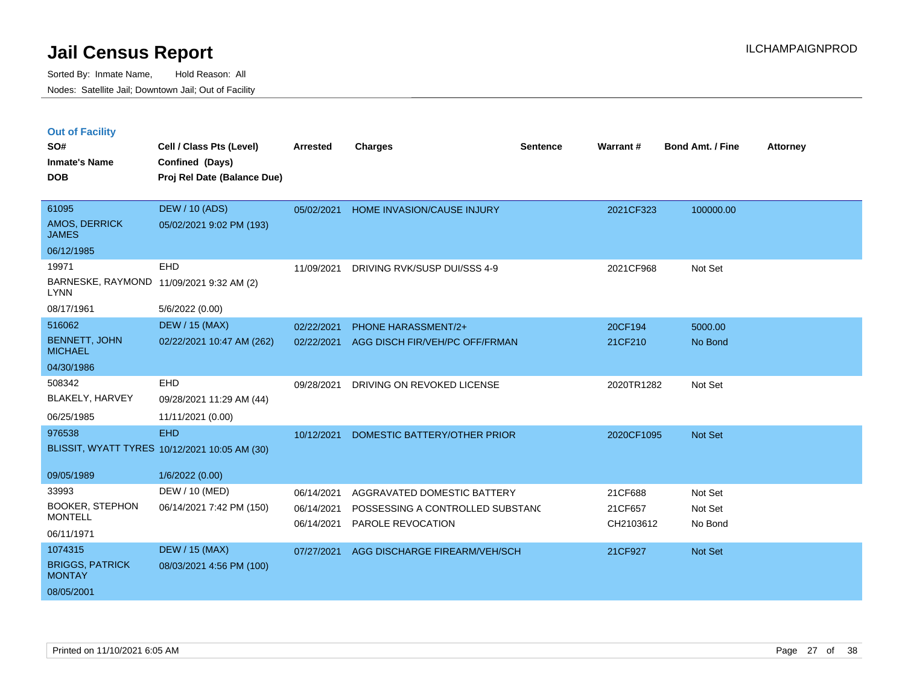|  | <b>Out of Facility</b> |  |
|--|------------------------|--|

| SO#<br><b>Inmate's Name</b><br><b>DOB</b>                                                    | Cell / Class Pts (Level)<br>Confined (Days)<br>Proj Rel Date (Balance Due)     | Arrested                               | <b>Charges</b>                                                                       | <b>Sentence</b> | Warrant#                        | <b>Bond Amt. / Fine</b>       | <b>Attorney</b> |
|----------------------------------------------------------------------------------------------|--------------------------------------------------------------------------------|----------------------------------------|--------------------------------------------------------------------------------------|-----------------|---------------------------------|-------------------------------|-----------------|
| 61095<br><b>AMOS, DERRICK</b><br><b>JAMES</b>                                                | <b>DEW / 10 (ADS)</b><br>05/02/2021 9:02 PM (193)                              | 05/02/2021                             | <b>HOME INVASION/CAUSE INJURY</b>                                                    |                 | 2021CF323                       | 100000.00                     |                 |
| 06/12/1985<br>19971<br>BARNESKE, RAYMOND 11/09/2021 9:32 AM (2)<br><b>LYNN</b><br>08/17/1961 | EHD<br>5/6/2022 (0.00)                                                         | 11/09/2021                             | DRIVING RVK/SUSP DUI/SSS 4-9                                                         |                 | 2021CF968                       | Not Set                       |                 |
| 516062<br><b>BENNETT, JOHN</b><br><b>MICHAEL</b><br>04/30/1986                               | <b>DEW / 15 (MAX)</b><br>02/22/2021 10:47 AM (262)                             | 02/22/2021<br>02/22/2021               | PHONE HARASSMENT/2+<br>AGG DISCH FIR/VEH/PC OFF/FRMAN                                |                 | 20CF194<br>21CF210              | 5000.00<br>No Bond            |                 |
| 508342<br>BLAKELY, HARVEY<br>06/25/1985                                                      | EHD<br>09/28/2021 11:29 AM (44)<br>11/11/2021 (0.00)                           | 09/28/2021                             | DRIVING ON REVOKED LICENSE                                                           |                 | 2020TR1282                      | Not Set                       |                 |
| 976538<br>09/05/1989                                                                         | <b>EHD</b><br>BLISSIT, WYATT TYRES 10/12/2021 10:05 AM (30)<br>1/6/2022 (0.00) | 10/12/2021                             | DOMESTIC BATTERY/OTHER PRIOR                                                         |                 | 2020CF1095                      | Not Set                       |                 |
| 33993<br><b>BOOKER, STEPHON</b><br><b>MONTELL</b><br>06/11/1971                              | DEW / 10 (MED)<br>06/14/2021 7:42 PM (150)                                     | 06/14/2021<br>06/14/2021<br>06/14/2021 | AGGRAVATED DOMESTIC BATTERY<br>POSSESSING A CONTROLLED SUBSTANC<br>PAROLE REVOCATION |                 | 21CF688<br>21CF657<br>CH2103612 | Not Set<br>Not Set<br>No Bond |                 |
| 1074315<br><b>BRIGGS, PATRICK</b><br><b>MONTAY</b><br>08/05/2001                             | <b>DEW / 15 (MAX)</b><br>08/03/2021 4:56 PM (100)                              | 07/27/2021                             | AGG DISCHARGE FIREARM/VEH/SCH                                                        |                 | 21CF927                         | Not Set                       |                 |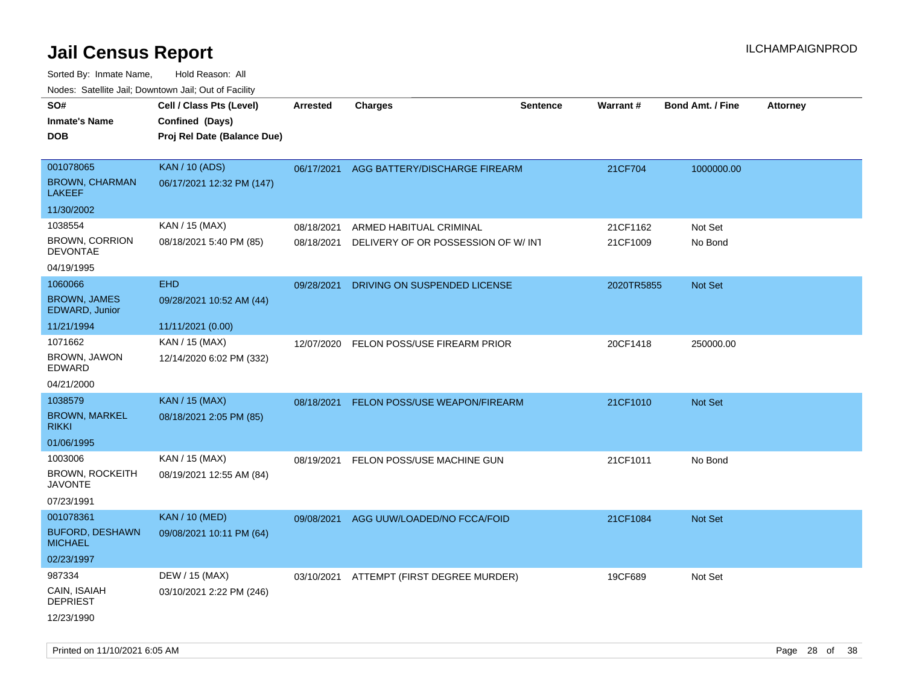| Nudes. Satellite Jali, Downtown Jali, Out of Facility |                             |            |                                     |                 |                 |                         |                 |
|-------------------------------------------------------|-----------------------------|------------|-------------------------------------|-----------------|-----------------|-------------------------|-----------------|
| SO#                                                   | Cell / Class Pts (Level)    | Arrested   | <b>Charges</b>                      | <b>Sentence</b> | <b>Warrant#</b> | <b>Bond Amt. / Fine</b> | <b>Attorney</b> |
| <b>Inmate's Name</b>                                  | Confined (Days)             |            |                                     |                 |                 |                         |                 |
| <b>DOB</b>                                            | Proj Rel Date (Balance Due) |            |                                     |                 |                 |                         |                 |
|                                                       |                             |            |                                     |                 |                 |                         |                 |
| 001078065                                             | <b>KAN / 10 (ADS)</b>       | 06/17/2021 | AGG BATTERY/DISCHARGE FIREARM       |                 | 21CF704         | 1000000.00              |                 |
| <b>BROWN, CHARMAN</b><br><b>LAKEEF</b>                | 06/17/2021 12:32 PM (147)   |            |                                     |                 |                 |                         |                 |
| 11/30/2002                                            |                             |            |                                     |                 |                 |                         |                 |
| 1038554                                               | KAN / 15 (MAX)              | 08/18/2021 | ARMED HABITUAL CRIMINAL             |                 | 21CF1162        | Not Set                 |                 |
| <b>BROWN, CORRION</b><br><b>DEVONTAE</b>              | 08/18/2021 5:40 PM (85)     | 08/18/2021 | DELIVERY OF OR POSSESSION OF W/ INT |                 | 21CF1009        | No Bond                 |                 |
| 04/19/1995                                            |                             |            |                                     |                 |                 |                         |                 |
| 1060066                                               | <b>EHD</b>                  | 09/28/2021 | DRIVING ON SUSPENDED LICENSE        |                 | 2020TR5855      | Not Set                 |                 |
| <b>BROWN, JAMES</b><br>EDWARD, Junior                 | 09/28/2021 10:52 AM (44)    |            |                                     |                 |                 |                         |                 |
| 11/21/1994                                            | 11/11/2021 (0.00)           |            |                                     |                 |                 |                         |                 |
| 1071662                                               | KAN / 15 (MAX)              | 12/07/2020 | FELON POSS/USE FIREARM PRIOR        |                 | 20CF1418        | 250000.00               |                 |
| BROWN, JAWON<br>EDWARD                                | 12/14/2020 6:02 PM (332)    |            |                                     |                 |                 |                         |                 |
| 04/21/2000                                            |                             |            |                                     |                 |                 |                         |                 |
| 1038579                                               | <b>KAN / 15 (MAX)</b>       | 08/18/2021 | FELON POSS/USE WEAPON/FIREARM       |                 | 21CF1010        | <b>Not Set</b>          |                 |
| <b>BROWN, MARKEL</b><br><b>RIKKI</b>                  | 08/18/2021 2:05 PM (85)     |            |                                     |                 |                 |                         |                 |
| 01/06/1995                                            |                             |            |                                     |                 |                 |                         |                 |
| 1003006                                               | KAN / 15 (MAX)              | 08/19/2021 | FELON POSS/USE MACHINE GUN          |                 | 21CF1011        | No Bond                 |                 |
| <b>BROWN, ROCKEITH</b><br>JAVONTE                     | 08/19/2021 12:55 AM (84)    |            |                                     |                 |                 |                         |                 |
| 07/23/1991                                            |                             |            |                                     |                 |                 |                         |                 |
| 001078361                                             | <b>KAN / 10 (MED)</b>       | 09/08/2021 | AGG UUW/LOADED/NO FCCA/FOID         |                 | 21CF1084        | <b>Not Set</b>          |                 |
| <b>BUFORD, DESHAWN</b><br><b>MICHAEL</b>              | 09/08/2021 10:11 PM (64)    |            |                                     |                 |                 |                         |                 |
| 02/23/1997                                            |                             |            |                                     |                 |                 |                         |                 |
| 987334                                                | DEW / 15 (MAX)              | 03/10/2021 | ATTEMPT (FIRST DEGREE MURDER)       |                 | 19CF689         | Not Set                 |                 |
| CAIN, ISAIAH<br><b>DEPRIEST</b>                       | 03/10/2021 2:22 PM (246)    |            |                                     |                 |                 |                         |                 |
| 12/23/1990                                            |                             |            |                                     |                 |                 |                         |                 |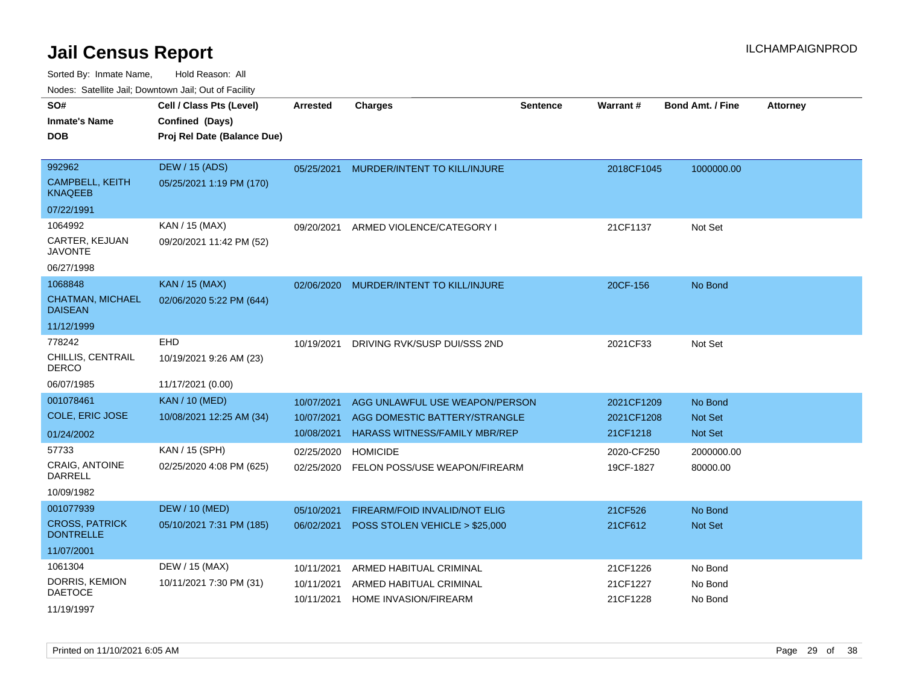| wacs. Calcinic Jan, Downtown Jan, Out of Facility |                             |                 |                                      |                 |                 |                         |                 |
|---------------------------------------------------|-----------------------------|-----------------|--------------------------------------|-----------------|-----------------|-------------------------|-----------------|
| SO#                                               | Cell / Class Pts (Level)    | <b>Arrested</b> | <b>Charges</b>                       | <b>Sentence</b> | <b>Warrant#</b> | <b>Bond Amt. / Fine</b> | <b>Attorney</b> |
| <b>Inmate's Name</b>                              | Confined (Days)             |                 |                                      |                 |                 |                         |                 |
| <b>DOB</b>                                        | Proj Rel Date (Balance Due) |                 |                                      |                 |                 |                         |                 |
|                                                   |                             |                 |                                      |                 |                 |                         |                 |
| 992962                                            | DEW / 15 (ADS)              | 05/25/2021      | MURDER/INTENT TO KILL/INJURE         |                 | 2018CF1045      | 1000000.00              |                 |
| <b>CAMPBELL, KEITH</b><br><b>KNAQEEB</b>          | 05/25/2021 1:19 PM (170)    |                 |                                      |                 |                 |                         |                 |
| 07/22/1991                                        |                             |                 |                                      |                 |                 |                         |                 |
| 1064992                                           | KAN / 15 (MAX)              | 09/20/2021      | ARMED VIOLENCE/CATEGORY I            |                 | 21CF1137        | Not Set                 |                 |
| CARTER, KEJUAN<br><b>JAVONTE</b>                  | 09/20/2021 11:42 PM (52)    |                 |                                      |                 |                 |                         |                 |
| 06/27/1998                                        |                             |                 |                                      |                 |                 |                         |                 |
| 1068848                                           | <b>KAN / 15 (MAX)</b>       | 02/06/2020      | MURDER/INTENT TO KILL/INJURE         |                 | 20CF-156        | No Bond                 |                 |
| <b>CHATMAN, MICHAEL</b><br><b>DAISEAN</b>         | 02/06/2020 5:22 PM (644)    |                 |                                      |                 |                 |                         |                 |
| 11/12/1999                                        |                             |                 |                                      |                 |                 |                         |                 |
| 778242                                            | EHD                         | 10/19/2021      | DRIVING RVK/SUSP DUI/SSS 2ND         |                 | 2021CF33        | Not Set                 |                 |
| CHILLIS, CENTRAIL<br><b>DERCO</b>                 | 10/19/2021 9:26 AM (23)     |                 |                                      |                 |                 |                         |                 |
| 06/07/1985                                        | 11/17/2021 (0.00)           |                 |                                      |                 |                 |                         |                 |
| 001078461                                         | <b>KAN / 10 (MED)</b>       | 10/07/2021      | AGG UNLAWFUL USE WEAPON/PERSON       |                 | 2021CF1209      | No Bond                 |                 |
| <b>COLE, ERIC JOSE</b>                            | 10/08/2021 12:25 AM (34)    | 10/07/2021      | AGG DOMESTIC BATTERY/STRANGLE        |                 | 2021CF1208      | Not Set                 |                 |
| 01/24/2002                                        |                             | 10/08/2021      | <b>HARASS WITNESS/FAMILY MBR/REP</b> |                 | 21CF1218        | <b>Not Set</b>          |                 |
| 57733                                             | KAN / 15 (SPH)              | 02/25/2020      | <b>HOMICIDE</b>                      |                 | 2020-CF250      | 2000000.00              |                 |
| <b>CRAIG, ANTOINE</b>                             | 02/25/2020 4:08 PM (625)    | 02/25/2020      | FELON POSS/USE WEAPON/FIREARM        |                 | 19CF-1827       | 80000.00                |                 |
| DARRELL                                           |                             |                 |                                      |                 |                 |                         |                 |
| 10/09/1982                                        |                             |                 |                                      |                 |                 |                         |                 |
| 001077939                                         | <b>DEW / 10 (MED)</b>       | 05/10/2021      | <b>FIREARM/FOID INVALID/NOT ELIG</b> |                 | 21CF526         | No Bond                 |                 |
| <b>CROSS, PATRICK</b><br><b>DONTRELLE</b>         | 05/10/2021 7:31 PM (185)    | 06/02/2021      | POSS STOLEN VEHICLE > \$25,000       |                 | 21CF612         | Not Set                 |                 |
| 11/07/2001                                        |                             |                 |                                      |                 |                 |                         |                 |
| 1061304                                           | DEW / 15 (MAX)              | 10/11/2021      | ARMED HABITUAL CRIMINAL              |                 | 21CF1226        | No Bond                 |                 |
| DORRIS, KEMION                                    | 10/11/2021 7:30 PM (31)     | 10/11/2021      | ARMED HABITUAL CRIMINAL              |                 | 21CF1227        | No Bond                 |                 |
| <b>DAETOCE</b>                                    |                             | 10/11/2021      | HOME INVASION/FIREARM                |                 | 21CF1228        | No Bond                 |                 |
| 11/19/1997                                        |                             |                 |                                      |                 |                 |                         |                 |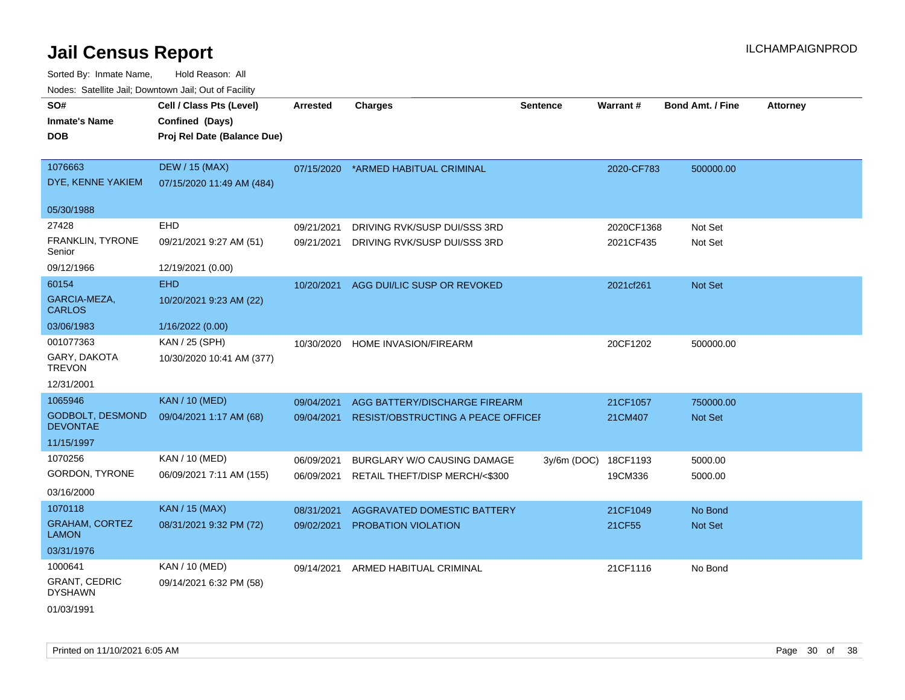| rougs. Calcinic Jan, Downtown Jan, Out of Facility |                             |                 |                                        |                 |            |                         |                 |
|----------------------------------------------------|-----------------------------|-----------------|----------------------------------------|-----------------|------------|-------------------------|-----------------|
| SO#                                                | Cell / Class Pts (Level)    | <b>Arrested</b> | <b>Charges</b>                         | <b>Sentence</b> | Warrant#   | <b>Bond Amt. / Fine</b> | <b>Attorney</b> |
| <b>Inmate's Name</b>                               | Confined (Days)             |                 |                                        |                 |            |                         |                 |
| <b>DOB</b>                                         | Proj Rel Date (Balance Due) |                 |                                        |                 |            |                         |                 |
|                                                    |                             |                 |                                        |                 |            |                         |                 |
| 1076663                                            | <b>DEW / 15 (MAX)</b>       | 07/15/2020      | *ARMED HABITUAL CRIMINAL               |                 | 2020-CF783 | 500000.00               |                 |
| DYE, KENNE YAKIEM                                  | 07/15/2020 11:49 AM (484)   |                 |                                        |                 |            |                         |                 |
| 05/30/1988                                         |                             |                 |                                        |                 |            |                         |                 |
| 27428                                              | EHD                         | 09/21/2021      | DRIVING RVK/SUSP DUI/SSS 3RD           |                 | 2020CF1368 | Not Set                 |                 |
| FRANKLIN, TYRONE<br>Senior                         | 09/21/2021 9:27 AM (51)     | 09/21/2021      | DRIVING RVK/SUSP DUI/SSS 3RD           |                 | 2021CF435  | Not Set                 |                 |
| 09/12/1966                                         | 12/19/2021 (0.00)           |                 |                                        |                 |            |                         |                 |
| 60154                                              | <b>EHD</b>                  |                 | 10/20/2021 AGG DUI/LIC SUSP OR REVOKED |                 | 2021cf261  | Not Set                 |                 |
| GARCIA-MEZA,<br><b>CARLOS</b>                      | 10/20/2021 9:23 AM (22)     |                 |                                        |                 |            |                         |                 |
| 03/06/1983                                         | 1/16/2022 (0.00)            |                 |                                        |                 |            |                         |                 |
| 001077363                                          | KAN / 25 (SPH)              | 10/30/2020      | HOME INVASION/FIREARM                  |                 | 20CF1202   | 500000.00               |                 |
| GARY, DAKOTA<br><b>TREVON</b>                      | 10/30/2020 10:41 AM (377)   |                 |                                        |                 |            |                         |                 |
| 12/31/2001                                         |                             |                 |                                        |                 |            |                         |                 |
| 1065946                                            | <b>KAN / 10 (MED)</b>       | 09/04/2021      | AGG BATTERY/DISCHARGE FIREARM          |                 | 21CF1057   | 750000.00               |                 |
| <b>GODBOLT, DESMOND</b><br><b>DEVONTAE</b>         | 09/04/2021 1:17 AM (68)     | 09/04/2021      | RESIST/OBSTRUCTING A PEACE OFFICEI     |                 | 21CM407    | Not Set                 |                 |
| 11/15/1997                                         |                             |                 |                                        |                 |            |                         |                 |
| 1070256                                            | KAN / 10 (MED)              | 06/09/2021      | BURGLARY W/O CAUSING DAMAGE            | $3y/6m$ (DOC)   | 18CF1193   | 5000.00                 |                 |
| GORDON, TYRONE                                     | 06/09/2021 7:11 AM (155)    | 06/09/2021      | RETAIL THEFT/DISP MERCH/<\$300         |                 | 19CM336    | 5000.00                 |                 |
| 03/16/2000                                         |                             |                 |                                        |                 |            |                         |                 |
| 1070118                                            | <b>KAN / 15 (MAX)</b>       | 08/31/2021      | AGGRAVATED DOMESTIC BATTERY            |                 | 21CF1049   | No Bond                 |                 |
| <b>GRAHAM, CORTEZ</b><br><b>LAMON</b>              | 08/31/2021 9:32 PM (72)     | 09/02/2021      | PROBATION VIOLATION                    |                 | 21CF55     | Not Set                 |                 |
| 03/31/1976                                         |                             |                 |                                        |                 |            |                         |                 |
| 1000641                                            | KAN / 10 (MED)              | 09/14/2021      | ARMED HABITUAL CRIMINAL                |                 | 21CF1116   | No Bond                 |                 |
| <b>GRANT, CEDRIC</b><br><b>DYSHAWN</b>             | 09/14/2021 6:32 PM (58)     |                 |                                        |                 |            |                         |                 |
| 01/03/1991                                         |                             |                 |                                        |                 |            |                         |                 |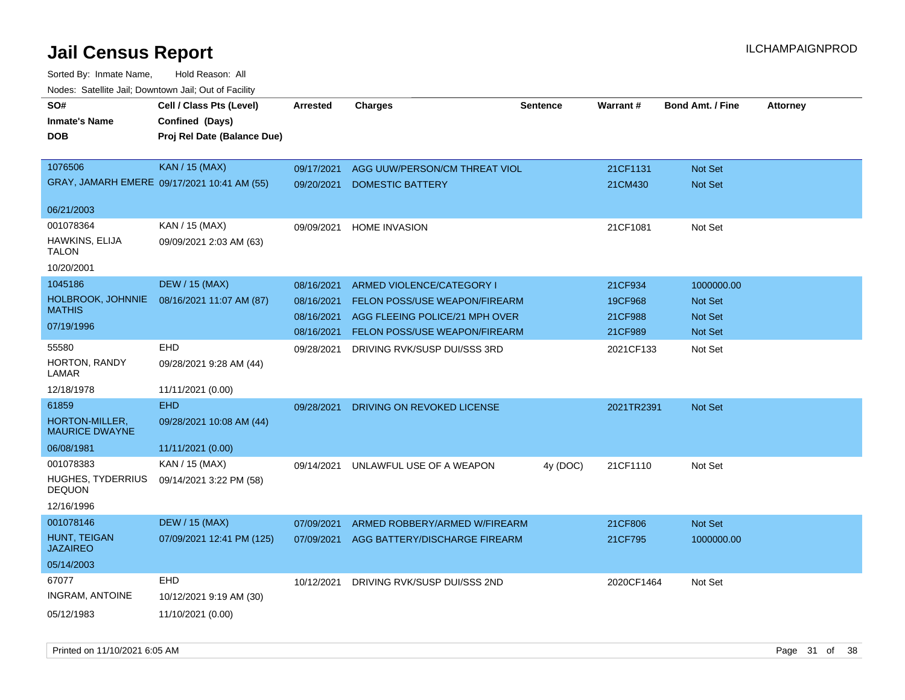| roaco. Calcinio dan, Downtown dan, Out or Fability |                                             |            |                                      |                 |                 |                         |                 |
|----------------------------------------------------|---------------------------------------------|------------|--------------------------------------|-----------------|-----------------|-------------------------|-----------------|
| SO#<br><b>Inmate's Name</b>                        | Cell / Class Pts (Level)<br>Confined (Days) | Arrested   | <b>Charges</b>                       | <b>Sentence</b> | <b>Warrant#</b> | <b>Bond Amt. / Fine</b> | <b>Attorney</b> |
| <b>DOB</b>                                         | Proj Rel Date (Balance Due)                 |            |                                      |                 |                 |                         |                 |
|                                                    |                                             |            |                                      |                 |                 |                         |                 |
| 1076506                                            | <b>KAN / 15 (MAX)</b>                       | 09/17/2021 | AGG UUW/PERSON/CM THREAT VIOL        |                 | 21CF1131        | <b>Not Set</b>          |                 |
|                                                    | GRAY, JAMARH EMERE 09/17/2021 10:41 AM (55) | 09/20/2021 | <b>DOMESTIC BATTERY</b>              |                 | 21CM430         | Not Set                 |                 |
| 06/21/2003                                         |                                             |            |                                      |                 |                 |                         |                 |
| 001078364                                          | KAN / 15 (MAX)                              | 09/09/2021 | <b>HOME INVASION</b>                 |                 | 21CF1081        | Not Set                 |                 |
| HAWKINS, ELIJA<br>TALON                            | 09/09/2021 2:03 AM (63)                     |            |                                      |                 |                 |                         |                 |
| 10/20/2001                                         |                                             |            |                                      |                 |                 |                         |                 |
| 1045186                                            | <b>DEW / 15 (MAX)</b>                       | 08/16/2021 | ARMED VIOLENCE/CATEGORY I            |                 | 21CF934         | 1000000.00              |                 |
| HOLBROOK, JOHNNIE                                  | 08/16/2021 11:07 AM (87)                    | 08/16/2021 | <b>FELON POSS/USE WEAPON/FIREARM</b> |                 | 19CF968         | <b>Not Set</b>          |                 |
| <b>MATHIS</b>                                      |                                             | 08/16/2021 | AGG FLEEING POLICE/21 MPH OVER       |                 | 21CF988         | Not Set                 |                 |
| 07/19/1996                                         |                                             | 08/16/2021 | <b>FELON POSS/USE WEAPON/FIREARM</b> |                 | 21CF989         | Not Set                 |                 |
| 55580                                              | <b>EHD</b>                                  | 09/28/2021 | DRIVING RVK/SUSP DUI/SSS 3RD         |                 | 2021CF133       | Not Set                 |                 |
| HORTON, RANDY<br>LAMAR                             | 09/28/2021 9:28 AM (44)                     |            |                                      |                 |                 |                         |                 |
| 12/18/1978                                         | 11/11/2021 (0.00)                           |            |                                      |                 |                 |                         |                 |
| 61859                                              | <b>EHD</b>                                  | 09/28/2021 | DRIVING ON REVOKED LICENSE           |                 | 2021TR2391      | Not Set                 |                 |
| HORTON-MILLER,<br><b>MAURICE DWAYNE</b>            | 09/28/2021 10:08 AM (44)                    |            |                                      |                 |                 |                         |                 |
| 06/08/1981                                         | 11/11/2021 (0.00)                           |            |                                      |                 |                 |                         |                 |
| 001078383                                          | KAN / 15 (MAX)                              | 09/14/2021 | UNLAWFUL USE OF A WEAPON             | 4y (DOC)        | 21CF1110        | Not Set                 |                 |
| <b>HUGHES, TYDERRIUS</b><br><b>DEQUON</b>          | 09/14/2021 3:22 PM (58)                     |            |                                      |                 |                 |                         |                 |
| 12/16/1996                                         |                                             |            |                                      |                 |                 |                         |                 |
| 001078146                                          | <b>DEW / 15 (MAX)</b>                       | 07/09/2021 | ARMED ROBBERY/ARMED W/FIREARM        |                 | 21CF806         | <b>Not Set</b>          |                 |
| HUNT, TEIGAN<br><b>JAZAIREO</b>                    | 07/09/2021 12:41 PM (125)                   | 07/09/2021 | AGG BATTERY/DISCHARGE FIREARM        |                 | 21CF795         | 1000000.00              |                 |
| 05/14/2003                                         |                                             |            |                                      |                 |                 |                         |                 |
| 67077                                              | <b>EHD</b>                                  | 10/12/2021 | DRIVING RVK/SUSP DUI/SSS 2ND         |                 | 2020CF1464      | Not Set                 |                 |
| <b>INGRAM, ANTOINE</b>                             | 10/12/2021 9:19 AM (30)                     |            |                                      |                 |                 |                         |                 |
| 05/12/1983                                         | 11/10/2021 (0.00)                           |            |                                      |                 |                 |                         |                 |
|                                                    |                                             |            |                                      |                 |                 |                         |                 |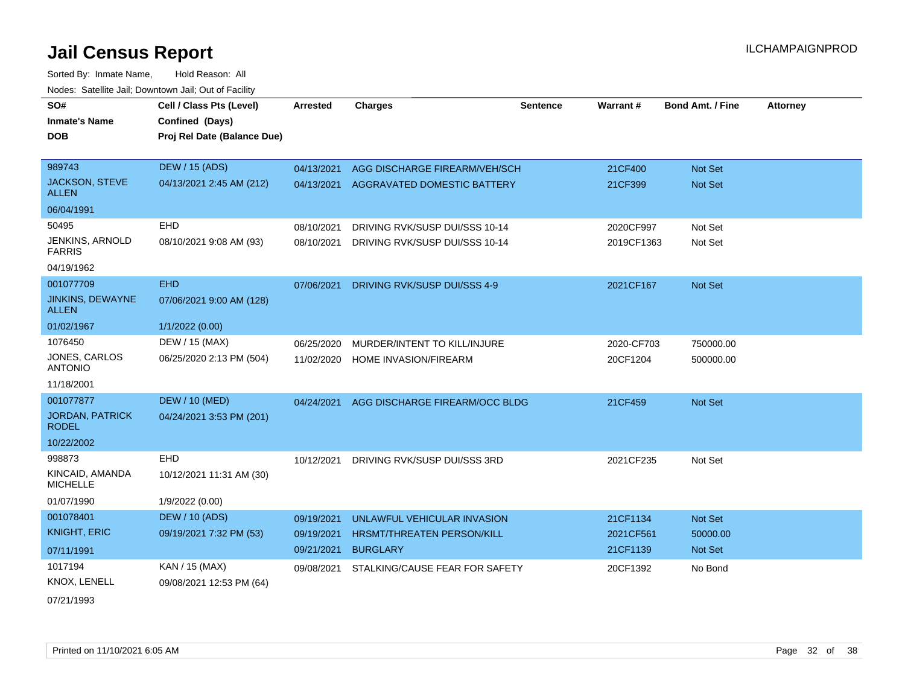| SO#<br><b>Inmate's Name</b><br><b>DOB</b> | Cell / Class Pts (Level)<br>Confined (Days)<br>Proj Rel Date (Balance Due) | <b>Arrested</b> | <b>Charges</b>                      | <b>Sentence</b> | Warrant#   | <b>Bond Amt. / Fine</b> | <b>Attorney</b> |
|-------------------------------------------|----------------------------------------------------------------------------|-----------------|-------------------------------------|-----------------|------------|-------------------------|-----------------|
| 989743                                    | <b>DEW / 15 (ADS)</b>                                                      | 04/13/2021      | AGG DISCHARGE FIREARM/VEH/SCH       |                 | 21CF400    | Not Set                 |                 |
| JACKSON, STEVE<br><b>ALLEN</b>            | 04/13/2021 2:45 AM (212)                                                   | 04/13/2021      | AGGRAVATED DOMESTIC BATTERY         |                 | 21CF399    | Not Set                 |                 |
| 06/04/1991                                |                                                                            |                 |                                     |                 |            |                         |                 |
| 50495                                     | <b>EHD</b>                                                                 | 08/10/2021      | DRIVING RVK/SUSP DUI/SSS 10-14      |                 | 2020CF997  | Not Set                 |                 |
| JENKINS, ARNOLD<br><b>FARRIS</b>          | 08/10/2021 9:08 AM (93)                                                    | 08/10/2021      | DRIVING RVK/SUSP DUI/SSS 10-14      |                 | 2019CF1363 | Not Set                 |                 |
| 04/19/1962                                |                                                                            |                 |                                     |                 |            |                         |                 |
| 001077709                                 | <b>EHD</b>                                                                 | 07/06/2021      | <b>DRIVING RVK/SUSP DUI/SSS 4-9</b> |                 | 2021CF167  | <b>Not Set</b>          |                 |
| <b>JINKINS, DEWAYNE</b><br><b>ALLEN</b>   | 07/06/2021 9:00 AM (128)                                                   |                 |                                     |                 |            |                         |                 |
| 01/02/1967                                | 1/1/2022 (0.00)                                                            |                 |                                     |                 |            |                         |                 |
| 1076450                                   | DEW / 15 (MAX)                                                             | 06/25/2020      | MURDER/INTENT TO KILL/INJURE        |                 | 2020-CF703 | 750000.00               |                 |
| <b>JONES, CARLOS</b><br><b>ANTONIO</b>    | 06/25/2020 2:13 PM (504)                                                   | 11/02/2020      | HOME INVASION/FIREARM               |                 | 20CF1204   | 500000.00               |                 |
| 11/18/2001                                |                                                                            |                 |                                     |                 |            |                         |                 |
| 001077877                                 | <b>DEW / 10 (MED)</b>                                                      | 04/24/2021      | AGG DISCHARGE FIREARM/OCC BLDG      |                 | 21CF459    | Not Set                 |                 |
| <b>JORDAN, PATRICK</b><br><b>RODEL</b>    | 04/24/2021 3:53 PM (201)                                                   |                 |                                     |                 |            |                         |                 |
| 10/22/2002                                |                                                                            |                 |                                     |                 |            |                         |                 |
| 998873                                    | EHD                                                                        | 10/12/2021      | DRIVING RVK/SUSP DUI/SSS 3RD        |                 | 2021CF235  | Not Set                 |                 |
| KINCAID, AMANDA<br><b>MICHELLE</b>        | 10/12/2021 11:31 AM (30)                                                   |                 |                                     |                 |            |                         |                 |
| 01/07/1990                                | 1/9/2022 (0.00)                                                            |                 |                                     |                 |            |                         |                 |
| 001078401                                 | <b>DEW / 10 (ADS)</b>                                                      | 09/19/2021      | UNLAWFUL VEHICULAR INVASION         |                 | 21CF1134   | Not Set                 |                 |
| <b>KNIGHT, ERIC</b>                       | 09/19/2021 7:32 PM (53)                                                    | 09/19/2021      | HRSMT/THREATEN PERSON/KILL          |                 | 2021CF561  | 50000.00                |                 |
| 07/11/1991                                |                                                                            | 09/21/2021      | <b>BURGLARY</b>                     |                 | 21CF1139   | Not Set                 |                 |
| 1017194                                   | KAN / 15 (MAX)                                                             | 09/08/2021      | STALKING/CAUSE FEAR FOR SAFETY      |                 | 20CF1392   | No Bond                 |                 |
| KNOX, LENELL                              | 09/08/2021 12:53 PM (64)                                                   |                 |                                     |                 |            |                         |                 |
| 07/21/1993                                |                                                                            |                 |                                     |                 |            |                         |                 |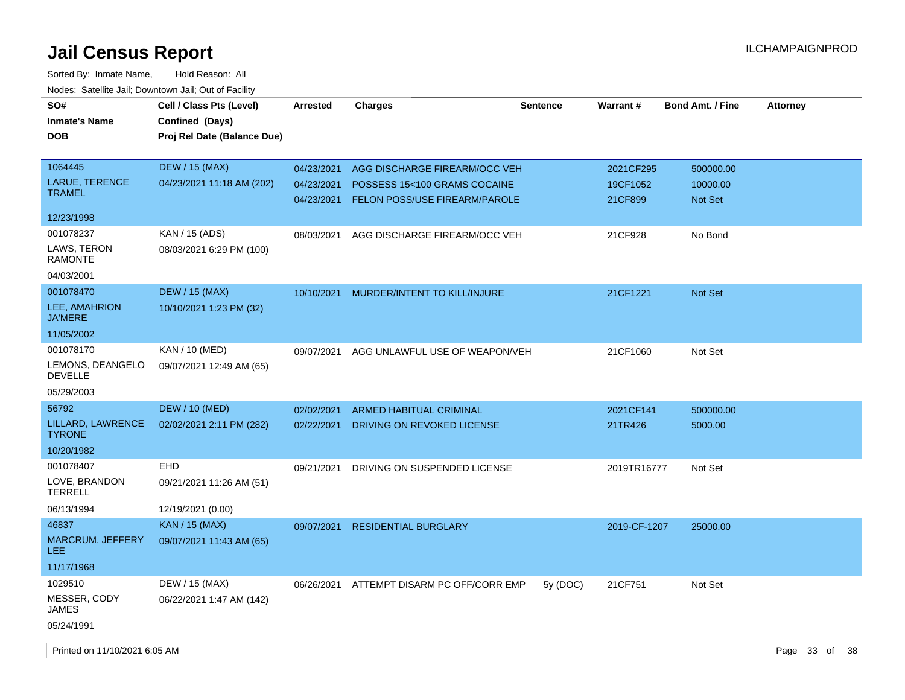| SO#<br><b>Inmate's Name</b><br>DOB | Cell / Class Pts (Level)<br>Confined (Days)<br>Proj Rel Date (Balance Due) | <b>Arrested</b>          | <b>Charges</b>                                                | <b>Sentence</b> | <b>Warrant#</b>       | <b>Bond Amt. / Fine</b> | <b>Attorney</b> |      |
|------------------------------------|----------------------------------------------------------------------------|--------------------------|---------------------------------------------------------------|-----------------|-----------------------|-------------------------|-----------------|------|
| 1064445<br>LARUE, TERENCE          | <b>DEW / 15 (MAX)</b><br>04/23/2021 11:18 AM (202)                         | 04/23/2021<br>04/23/2021 | AGG DISCHARGE FIREARM/OCC VEH<br>POSSESS 15<100 GRAMS COCAINE |                 | 2021CF295<br>19CF1052 | 500000.00<br>10000.00   |                 |      |
| <b>TRAMEL</b>                      |                                                                            | 04/23/2021               | FELON POSS/USE FIREARM/PAROLE                                 |                 | 21CF899               | Not Set                 |                 |      |
| 12/23/1998                         |                                                                            |                          |                                                               |                 |                       |                         |                 |      |
| 001078237                          | KAN / 15 (ADS)                                                             | 08/03/2021               | AGG DISCHARGE FIREARM/OCC VEH                                 |                 | 21CF928               | No Bond                 |                 |      |
| LAWS, TERON<br><b>RAMONTE</b>      | 08/03/2021 6:29 PM (100)                                                   |                          |                                                               |                 |                       |                         |                 |      |
| 04/03/2001                         |                                                                            |                          |                                                               |                 |                       |                         |                 |      |
| 001078470                          | <b>DEW / 15 (MAX)</b>                                                      | 10/10/2021               | MURDER/INTENT TO KILL/INJURE                                  |                 | 21CF1221              | <b>Not Set</b>          |                 |      |
| LEE, AMAHRION<br><b>JA'MERE</b>    | 10/10/2021 1:23 PM (32)                                                    |                          |                                                               |                 |                       |                         |                 |      |
| 11/05/2002                         |                                                                            |                          |                                                               |                 |                       |                         |                 |      |
| 001078170                          | KAN / 10 (MED)                                                             | 09/07/2021               | AGG UNLAWFUL USE OF WEAPON/VEH                                |                 | 21CF1060              | Not Set                 |                 |      |
| LEMONS, DEANGELO<br><b>DEVELLE</b> | 09/07/2021 12:49 AM (65)                                                   |                          |                                                               |                 |                       |                         |                 |      |
| 05/29/2003                         |                                                                            |                          |                                                               |                 |                       |                         |                 |      |
| 56792                              | <b>DEW / 10 (MED)</b>                                                      | 02/02/2021               | <b>ARMED HABITUAL CRIMINAL</b>                                |                 | 2021CF141             | 500000.00               |                 |      |
| LILLARD, LAWRENCE<br><b>TYRONE</b> | 02/02/2021 2:11 PM (282)                                                   | 02/22/2021               | DRIVING ON REVOKED LICENSE                                    |                 | 21TR426               | 5000.00                 |                 |      |
| 10/20/1982                         |                                                                            |                          |                                                               |                 |                       |                         |                 |      |
| 001078407                          | <b>EHD</b>                                                                 | 09/21/2021               | DRIVING ON SUSPENDED LICENSE                                  |                 | 2019TR16777           | Not Set                 |                 |      |
| LOVE, BRANDON<br><b>TERRELL</b>    | 09/21/2021 11:26 AM (51)                                                   |                          |                                                               |                 |                       |                         |                 |      |
| 06/13/1994                         | 12/19/2021 (0.00)                                                          |                          |                                                               |                 |                       |                         |                 |      |
| 46837                              | <b>KAN / 15 (MAX)</b>                                                      | 09/07/2021               | <b>RESIDENTIAL BURGLARY</b>                                   |                 | 2019-CF-1207          | 25000.00                |                 |      |
| MARCRUM, JEFFERY<br>LEE.           | 09/07/2021 11:43 AM (65)                                                   |                          |                                                               |                 |                       |                         |                 |      |
| 11/17/1968                         |                                                                            |                          |                                                               |                 |                       |                         |                 |      |
| 1029510                            | DEW / 15 (MAX)                                                             | 06/26/2021               | ATTEMPT DISARM PC OFF/CORR EMP                                | 5y (DOC)        | 21CF751               | Not Set                 |                 |      |
| MESSER, CODY<br>JAMES              | 06/22/2021 1:47 AM (142)                                                   |                          |                                                               |                 |                       |                         |                 |      |
| 05/24/1991                         |                                                                            |                          |                                                               |                 |                       |                         |                 |      |
| Printed on 11/10/2021 6:05 AM      |                                                                            |                          |                                                               |                 |                       |                         | Page 33 of      | - 38 |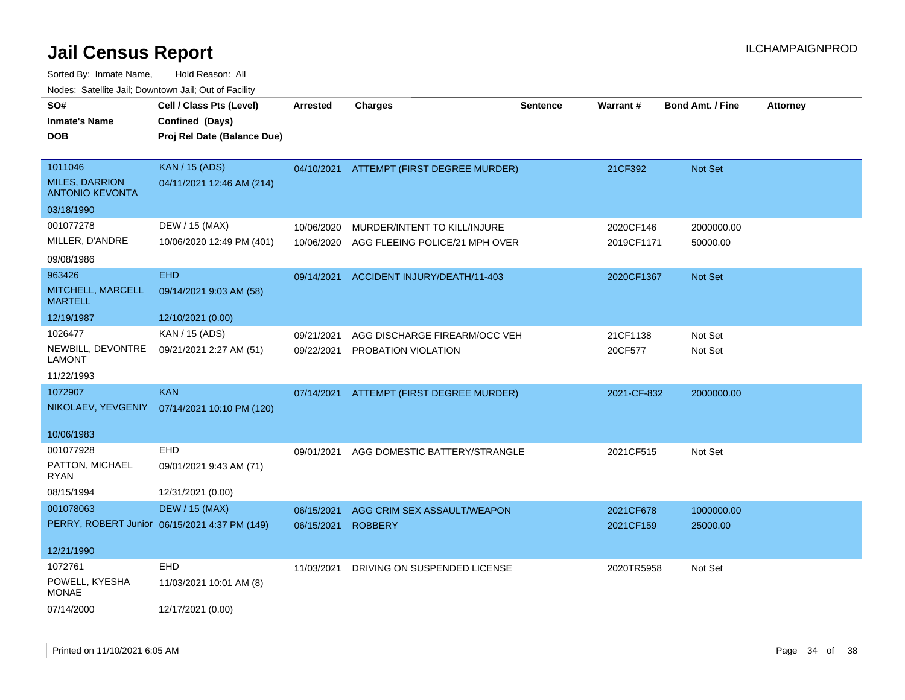| SO#<br><b>Inmate's Name</b><br><b>DOB</b>                  | Cell / Class Pts (Level)<br>Confined (Days)<br>Proj Rel Date (Balance Due) | <b>Arrested</b> | <b>Charges</b>                       | <b>Sentence</b> | <b>Warrant#</b> | <b>Bond Amt. / Fine</b> | <b>Attorney</b> |
|------------------------------------------------------------|----------------------------------------------------------------------------|-----------------|--------------------------------------|-----------------|-----------------|-------------------------|-----------------|
| 1011046<br><b>MILES, DARRION</b><br><b>ANTONIO KEVONTA</b> | <b>KAN / 15 (ADS)</b><br>04/11/2021 12:46 AM (214)                         | 04/10/2021      | <b>ATTEMPT (FIRST DEGREE MURDER)</b> |                 | 21CF392         | Not Set                 |                 |
| 03/18/1990                                                 |                                                                            |                 |                                      |                 |                 |                         |                 |
| 001077278                                                  | DEW / 15 (MAX)                                                             | 10/06/2020      | MURDER/INTENT TO KILL/INJURE         |                 | 2020CF146       | 2000000.00              |                 |
| MILLER, D'ANDRE                                            | 10/06/2020 12:49 PM (401)                                                  | 10/06/2020      | AGG FLEEING POLICE/21 MPH OVER       |                 | 2019CF1171      | 50000.00                |                 |
| 09/08/1986                                                 |                                                                            |                 |                                      |                 |                 |                         |                 |
| 963426                                                     | <b>EHD</b>                                                                 | 09/14/2021      | ACCIDENT INJURY/DEATH/11-403         |                 | 2020CF1367      | Not Set                 |                 |
| MITCHELL, MARCELL<br><b>MARTELL</b>                        | 09/14/2021 9:03 AM (58)                                                    |                 |                                      |                 |                 |                         |                 |
| 12/19/1987                                                 | 12/10/2021 (0.00)                                                          |                 |                                      |                 |                 |                         |                 |
| 1026477                                                    | KAN / 15 (ADS)                                                             | 09/21/2021      | AGG DISCHARGE FIREARM/OCC VEH        |                 | 21CF1138        | Not Set                 |                 |
| NEWBILL, DEVONTRE<br><b>LAMONT</b>                         | 09/21/2021 2:27 AM (51)                                                    |                 | 09/22/2021 PROBATION VIOLATION       |                 | 20CF577         | Not Set                 |                 |
| 11/22/1993                                                 |                                                                            |                 |                                      |                 |                 |                         |                 |
| 1072907                                                    | <b>KAN</b>                                                                 | 07/14/2021      | ATTEMPT (FIRST DEGREE MURDER)        |                 | 2021-CF-832     | 2000000.00              |                 |
| NIKOLAEV, YEVGENIY                                         | 07/14/2021 10:10 PM (120)                                                  |                 |                                      |                 |                 |                         |                 |
| 10/06/1983                                                 |                                                                            |                 |                                      |                 |                 |                         |                 |
| 001077928                                                  | EHD                                                                        | 09/01/2021      | AGG DOMESTIC BATTERY/STRANGLE        |                 | 2021CF515       | Not Set                 |                 |
| PATTON, MICHAEL<br>RYAN                                    | 09/01/2021 9:43 AM (71)                                                    |                 |                                      |                 |                 |                         |                 |
| 08/15/1994                                                 | 12/31/2021 (0.00)                                                          |                 |                                      |                 |                 |                         |                 |
| 001078063                                                  | <b>DEW / 15 (MAX)</b>                                                      | 06/15/2021      | AGG CRIM SEX ASSAULT/WEAPON          |                 | 2021CF678       | 1000000.00              |                 |
|                                                            | PERRY, ROBERT Junior 06/15/2021 4:37 PM (149)                              | 06/15/2021      | <b>ROBBERY</b>                       |                 | 2021CF159       | 25000.00                |                 |
| 12/21/1990                                                 |                                                                            |                 |                                      |                 |                 |                         |                 |
| 1072761                                                    | EHD                                                                        | 11/03/2021      | DRIVING ON SUSPENDED LICENSE         |                 | 2020TR5958      | Not Set                 |                 |
| POWELL, KYESHA<br><b>MONAE</b>                             | 11/03/2021 10:01 AM (8)                                                    |                 |                                      |                 |                 |                         |                 |
| 07/14/2000                                                 | 12/17/2021 (0.00)                                                          |                 |                                      |                 |                 |                         |                 |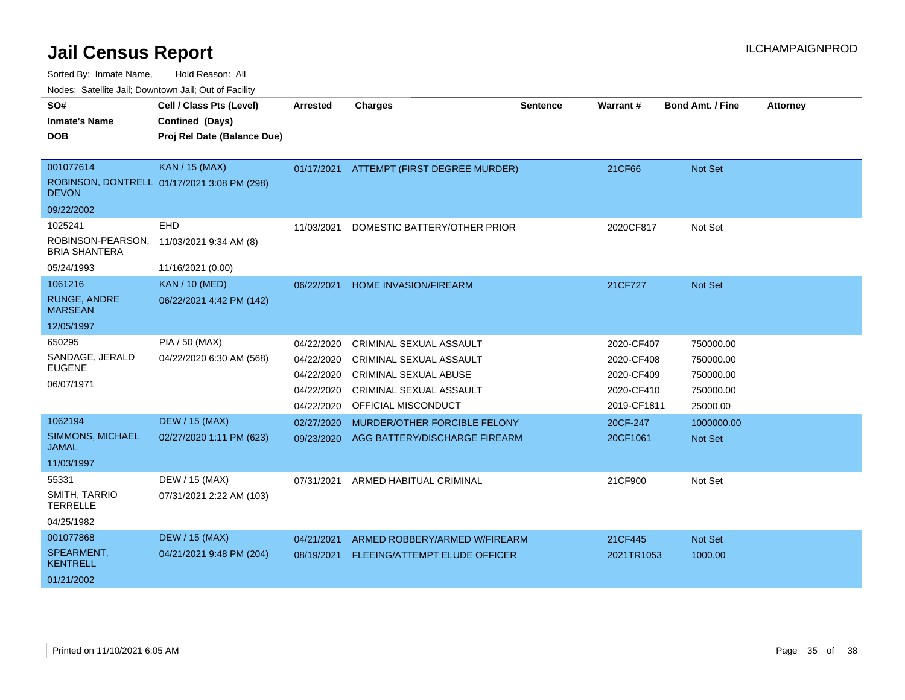Sorted By: Inmate Name, Hold Reason: All

Nodes: Satellite Jail; Downtown Jail; Out of Facility

| SO#                                       | Cell / Class Pts (Level)                    | <b>Arrested</b> | <b>Charges</b>                       | <b>Sentence</b> | <b>Warrant#</b> | <b>Bond Amt. / Fine</b> | <b>Attorney</b> |
|-------------------------------------------|---------------------------------------------|-----------------|--------------------------------------|-----------------|-----------------|-------------------------|-----------------|
| <b>Inmate's Name</b>                      | Confined (Days)                             |                 |                                      |                 |                 |                         |                 |
| <b>DOB</b>                                | Proj Rel Date (Balance Due)                 |                 |                                      |                 |                 |                         |                 |
|                                           |                                             |                 |                                      |                 |                 |                         |                 |
| 001077614                                 | <b>KAN / 15 (MAX)</b>                       | 01/17/2021      | ATTEMPT (FIRST DEGREE MURDER)        |                 | 21CF66          | <b>Not Set</b>          |                 |
| <b>DEVON</b>                              | ROBINSON, DONTRELL 01/17/2021 3:08 PM (298) |                 |                                      |                 |                 |                         |                 |
| 09/22/2002                                |                                             |                 |                                      |                 |                 |                         |                 |
| 1025241                                   | EHD                                         | 11/03/2021      | DOMESTIC BATTERY/OTHER PRIOR         |                 | 2020CF817       | Not Set                 |                 |
| ROBINSON-PEARSON,<br><b>BRIA SHANTERA</b> | 11/03/2021 9:34 AM (8)                      |                 |                                      |                 |                 |                         |                 |
| 05/24/1993                                | 11/16/2021 (0.00)                           |                 |                                      |                 |                 |                         |                 |
| 1061216                                   | <b>KAN / 10 (MED)</b>                       | 06/22/2021      | <b>HOME INVASION/FIREARM</b>         |                 | 21CF727         | <b>Not Set</b>          |                 |
| <b>RUNGE, ANDRE</b><br><b>MARSEAN</b>     | 06/22/2021 4:42 PM (142)                    |                 |                                      |                 |                 |                         |                 |
| 12/05/1997                                |                                             |                 |                                      |                 |                 |                         |                 |
| 650295                                    | PIA / 50 (MAX)                              | 04/22/2020      | <b>CRIMINAL SEXUAL ASSAULT</b>       |                 | 2020-CF407      | 750000.00               |                 |
| SANDAGE, JERALD                           | 04/22/2020 6:30 AM (568)                    | 04/22/2020      | <b>CRIMINAL SEXUAL ASSAULT</b>       |                 | 2020-CF408      | 750000.00               |                 |
| <b>EUGENE</b>                             |                                             | 04/22/2020      | <b>CRIMINAL SEXUAL ABUSE</b>         |                 | 2020-CF409      | 750000.00               |                 |
| 06/07/1971                                |                                             | 04/22/2020      | <b>CRIMINAL SEXUAL ASSAULT</b>       |                 | 2020-CF410      | 750000.00               |                 |
|                                           |                                             | 04/22/2020      | OFFICIAL MISCONDUCT                  |                 | 2019-CF1811     | 25000.00                |                 |
| 1062194                                   | <b>DEW / 15 (MAX)</b>                       | 02/27/2020      | MURDER/OTHER FORCIBLE FELONY         |                 | 20CF-247        | 1000000.00              |                 |
| <b>SIMMONS, MICHAEL</b><br><b>JAMAL</b>   | 02/27/2020 1:11 PM (623)                    | 09/23/2020      | AGG BATTERY/DISCHARGE FIREARM        |                 | 20CF1061        | <b>Not Set</b>          |                 |
| 11/03/1997                                |                                             |                 |                                      |                 |                 |                         |                 |
| 55331                                     | DEW / 15 (MAX)                              | 07/31/2021      | ARMED HABITUAL CRIMINAL              |                 | 21CF900         | Not Set                 |                 |
| <b>SMITH, TARRIO</b><br><b>TERRELLE</b>   | 07/31/2021 2:22 AM (103)                    |                 |                                      |                 |                 |                         |                 |
| 04/25/1982                                |                                             |                 |                                      |                 |                 |                         |                 |
| 001077868                                 | <b>DEW / 15 (MAX)</b>                       | 04/21/2021      | ARMED ROBBERY/ARMED W/FIREARM        |                 | 21CF445         | <b>Not Set</b>          |                 |
| SPEARMENT,<br><b>KENTRELL</b>             | 04/21/2021 9:48 PM (204)                    | 08/19/2021      | <b>FLEEING/ATTEMPT ELUDE OFFICER</b> |                 | 2021TR1053      | 1000.00                 |                 |
| 01/21/2002                                |                                             |                 |                                      |                 |                 |                         |                 |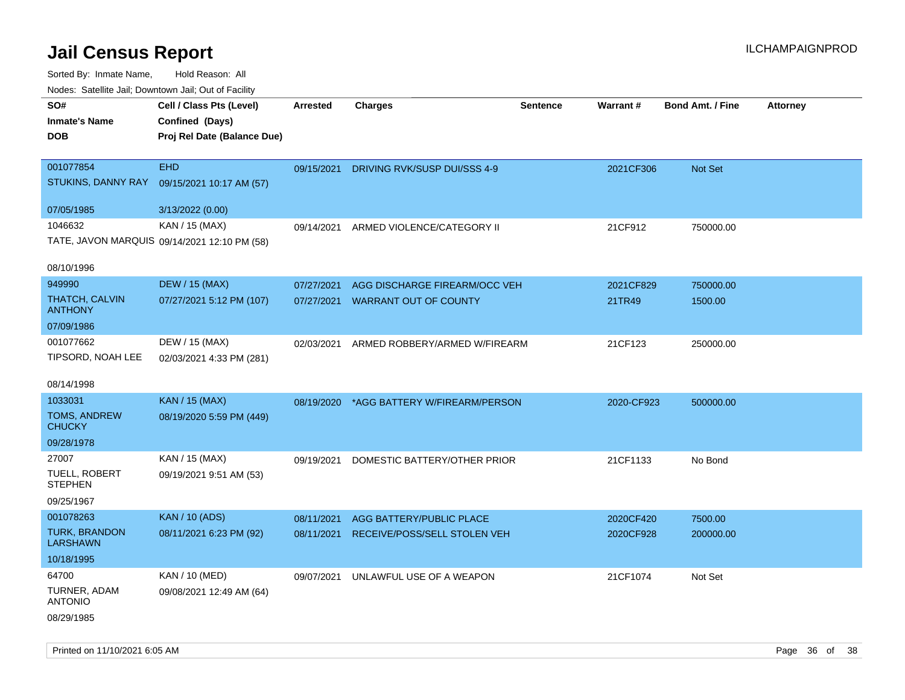Sorted By: Inmate Name, Hold Reason: All

| Nodes: Satellite Jail; Downtown Jail; Out of Facility |                                              |                 |                                          |                 |                 |                  |                 |  |
|-------------------------------------------------------|----------------------------------------------|-----------------|------------------------------------------|-----------------|-----------------|------------------|-----------------|--|
| SO#                                                   | Cell / Class Pts (Level)                     | <b>Arrested</b> | <b>Charges</b>                           | <b>Sentence</b> | <b>Warrant#</b> | Bond Amt. / Fine | <b>Attorney</b> |  |
| <b>Inmate's Name</b>                                  | Confined (Days)                              |                 |                                          |                 |                 |                  |                 |  |
| <b>DOB</b>                                            | Proj Rel Date (Balance Due)                  |                 |                                          |                 |                 |                  |                 |  |
|                                                       |                                              |                 |                                          |                 |                 |                  |                 |  |
| 001077854                                             | <b>EHD</b>                                   |                 | 09/15/2021 DRIVING RVK/SUSP DUI/SSS 4-9  |                 | 2021CF306       | Not Set          |                 |  |
| STUKINS, DANNY RAY                                    | 09/15/2021 10:17 AM (57)                     |                 |                                          |                 |                 |                  |                 |  |
| 07/05/1985                                            | 3/13/2022 (0.00)                             |                 |                                          |                 |                 |                  |                 |  |
| 1046632                                               | KAN / 15 (MAX)                               | 09/14/2021      | ARMED VIOLENCE/CATEGORY II               |                 | 21CF912         | 750000.00        |                 |  |
|                                                       | TATE, JAVON MARQUIS 09/14/2021 12:10 PM (58) |                 |                                          |                 |                 |                  |                 |  |
|                                                       |                                              |                 |                                          |                 |                 |                  |                 |  |
| 08/10/1996                                            |                                              |                 |                                          |                 |                 |                  |                 |  |
| 949990                                                | <b>DEW / 15 (MAX)</b>                        | 07/27/2021      | AGG DISCHARGE FIREARM/OCC VEH            |                 | 2021CF829       | 750000.00        |                 |  |
| THATCH, CALVIN<br><b>ANTHONY</b>                      | 07/27/2021 5:12 PM (107)                     | 07/27/2021      | <b>WARRANT OUT OF COUNTY</b>             |                 | 21TR49          | 1500.00          |                 |  |
| 07/09/1986                                            |                                              |                 |                                          |                 |                 |                  |                 |  |
| 001077662                                             | DEW / 15 (MAX)                               | 02/03/2021      | ARMED ROBBERY/ARMED W/FIREARM            |                 | 21CF123         | 250000.00        |                 |  |
| TIPSORD, NOAH LEE                                     | 02/03/2021 4:33 PM (281)                     |                 |                                          |                 |                 |                  |                 |  |
|                                                       |                                              |                 |                                          |                 |                 |                  |                 |  |
| 08/14/1998                                            |                                              |                 |                                          |                 |                 |                  |                 |  |
| 1033031                                               | <b>KAN / 15 (MAX)</b>                        |                 | 08/19/2020 *AGG BATTERY W/FIREARM/PERSON |                 | 2020-CF923      | 500000.00        |                 |  |
| TOMS, ANDREW<br><b>CHUCKY</b>                         | 08/19/2020 5:59 PM (449)                     |                 |                                          |                 |                 |                  |                 |  |
| 09/28/1978                                            |                                              |                 |                                          |                 |                 |                  |                 |  |
| 27007                                                 | KAN / 15 (MAX)                               |                 |                                          |                 |                 |                  |                 |  |
| TUELL, ROBERT                                         | 09/19/2021 9:51 AM (53)                      | 09/19/2021      | DOMESTIC BATTERY/OTHER PRIOR             |                 | 21CF1133        | No Bond          |                 |  |
| <b>STEPHEN</b>                                        |                                              |                 |                                          |                 |                 |                  |                 |  |
| 09/25/1967                                            |                                              |                 |                                          |                 |                 |                  |                 |  |
| 001078263                                             | <b>KAN / 10 (ADS)</b>                        | 08/11/2021      | AGG BATTERY/PUBLIC PLACE                 |                 | 2020CF420       | 7500.00          |                 |  |
| <b>TURK, BRANDON</b>                                  | 08/11/2021 6:23 PM (92)                      | 08/11/2021      | RECEIVE/POSS/SELL STOLEN VEH             |                 | 2020CF928       | 200000.00        |                 |  |
| <b>LARSHAWN</b><br>10/18/1995                         |                                              |                 |                                          |                 |                 |                  |                 |  |
| 64700                                                 | KAN / 10 (MED)                               |                 |                                          |                 |                 |                  |                 |  |
| TURNER, ADAM                                          | 09/08/2021 12:49 AM (64)                     | 09/07/2021      | UNLAWFUL USE OF A WEAPON                 |                 | 21CF1074        | Not Set          |                 |  |
| <b>ANTONIO</b>                                        |                                              |                 |                                          |                 |                 |                  |                 |  |
| 08/29/1985                                            |                                              |                 |                                          |                 |                 |                  |                 |  |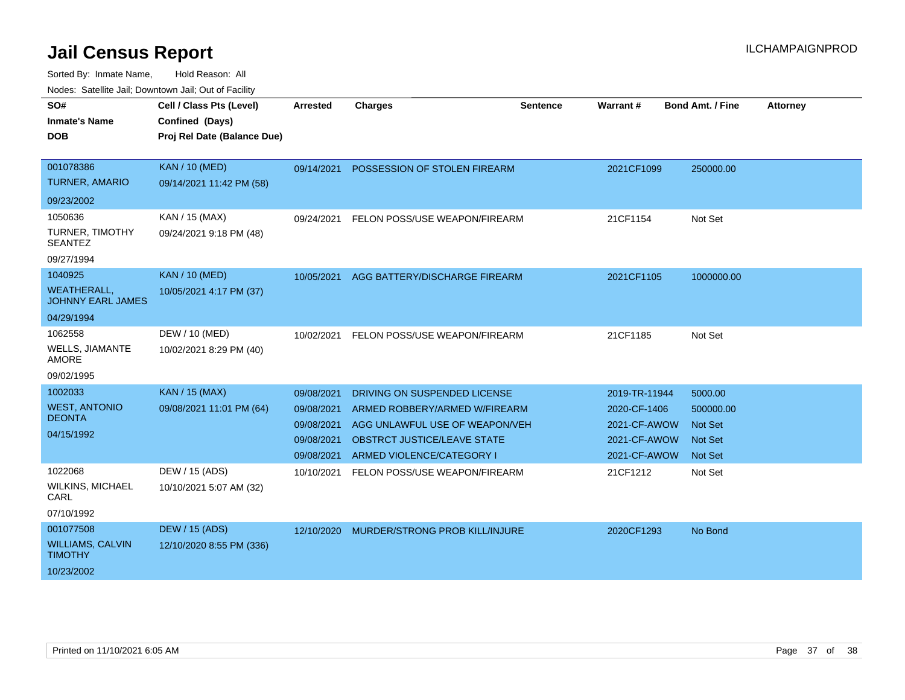| SO#<br><b>Inmate's Name</b><br><b>DOB</b>      | Cell / Class Pts (Level)<br>Confined (Days)<br>Proj Rel Date (Balance Due) | <b>Arrested</b> | <b>Charges</b>                        | <b>Sentence</b> | <b>Warrant#</b> | <b>Bond Amt. / Fine</b> | <b>Attorney</b> |
|------------------------------------------------|----------------------------------------------------------------------------|-----------------|---------------------------------------|-----------------|-----------------|-------------------------|-----------------|
| 001078386                                      | <b>KAN / 10 (MED)</b>                                                      | 09/14/2021      | POSSESSION OF STOLEN FIREARM          |                 | 2021CF1099      | 250000.00               |                 |
| <b>TURNER, AMARIO</b>                          | 09/14/2021 11:42 PM (58)                                                   |                 |                                       |                 |                 |                         |                 |
| 09/23/2002                                     |                                                                            |                 |                                       |                 |                 |                         |                 |
| 1050636                                        | KAN / 15 (MAX)                                                             | 09/24/2021      | FELON POSS/USE WEAPON/FIREARM         |                 | 21CF1154        | Not Set                 |                 |
| <b>TURNER, TIMOTHY</b><br><b>SEANTEZ</b>       | 09/24/2021 9:18 PM (48)                                                    |                 |                                       |                 |                 |                         |                 |
| 09/27/1994                                     |                                                                            |                 |                                       |                 |                 |                         |                 |
| 1040925                                        | <b>KAN / 10 (MED)</b>                                                      | 10/05/2021      | AGG BATTERY/DISCHARGE FIREARM         |                 | 2021CF1105      | 1000000.00              |                 |
| <b>WEATHERALL,</b><br><b>JOHNNY EARL JAMES</b> | 10/05/2021 4:17 PM (37)                                                    |                 |                                       |                 |                 |                         |                 |
| 04/29/1994                                     |                                                                            |                 |                                       |                 |                 |                         |                 |
| 1062558                                        | DEW / 10 (MED)                                                             | 10/02/2021      | FELON POSS/USE WEAPON/FIREARM         |                 | 21CF1185        | Not Set                 |                 |
| WELLS, JIAMANTE<br><b>AMORE</b>                | 10/02/2021 8:29 PM (40)                                                    |                 |                                       |                 |                 |                         |                 |
| 09/02/1995                                     |                                                                            |                 |                                       |                 |                 |                         |                 |
| 1002033                                        | <b>KAN / 15 (MAX)</b>                                                      | 09/08/2021      | DRIVING ON SUSPENDED LICENSE          |                 | 2019-TR-11944   | 5000.00                 |                 |
| <b>WEST, ANTONIO</b>                           | 09/08/2021 11:01 PM (64)                                                   | 09/08/2021      | ARMED ROBBERY/ARMED W/FIREARM         |                 | 2020-CF-1406    | 500000.00               |                 |
| <b>DEONTA</b>                                  |                                                                            | 09/08/2021      | AGG UNLAWFUL USE OF WEAPON/VEH        |                 | 2021-CF-AWOW    | <b>Not Set</b>          |                 |
| 04/15/1992                                     |                                                                            | 09/08/2021      | <b>OBSTRCT JUSTICE/LEAVE STATE</b>    |                 | 2021-CF-AWOW    | <b>Not Set</b>          |                 |
|                                                |                                                                            | 09/08/2021      | ARMED VIOLENCE/CATEGORY I             |                 | 2021-CF-AWOW    | <b>Not Set</b>          |                 |
| 1022068                                        | DEW / 15 (ADS)                                                             | 10/10/2021      | FELON POSS/USE WEAPON/FIREARM         |                 | 21CF1212        | Not Set                 |                 |
| <b>WILKINS, MICHAEL</b><br>CARL                | 10/10/2021 5:07 AM (32)                                                    |                 |                                       |                 |                 |                         |                 |
| 07/10/1992                                     |                                                                            |                 |                                       |                 |                 |                         |                 |
| 001077508                                      | <b>DEW / 15 (ADS)</b>                                                      | 12/10/2020      | <b>MURDER/STRONG PROB KILL/INJURE</b> |                 | 2020CF1293      | No Bond                 |                 |
| <b>WILLIAMS, CALVIN</b><br><b>TIMOTHY</b>      | 12/10/2020 8:55 PM (336)                                                   |                 |                                       |                 |                 |                         |                 |
| 10/23/2002                                     |                                                                            |                 |                                       |                 |                 |                         |                 |